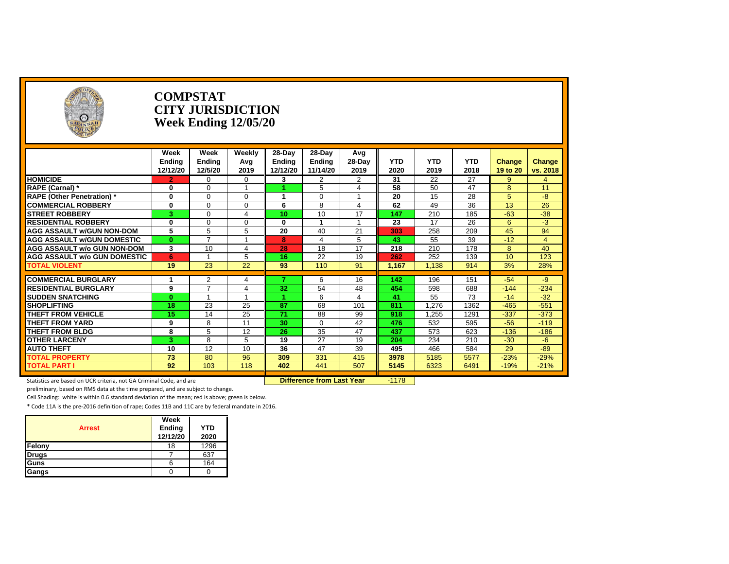

#### **COMPSTAT CITY JURISDICTION Week Ending 12/05/20**

|                                     | Week<br>Ending<br>12/12/20 | Week<br>Ending<br>12/5/20 | Weekly<br>Avg<br>2019 | $28-Day$<br>Endina<br>12/12/20 | 28-Day<br>Endina<br>11/14/20 | Avg<br>28-Day<br>2019 | <b>YTD</b><br>2020 | <b>YTD</b><br>2019 | <b>YTD</b><br>2018 | Change<br>19 to 20 | Change<br>vs. 2018 |
|-------------------------------------|----------------------------|---------------------------|-----------------------|--------------------------------|------------------------------|-----------------------|--------------------|--------------------|--------------------|--------------------|--------------------|
| <b>HOMICIDE</b>                     | $\mathbf{2}$               | 0                         | $\Omega$              | 3                              | $\overline{2}$               | $\overline{2}$        | 31                 | 22                 | 27                 | $9^{\circ}$        | $\overline{4}$     |
| <b>RAPE (Carnal)</b> *              | $\bf{0}$                   | 0                         |                       |                                | 5                            | $\overline{4}$        | 58                 | 50                 | 47                 | 8                  | 11                 |
| <b>RAPE (Other Penetration)</b> *   | $\mathbf 0$                | 0                         | $\Omega$              |                                | 0                            |                       | 20                 | 15                 | 28                 | 5                  | $-8$               |
| <b>COMMERCIAL ROBBERY</b>           | $\bf{0}$                   | 0                         | $\Omega$              | 6                              | 8                            | 4                     | 62                 | 49                 | 36                 | 13                 | 26                 |
| <b>STREET ROBBERY</b>               | 3                          | 0                         | 4                     | 10                             | 10                           | 17                    | 147                | 210                | 185                | $-63$              | $-38$              |
| <b>RESIDENTIAL ROBBERY</b>          | $\mathbf 0$                | 0                         | $\Omega$              | $\bf{0}$                       |                              |                       | 23                 | 17                 | 26                 | 6                  | $-3$               |
| <b>AGG ASSAULT W/GUN NON-DOM</b>    | 5                          | 5                         | 5                     | 20                             | 40                           | 21                    | 303                | 258                | 209                | 45                 | 94                 |
| <b>AGG ASSAULT W/GUN DOMESTIC</b>   | $\bf{0}$                   | ⇁                         |                       | 8                              | 4                            | 5                     | 43                 | 55                 | 39                 | $-12$              | 4                  |
| <b>AGG ASSAULT w/o GUN NON-DOM</b>  | 3                          | 10                        | 4                     | 28                             | 18                           | 17                    | 218                | 210                | 178                | 8                  | 40                 |
| <b>AGG ASSAULT W/o GUN DOMESTIC</b> | 6                          |                           | 5                     | 16                             | 22                           | 19                    | 262                | 252                | 139                | 10                 | 123                |
| <b>TOTAL VIOLENT</b>                | 19                         | 23                        | 22                    | 93                             | 110                          | 91                    | 1,167              | 1.138              | 914                | 3%                 | 28%                |
|                                     |                            |                           |                       |                                |                              |                       |                    |                    |                    |                    |                    |
| <b>COMMERCIAL BURGLARY</b>          |                            | 2<br>$\overline{ }$       | 4                     |                                | 6                            | 16                    | 142                | 196                | 151                | $-54$              | -9                 |
| <b>RESIDENTIAL BURGLARY</b>         | 9                          |                           | Δ                     | 32                             | 54                           | 48                    | 454                | 598                | 688                | $-144$             | $-234$             |
| <b>ISUDDEN SNATCHING</b>            | $\bf{0}$                   |                           |                       |                                | 6                            | 4                     | 41                 | 55                 | 73                 | $-14$              | $-32$              |
| <b>SHOPLIFTING</b>                  | 18                         | 23                        | 25                    | 87                             | 68                           | 101                   | 811                | 1.276              | 1362               | $-465$             | $-551$             |
| THEFT FROM VEHICLE                  | 15                         | 14                        | 25                    | 71                             | 88                           | 99                    | 918                | 1,255              | 1291               | $-337$             | $-373$             |
| <b>THEFT FROM YARD</b>              | 9                          | 8                         | 11                    | 30                             | $\Omega$                     | 42                    | 476                | 532                | 595                | $-56$              | $-119$             |
| <b>THEFT FROM BLDG</b>              | 8                          | 5                         | 12                    | 26                             | 35                           | 47                    | 437                | 573                | 623                | $-136$             | $-186$             |
| <b>OTHER LARCENY</b>                | 3                          | 8                         | 5                     | 19                             | 27                           | 19                    | 204                | 234                | 210                | $-30$              | $-6$               |
| <b>AUTO THEFT</b>                   | 10                         | 12                        | 10                    | 36                             | 47                           | 39                    | 495                | 466                | 584                | 29                 | $-89$              |
| <b>TOTAL PROPERTY</b>               | 73                         | 80                        | 96                    | 309                            | 331                          | 415                   | 3978               | 5185               | 5577               | $-23%$             | $-29%$             |
| <b>TOTAL PART I</b>                 | 92                         | 103                       | 118                   | 402                            | 441                          | 507                   | 5145               | 6323               | 6491               | $-19%$             | $-21%$             |
|                                     |                            |                           |                       |                                |                              |                       |                    |                    |                    |                    |                    |

Statistics are based on UCR criteria, not GA Criminal Code, and are **Difference from Last Year** -1178

preliminary, based on RMS data at the time prepared, and are subject to change.

Cell Shading: white is within 0.6 standard deviation of the mean; red is above; green is below.

|               | Week                      |                    |
|---------------|---------------------------|--------------------|
| <b>Arrest</b> | <b>Ending</b><br>12/12/20 | <b>YTD</b><br>2020 |
|               |                           |                    |
| Felony        | 18                        | 1296               |
| Drugs         |                           | 637                |
| Guns          | 6                         | 164                |
| Gangs         |                           |                    |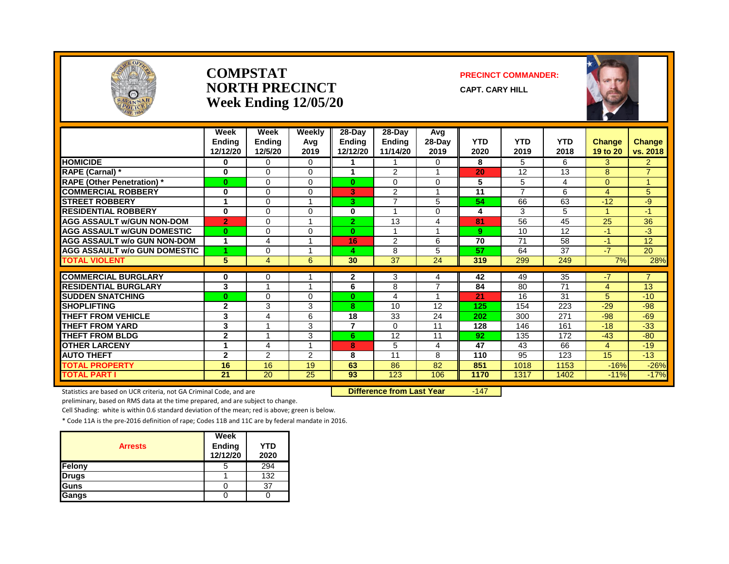

#### **COMPSTAT PRECINCT COMMANDER: NORTH PRECINCT** CAPT. CARY HILL **Week Ending 12/05/20**



|                                     | Week<br>Ending<br>12/12/20 | Week<br><b>Ending</b><br>12/5/20 | Weekly<br>Avg<br>2019 | $28$ -Day<br><b>Ending</b><br>12/12/20 | $28-Day$<br><b>Ending</b><br>11/14/20 | Avg<br>28-Day<br>2019 | <b>YTD</b><br>2020 | <b>YTD</b><br>2019 | <b>YTD</b><br>2018 | <b>Change</b><br>19 to 20 | <b>Change</b><br>vs. 2018 |
|-------------------------------------|----------------------------|----------------------------------|-----------------------|----------------------------------------|---------------------------------------|-----------------------|--------------------|--------------------|--------------------|---------------------------|---------------------------|
| <b>HOMICIDE</b>                     | 0                          | $\Omega$                         | $\Omega$              |                                        |                                       | $\Omega$              | 8                  | 5                  | 6                  | 3                         | 2 <sup>1</sup>            |
| <b>RAPE (Carnal)</b> *              | $\bf{0}$                   | 0                                | $\Omega$              | 1                                      | 2                                     |                       | 20                 | 12                 | 13                 | 8                         | $\overline{7}$            |
| <b>RAPE (Other Penetration)*</b>    | $\bf{0}$                   | $\Omega$                         | $\Omega$              | $\mathbf{0}$                           | 0                                     | $\Omega$              | 5                  | 5                  | 4                  | $\Omega$                  |                           |
| <b>COMMERCIAL ROBBERY</b>           | $\bf{0}$                   | $\Omega$                         | $\Omega$              | G.                                     | $\overline{2}$                        |                       | 11                 | 7                  | 6                  | 4                         | 5                         |
| <b>STREET ROBBERY</b>               |                            | $\Omega$                         |                       | 3.                                     | $\overline{\phantom{a}}$              | 5                     | 54                 | 66                 | 63                 | $-12$                     | -9                        |
| <b>RESIDENTIAL ROBBERY</b>          | $\mathbf 0$                | 0                                | $\Omega$              | 0                                      |                                       | $\mathbf 0$           | 4                  | 3                  | 5                  |                           | $-1$                      |
| <b>AGG ASSAULT w/GUN NON-DOM</b>    | $\overline{2}$             | $\mathbf 0$                      |                       | $\overline{2}$                         | 13                                    | 4                     | 81                 | 56                 | 45                 | 25                        | 36                        |
| <b>AGG ASSAULT W/GUN DOMESTIC</b>   | $\bf{0}$                   | $\Omega$                         | $\Omega$              | $\mathbf{0}$                           | 4                                     | $\overline{ }$        | 9                  | 10                 | 12                 | $-1$                      | $-3$                      |
| <b>AGG ASSAULT w/o GUN NON-DOM</b>  |                            | 4                                |                       | 16                                     | 2                                     | 6                     | 70                 | 71                 | 58                 | $-1$                      | 12                        |
| <b>AGG ASSAULT W/o GUN DOMESTIC</b> | 4.                         | 0                                |                       | 4                                      | 8                                     | 5                     | 57                 | 64                 | 37                 | $-7$                      | 20                        |
| <b>TOTAL VIOLENT</b>                | 5                          | $\overline{4}$                   | 6                     | 30                                     | $\overline{37}$                       | 24                    | 319                | 299                | 249                | 7%                        | 28%                       |
|                                     |                            |                                  |                       |                                        |                                       |                       |                    |                    |                    |                           |                           |
| <b>COMMERCIAL BURGLARY</b>          | $\bf{0}$                   | 0<br>$\overline{A}$              |                       | $\mathbf{2}$                           | 3                                     | 4                     | 42                 | 49                 | 35                 | $-7$                      | $\overline{7}$            |
| <b>RESIDENTIAL BURGLARY</b>         | 3                          |                                  | -1                    | 6                                      | 8                                     | $\overline{7}$        | 84                 | 80                 | 71                 | 4                         | 13                        |
| <b>SUDDEN SNATCHING</b>             | $\bf{0}$                   | $\Omega$                         | $\Omega$              | $\bf{0}$                               | 4                                     |                       | 21                 | 16                 | 31                 | 5.                        | $-10$                     |
| <b>SHOPLIFTING</b>                  | $\mathbf{2}$               | 3                                | 3                     | 8                                      | 10                                    | 12                    | 125                | 154                | 223                | $-29$                     | $-98$                     |
| <b>THEFT FROM VEHICLE</b>           | 3                          | 4                                | 6                     | 18                                     | 33                                    | 24                    | 202                | 300                | 271                | $-98$                     | $-69$                     |
| <b>THEFT FROM YARD</b>              | 3                          |                                  | 3                     | 7                                      | 0                                     | 11                    | 128                | 146                | 161                | $-18$                     | $-33$                     |
| <b>THEFT FROM BLDG</b>              | $\mathbf{2}$               |                                  | 3                     | 6                                      | 12                                    | 11                    | 92                 | 135                | 172                | $-43$                     | $-80$                     |
| <b>OTHER LARCENY</b>                |                            | 4                                |                       | 8                                      | 5                                     | 4                     | 47                 | 43                 | 66                 | 4                         | $-19$                     |
| <b>AUTO THEFT</b>                   | $\mathbf{2}$               | 2                                | $\overline{2}$        | 8                                      | 11                                    | 8                     | 110                | 95                 | 123                | 15                        | $-13$                     |
| <b>TOTAL PROPERTY</b>               | 16                         | 16                               | 19                    | 63                                     | 86                                    | 82                    | 851                | 1018               | 1153               | $-16%$                    | $-26%$                    |
| <b>TOTAL PART I</b>                 | 21                         | 20                               | 25                    | 93                                     | 123                                   | 106                   | 1170               | 1317               | 1402               | $-11%$                    | $-17%$                    |

Statistics are based on UCR criteria, not GA Criminal Code, and are **Difference from Last Year** -147

preliminary, based on RMS data at the time prepared, and are subject to change.

Cell Shading: white is within 0.6 standard deviation of the mean; red is above; green is below.

|                | Week               |                    |
|----------------|--------------------|--------------------|
| <b>Arrests</b> | Ending<br>12/12/20 | <b>YTD</b><br>2020 |
| Felony         |                    | 294                |
| <b>Drugs</b>   |                    | 132                |
| Guns           |                    | 37                 |
| Gangs          |                    |                    |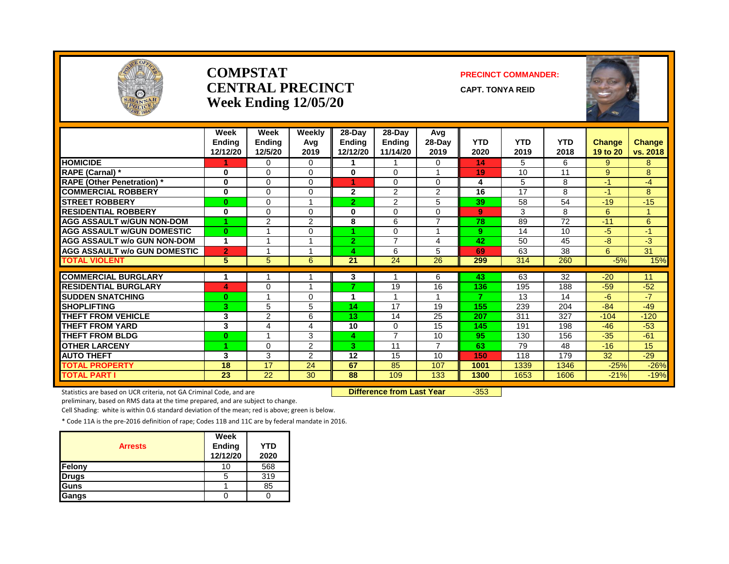

#### **COMPSTAT PRECINCT COMMANDER: CENTRAL PRECINCT** CAPT. TONYA REID **Week Ending 12/05/20**

|                                     | Week<br><b>Ending</b><br>12/12/20 | Week<br><b>Ending</b><br>12/5/20 | Weekly<br>Avg<br>2019 | 28-Day<br><b>Endina</b><br>12/12/20 | 28-Dav<br><b>Ending</b><br>11/14/20 | Avg<br>$28-Dav$<br>2019 | <b>YTD</b><br>2020 | <b>YTD</b><br>2019 | <b>YTD</b><br>2018 | Change<br>19 to 20 | <b>Change</b><br>vs. 2018 |
|-------------------------------------|-----------------------------------|----------------------------------|-----------------------|-------------------------------------|-------------------------------------|-------------------------|--------------------|--------------------|--------------------|--------------------|---------------------------|
| <b>HOMICIDE</b>                     |                                   | $\Omega$                         | 0                     | 1                                   |                                     | 0                       | 14                 | 5                  | 6                  | 9                  | 8                         |
| <b>RAPE (Carnal)</b> *              | 0                                 | $\Omega$                         | $\Omega$              | $\mathbf{0}$                        | $\Omega$                            | $\blacktriangleleft$    | 19                 | 10                 | 11                 | 9                  | 8                         |
| <b>RAPE (Other Penetration) *</b>   | 0                                 | $\Omega$                         | $\Omega$              | 4                                   | $\Omega$                            | 0                       | 4                  | 5                  | 8                  | $-1$               | -4                        |
| <b>COMMERCIAL ROBBERY</b>           | 0                                 | $\Omega$                         | 0                     | $\mathbf{2}$                        | 2                                   | 2                       | 16                 | 17                 | 8                  | $-1$               | 8                         |
| <b>STREET ROBBERY</b>               | $\bf{0}$                          | $\Omega$                         |                       | $\overline{2}$                      | 2                                   | 5                       | 39                 | 58                 | 54                 | $-19$              | $-15$                     |
| <b>RESIDENTIAL ROBBERY</b>          | $\bf{0}$                          | $\Omega$                         | $\Omega$              | 0                                   | $\Omega$                            | 0                       | 9                  | 3                  | 8                  | 6                  |                           |
| <b>AGG ASSAULT W/GUN NON-DOM</b>    | и                                 | 2                                | $\overline{2}$        | 8                                   | 6                                   | $\overline{ }$          | 78                 | 89                 | 72                 | $-11$              | 6                         |
| <b>AGG ASSAULT W/GUN DOMESTIC</b>   | $\bf{0}$                          |                                  | $\Omega$              |                                     | $\Omega$                            |                         | 9                  | 14                 | 10                 | -5                 | $-1$                      |
| <b>AGG ASSAULT w/o GUN NON-DOM</b>  | 1                                 |                                  |                       | $\overline{2}$                      | 7                                   | 4                       | 42                 | 50                 | 45                 | -8                 | -3                        |
| <b>AGG ASSAULT W/o GUN DOMESTIC</b> | $\overline{2}$                    |                                  |                       | 4                                   | 6                                   | 5                       | 69                 | 63                 | 38                 | 6                  | 31                        |
| <b>TOTAL VIOLENT</b>                | 5                                 | $5\overline{)}$                  | 6                     | 21                                  | 24                                  | 26                      | 299                | 314                | 260                | $-5%$              | 15%                       |
|                                     |                                   |                                  |                       |                                     |                                     |                         |                    |                    |                    |                    |                           |
| <b>COMMERCIAL BURGLARY</b>          | 1                                 |                                  |                       | 3                                   |                                     | 6                       | 43                 | 63                 | $\overline{32}$    | $-20$              | 11                        |
| <b>RESIDENTIAL BURGLARY</b>         | 4                                 | $\Omega$                         |                       |                                     | 19                                  | 16                      | 136                | 195                | 188                | $-59$              | $-52$                     |
| <b>SUDDEN SNATCHING</b>             | $\bf{0}$                          |                                  | 0                     | 1                                   |                                     |                         | 7                  | 13                 | 14                 | -6                 | $-7$                      |
| <b>SHOPLIFTING</b>                  | 3                                 | 5                                | 5                     | 14                                  | 17                                  | 19                      | 155                | 239                | 204                | $-84$              | $-49$                     |
| <b>THEFT FROM VEHICLE</b>           | 3                                 | 2                                | 6                     | 13                                  | 14                                  | 25                      | 207                | 311                | 327                | $-104$             | $-120$                    |
| <b>THEFT FROM YARD</b>              | 3                                 | 4                                | 4                     | 10                                  | $\Omega$                            | 15                      | 145                | 191                | 198                | $-46$              | $-53$                     |
| <b>THEFT FROM BLDG</b>              | $\bf{0}$                          |                                  | 3                     | 4                                   | 7                                   | 10                      | 95                 | 130                | 156                | $-35$              | $-61$                     |
| <b>OTHER LARCENY</b>                | 4                                 | $\Omega$                         | $\overline{2}$        | 3.                                  | 11                                  | $\overline{7}$          | 63                 | 79                 | 48                 | $-16$              | 15                        |
| <b>AUTO THEFT</b>                   | 3                                 | 3                                | 2                     | 12                                  | 15                                  | 10                      | 150                | 118                | 179                | 32                 | $-29$                     |
| <b>TOTAL PROPERTY</b>               | 18                                | 17                               | 24                    | 67                                  | 85                                  | 107                     | 1001               | 1339               | 1346               | $-25%$             | $-26%$                    |
| <b>TOTAL PART I</b>                 | 23                                | 22                               | 30                    | 88                                  | 109                                 | 133                     | 1300               | 1653               | 1606               | $-21%$             | $-19%$                    |

Statistics are based on UCR criteria, not GA Criminal Code, and are **Difference from Last Year** -353

preliminary, based on RMS data at the time prepared, and are subject to change.

Cell Shading: white is within 0.6 standard deviation of the mean; red is above; green is below.

| <b>Arrests</b> | Week<br><b>Ending</b><br>12/12/20 | <b>YTD</b><br>2020 |
|----------------|-----------------------------------|--------------------|
| Felony         | 10                                | 568                |
| <b>Drugs</b>   | 5                                 | 319                |
| Guns           |                                   | 85                 |
| Gangs          |                                   |                    |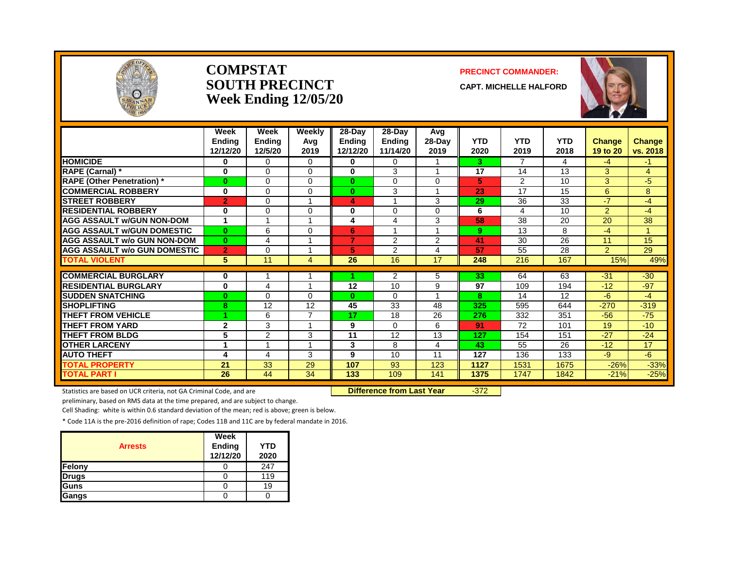

#### **COMPSTAT PRECINCT COMMANDER: SOUTH PRECINCT CAPT. MICHELLE HALFORD Week Ending 12/05/20**



|                                     | Week<br><b>Endina</b> | Week<br><b>Ending</b> | Weekly<br>Avg | 28-Day<br>Ending | $28$ -Day<br><b>Ending</b> | Avg<br>28-Day  | <b>YTD</b>      | <b>YTD</b> | <b>YTD</b> | <b>Change</b>  | <b>Change</b> |
|-------------------------------------|-----------------------|-----------------------|---------------|------------------|----------------------------|----------------|-----------------|------------|------------|----------------|---------------|
|                                     | 12/12/20              | 12/5/20               | 2019          | 12/12/20         | 11/14/20                   | 2019           | 2020            | 2019       | 2018       | 19 to 20       | vs. 2018      |
| <b>HOMICIDE</b>                     | $\bf{0}$              | $\Omega$              | $\Omega$      | 0                | $\Omega$                   |                | 3               |            | 4          | $-4$           | -1            |
| <b>RAPE (Carnal) *</b>              | $\bf{0}$              | $\mathbf 0$           | $\Omega$      | 0                | 3                          |                | $\overline{17}$ | 14         | 13         | 3              | 4             |
| <b>RAPE (Other Penetration) *</b>   | $\bf{0}$              | $\Omega$              | $\mathbf{0}$  | $\bf{0}$         | $\Omega$                   | $\Omega$       | 5               | 2          | 10         | 3              | $-5$          |
| <b>COMMERCIAL ROBBERY</b>           | $\bf{0}$              | $\Omega$              | $\Omega$      | $\mathbf{0}$     | 3                          |                | 23              | 17         | 15         | 6              | 8             |
| <b>STREET ROBBERY</b>               | $\overline{2}$        | 0                     |               | 4                |                            | 3              | 29              | 36         | 33         | $-7$           | -4            |
| <b>RESIDENTIAL ROBBERY</b>          | 0                     | $\Omega$              | $\Omega$      | 0                | $\Omega$                   | $\Omega$       | 6               | 4          | 10         | $\overline{2}$ | $-4$          |
| <b>AGG ASSAULT W/GUN NON-DOM</b>    | 1                     |                       |               | 4                | 4                          | 3              | 58              | 38         | 20         | 20             | 38            |
| <b>AGG ASSAULT W/GUN DOMESTIC</b>   | $\mathbf{0}$          | 6                     | $\Omega$      | 6                |                            |                | 9               | 13         | 8          | $-4$           | 1             |
| <b>AGG ASSAULT w/o GUN NON-DOM</b>  | $\mathbf{0}$          | 4                     |               | $\overline{7}$   | 2                          | $\overline{2}$ | 41              | 30         | 26         | 11             | 15            |
| <b>AGG ASSAULT W/o GUN DOMESTIC</b> | $\overline{2}$        | $\Omega$              | 1             | 5                | 2                          | 4              | 57              | 55         | 28         | $\overline{2}$ | 29            |
| <b>TOTAL VIOLENT</b>                | 5                     | 11                    | 4             | 26               | 16                         | 17             | 248             | 216        | 167        | 15%            | 49%           |
|                                     |                       |                       |               |                  |                            |                |                 |            |            |                |               |
| <b>COMMERCIAL BURGLARY</b>          | $\bf{0}$              |                       |               |                  | $\overline{2}$             | 5              | 33              | 64         | 63         | $-31$          | $-30$         |
| <b>RESIDENTIAL BURGLARY</b>         | $\bf{0}$              | $\overline{4}$        |               | 12               | 10                         | 9              | 97              | 109        | 194        | $-12$          | $-97$         |
| <b>SUDDEN SNATCHING</b>             | $\bf{0}$              | $\Omega$              | $\Omega$      | $\bf{0}$         | $\Omega$                   |                | 8               | 14         | 12         | -6             | $-4$          |
| <b>SHOPLIFTING</b>                  | 8                     | 12                    | 12            | 45               | 33                         | 48             | 325             | 595        | 644        | $-270$         | $-319$        |
| <b>THEFT FROM VEHICLE</b>           | 1                     | 6                     | 7             | 17               | 18                         | 26             | 276             | 332        | 351        | $-56$          | $-75$         |
| <b>THEFT FROM YARD</b>              | $\mathbf{2}$          | 3                     | 1             | 9                | $\Omega$                   | 6              | 91              | 72         | 101        | 19             | $-10$         |
| <b>THEFT FROM BLDG</b>              | 5                     | 2                     | 3             | 11               | 12                         | 13             | 127             | 154        | 151        | $-27$          | $-24$         |
| <b>OTHER LARCENY</b>                |                       |                       |               | 3                | 8                          | 4              | 43              | 55         | 26         | $-12$          | 17            |
| <b>AUTO THEFT</b>                   | 4                     | 4                     | 3             | 9                | 10                         | 11             | 127             | 136        | 133        | -9             | -6            |
| <b>TOTAL PROPERTY</b>               | 21                    | 33                    | 29            | 107              | 93                         | 123            | 1127            | 1531       | 1675       | $-26%$         | $-33%$        |
| <b>TOTAL PART I</b>                 | 26                    | 44                    | 34            | 133              | 109                        | 141            | 1375            | 1747       | 1842       | $-21%$         | $-25%$        |

Statistics are based on UCR criteria, not GA Criminal Code, and are **Difference from Last Year** -372

preliminary, based on RMS data at the time prepared, and are subject to change.

Cell Shading: white is within 0.6 standard deviation of the mean; red is above; green is below.

| <b>Arrests</b> | Week<br>Ending<br>12/12/20 | <b>YTD</b><br>2020 |
|----------------|----------------------------|--------------------|
| Felony         |                            | 247                |
| <b>Drugs</b>   |                            | 119                |
| Guns           |                            | 19                 |
| Gangs          |                            |                    |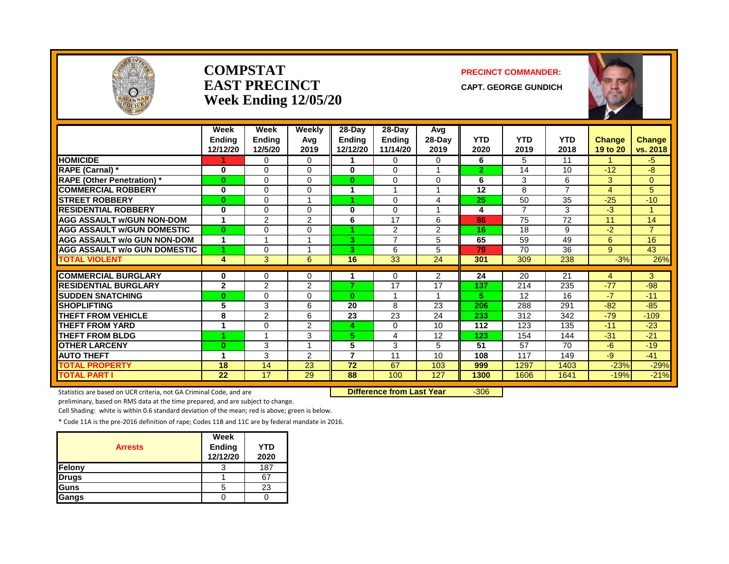

#### **COMPSTAT PRECINCT COMMANDER: EAST PRECINCT** CAPT. GEORGE GUNDICH **Week Ending 12/05/20**



|                                     | Week<br><b>Endina</b><br>12/12/20 | Week<br><b>Ending</b><br>12/5/20 | Weekly<br>Avg<br>2019   | 28-Day<br><b>Ending</b><br>12/12/20 | 28-Dav<br><b>Ending</b><br>11/14/20 | Avg<br>28-Day<br>2019 | <b>YTD</b><br>2020 | <b>YTD</b><br>2019 | <b>YTD</b><br>2018 | <b>Change</b><br>19 to 20 | <b>Change</b><br>vs. 2018 |
|-------------------------------------|-----------------------------------|----------------------------------|-------------------------|-------------------------------------|-------------------------------------|-----------------------|--------------------|--------------------|--------------------|---------------------------|---------------------------|
| <b>HOMICIDE</b>                     |                                   | $\Omega$                         | $\Omega$                |                                     | $\Omega$                            | 0                     | 6                  | 5                  | 11                 | $\overline{A}$            | $-5$                      |
| <b>RAPE (Carnal)</b> *              | $\bf{0}$                          | $\Omega$                         | $\Omega$                | 0                                   | $\Omega$                            | $\overline{ }$        | $\mathbf{2}$       | 14                 | 10                 | $-12$                     | -8                        |
| <b>RAPE (Other Penetration)</b> *   | $\bf{0}$                          | $\Omega$                         | $\Omega$                | 0                                   | 0                                   | $\Omega$              | 6                  | 3                  | 6                  | 3                         | $\overline{0}$            |
| <b>COMMERCIAL ROBBERY</b>           | $\mathbf 0$                       | $\Omega$                         | $\Omega$                |                                     |                                     |                       | 12                 | 8                  | 7                  | $\overline{4}$            | 5                         |
| <b>STREET ROBBERY</b>               | $\bf{0}$                          | $\Omega$                         |                         |                                     | $\Omega$                            | 4                     | 25                 | 50                 | 35                 | $-25$                     | $-10$                     |
| <b>RESIDENTIAL ROBBERY</b>          | $\mathbf 0$                       | $\Omega$                         | $\Omega$                | 0                                   | $\Omega$                            | 1                     | 4                  | $\overline{7}$     | 3                  | $-3$                      | $\blacktriangleleft$      |
| <b>AGG ASSAULT w/GUN NON-DOM</b>    | 4                                 | 2                                | $\overline{2}$          | 6                                   | 17                                  | 6                     | 86                 | 75                 | 72                 | 11                        | 14                        |
| <b>AGG ASSAULT W/GUN DOMESTIC</b>   | $\bf{0}$                          | $\Omega$                         | $\Omega$                |                                     | 2                                   | 2                     | 16                 | 18                 | 9                  | $-2$                      | $\overline{7}$            |
| <b>AGG ASSAULT w/o GUN NON-DOM</b>  | 1                                 |                                  |                         | 3.                                  | $\overline{7}$                      | 5                     | 65                 | 59                 | 49                 | 6                         | 16                        |
| <b>AGG ASSAULT W/o GUN DOMESTIC</b> | 1                                 | $\mathbf 0$                      |                         | 3.                                  | 6                                   | 5                     | 79                 | 70                 | 36                 | 9                         | 43                        |
| <b>TOTAL VIOLENT</b>                | 4                                 | 3                                | 6                       | 16                                  | 33                                  | 24                    | 301                | 309                | 238                | $-3%$                     | 26%                       |
|                                     |                                   |                                  |                         |                                     |                                     |                       |                    |                    |                    |                           |                           |
| <b>ICOMMERCIAL BURGLARY</b>         | 0                                 | $\Omega$                         | 0                       |                                     | $\Omega$                            | 2                     | 24                 | 20                 | 21                 | 4                         | 3                         |
| <b>RESIDENTIAL BURGLARY</b>         | $\overline{2}$                    | $\overline{2}$                   | $\overline{2}$          | 7                                   | $\overline{17}$                     | $\overline{17}$       | 137                | 214                | 235                | $-77$                     | -98                       |
| <b>SUDDEN SNATCHING</b>             | $\bf{0}$                          | $\Omega$                         | $\Omega$                | $\bf{0}$                            | $\overline{\mathbf{A}}$             | $\overline{ }$        | 5.                 | 12                 | 16                 | $-7$                      | $-11$                     |
| <b>SHOPLIFTING</b>                  | 5                                 | 3                                | 6                       | 20                                  | 8                                   | 23                    | 206                | 288                | 291                | $-82$                     | $-85$                     |
| <b>THEFT FROM VEHICLE</b>           | 8                                 | $\overline{2}$                   | 6                       | 23                                  | 23                                  | 24                    | 233                | 312                | 342                | $-79$                     | $-109$                    |
| <b>THEFT FROM YARD</b>              |                                   | $\Omega$                         | $\overline{2}$          | 4                                   | $\Omega$                            | 10                    | 112                | 123                | 135                | $-11$                     | $-23$                     |
| <b>THEFT FROM BLDG</b>              | 4                                 |                                  | 3                       | 5.                                  | 4                                   | 12                    | 123                | 154                | 144                | $-31$                     | $-21$                     |
| <b>OTHER LARCENY</b>                | $\bf{0}$                          | 3                                | $\overline{\mathbf{A}}$ | 5                                   | 3                                   | 5                     | 51                 | 57                 | 70                 | -6                        | $-19$                     |
| <b>AUTO THEFT</b>                   |                                   | 3                                | $\overline{2}$          | 7                                   | 11                                  | 10                    | 108                | 117                | 149                | -9                        | $-41$                     |
| <b>TOTAL PROPERTY</b>               | 18                                | 14                               | 23                      | 72                                  | 67                                  | 103                   | 999                | 1297               | 1403               | $-23%$                    | $-29%$                    |
| <b>TOTAL PART I</b>                 | 22                                | 17                               | 29                      | 88                                  | 100                                 | 127                   | 1300               | 1606               | 1641               | $-19%$                    | $-21%$                    |

Statistics are based on UCR criteria, not GA Criminal Code, and are **Difference from Last Year** -306

preliminary, based on RMS data at the time prepared, and are subject to change.

Cell Shading: white is within 0.6 standard deviation of the mean; red is above; green is below.

| <b>Arrests</b> | Week<br>Ending<br>12/12/20 | <b>YTD</b><br>2020 |
|----------------|----------------------------|--------------------|
| Felony         |                            | 187                |
| <b>Drugs</b>   |                            | ี คิ               |
| Guns           |                            | 23                 |
| Gangs          |                            |                    |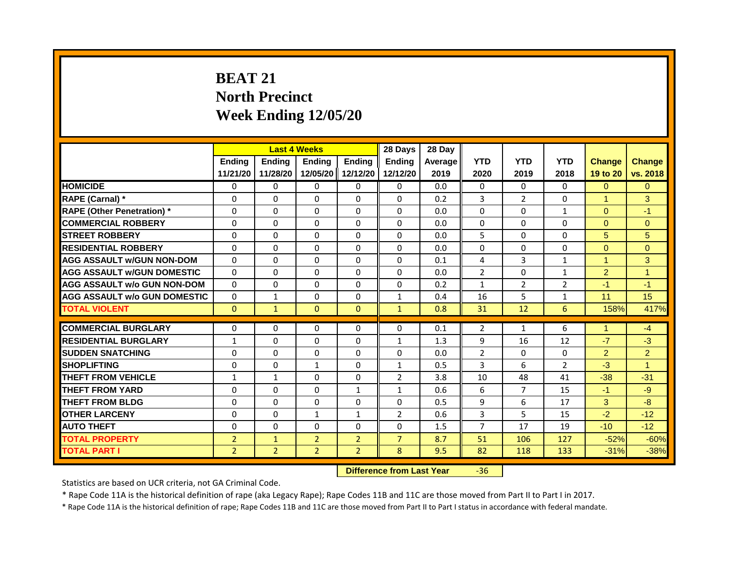## **BEAT 21 North Precinct Week Ending 12/05/20**

|                                     |                |                | <b>Last 4 Weeks</b> |                | 28 Days                          | 28 Day  |                |                |                |                      |                      |
|-------------------------------------|----------------|----------------|---------------------|----------------|----------------------------------|---------|----------------|----------------|----------------|----------------------|----------------------|
|                                     | <b>Ending</b>  | <b>Ending</b>  | Ending              | <b>Endina</b>  | <b>Endina</b>                    | Average | <b>YTD</b>     | <b>YTD</b>     | <b>YTD</b>     | <b>Change</b>        | <b>Change</b>        |
|                                     | 11/21/20       | 11/28/20       | 12/05/20            | 12/12/20       | 12/12/20                         | 2019    | 2020           | 2019           | 2018           | 19 to 20             | vs. 2018             |
| <b>HOMICIDE</b>                     | 0              | 0              | $\mathbf{0}$        | 0              | 0                                | 0.0     | $\mathbf{0}$   | $\Omega$       | $\Omega$       | $\Omega$             | $\Omega$             |
| RAPE (Carnal) *                     | $\Omega$       | $\Omega$       | 0                   | $\Omega$       | $\Omega$                         | 0.2     | 3              | $\overline{2}$ | $\Omega$       | $\blacktriangleleft$ | 3                    |
| <b>RAPE (Other Penetration)</b> *   | $\Omega$       | $\Omega$       | $\Omega$            | $\Omega$       | $\Omega$                         | 0.0     | $\Omega$       | $\Omega$       | $\mathbf{1}$   | $\Omega$             | $-1$                 |
| <b>COMMERCIAL ROBBERY</b>           | $\Omega$       | $\Omega$       | $\Omega$            | $\Omega$       | $\Omega$                         | 0.0     | $\Omega$       | $\mathbf{0}$   | $\Omega$       | $\Omega$             | $\Omega$             |
| <b>STREET ROBBERY</b>               | $\Omega$       | $\Omega$       | 0                   | $\Omega$       | $\Omega$                         | 0.0     | 5              | $\Omega$       | $\Omega$       | 5                    | 5                    |
| <b>RESIDENTIAL ROBBERY</b>          | $\Omega$       | $\Omega$       | $\Omega$            | $\Omega$       | $\Omega$                         | 0.0     | $\Omega$       | $\Omega$       | $\Omega$       | $\Omega$             | $\Omega$             |
| <b>AGG ASSAULT w/GUN NON-DOM</b>    | $\Omega$       | $\Omega$       | $\Omega$            | $\Omega$       | $\Omega$                         | 0.1     | $\overline{4}$ | 3              | $\mathbf{1}$   | $\blacktriangleleft$ | $\mathbf{3}$         |
| <b>AGG ASSAULT W/GUN DOMESTIC</b>   | $\Omega$       | $\Omega$       | $\Omega$            | $\Omega$       | $\Omega$                         | 0.0     | $\overline{2}$ | $\Omega$       | $\mathbf{1}$   | $\overline{2}$       | $\blacktriangleleft$ |
| <b>AGG ASSAULT w/o GUN NON-DOM</b>  | $\Omega$       | $\Omega$       | 0                   | $\Omega$       | $\Omega$                         | 0.2     | $\mathbf{1}$   | $\overline{2}$ | $\overline{2}$ | $-1$                 | $-1$                 |
| <b>AGG ASSAULT w/o GUN DOMESTIC</b> | $\Omega$       | 1              | 0                   | $\Omega$       | $\mathbf{1}$                     | 0.4     | 16             | 5              | $\mathbf{1}$   | 11                   | 15                   |
| <b>TOTAL VIOLENT</b>                | $\mathbf{0}$   | $\mathbf{1}$   | $\mathbf{0}$        | $\Omega$       | $\mathbf{1}$                     | 0.8     | 31             | 12             | 6              | 158%                 | 417%                 |
|                                     |                |                |                     |                |                                  |         |                |                |                |                      |                      |
| <b>COMMERCIAL BURGLARY</b>          | $\Omega$       | $\Omega$       | $\Omega$            | $\Omega$       | $\Omega$                         | 0.1     | $\overline{2}$ | 1              | 6              | $\blacktriangleleft$ | $-4$                 |
| <b>RESIDENTIAL BURGLARY</b>         | $\mathbf{1}$   | $\Omega$       | $\Omega$            | $\Omega$       | $\mathbf{1}$                     | 1.3     | 9              | 16             | 12             | $-7$                 | $-3$                 |
| <b>SUDDEN SNATCHING</b>             | $\Omega$       | $\Omega$       | $\Omega$            | $\Omega$       | 0                                | 0.0     | $\overline{2}$ | $\Omega$       | $\Omega$       | $\overline{2}$       | $\overline{2}$       |
| <b>SHOPLIFTING</b>                  | $\Omega$       | $\Omega$       | $\mathbf{1}$        | $\Omega$       | $\mathbf{1}$                     | 0.5     | 3              | 6              | $\overline{2}$ | $-3$                 | $\blacktriangleleft$ |
| <b>THEFT FROM VEHICLE</b>           | $\mathbf{1}$   | $\mathbf{1}$   | $\Omega$            | $\Omega$       | $\overline{2}$                   | 3.8     | 10             | 48             | 41             | $-38$                | $-31$                |
| <b>THEFT FROM YARD</b>              | $\Omega$       | $\Omega$       | $\Omega$            | $\mathbf{1}$   | $\mathbf{1}$                     | 0.6     | 6              | $\overline{7}$ | 15             | $-1$                 | $-9$                 |
| <b>THEFT FROM BLDG</b>              | $\Omega$       | $\Omega$       | $\Omega$            | $\Omega$       | $\Omega$                         | 0.5     | 9              | 6              | 17             | 3                    | $-8$                 |
| <b>OTHER LARCENY</b>                | $\Omega$       | $\Omega$       | $\mathbf{1}$        | $\mathbf{1}$   | $\overline{2}$                   | 0.6     | 3              | 5              | 15             | $-2$                 | $-12$                |
| <b>AUTO THEFT</b>                   | 0              | $\Omega$       | $\Omega$            | $\Omega$       | $\Omega$                         | 1.5     | $\overline{7}$ | 17             | 19             | $-10$                | $-12$                |
| <b>TOTAL PROPERTY</b>               | $\overline{2}$ | $\mathbf{1}$   | $\overline{2}$      | $\overline{2}$ | $\overline{7}$                   | 8.7     | 51             | 106            | 127            | $-52%$               | $-60%$               |
| <b>TOTAL PART I</b>                 | $\overline{2}$ | 2 <sup>1</sup> | $\overline{2}$      | $\overline{2}$ | 8                                | 9.5     | 82             | 118            | 133            | $-31%$               | $-38%$               |
|                                     |                |                |                     |                | <b>Difference from Last Year</b> |         | $-36$          |                |                |                      |                      |

Statistics are based on UCR criteria, not GA Criminal Code.

\* Rape Code 11A is the historical definition of rape (aka Legacy Rape); Rape Codes 11B and 11C are those moved from Part II to Part I in 2017.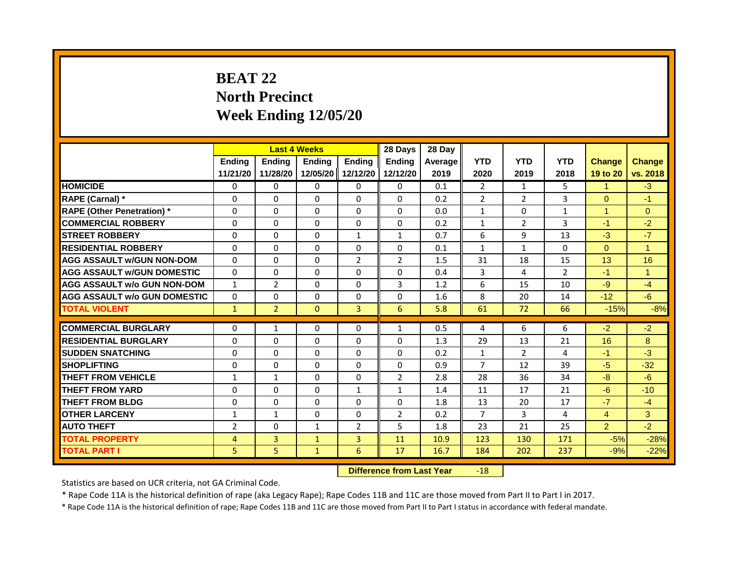# **BEAT 22 North Precinct Week Ending 12/05/20**

|                                     |                | <b>Last 4 Weeks</b> |              |                | 28 Days                          | 28 Day  |                |                |                |                      |                      |
|-------------------------------------|----------------|---------------------|--------------|----------------|----------------------------------|---------|----------------|----------------|----------------|----------------------|----------------------|
|                                     | <b>Ending</b>  | <b>Ending</b>       | Ending       | <b>Ending</b>  | <b>Ending</b>                    | Average | <b>YTD</b>     | <b>YTD</b>     | <b>YTD</b>     | <b>Change</b>        | <b>Change</b>        |
|                                     | 11/21/20       | 11/28/20            | 12/05/20     | 12/12/20       | 12/12/20                         | 2019    | 2020           | 2019           | 2018           | 19 to 20             | vs. 2018             |
| <b>HOMICIDE</b>                     | 0              | 0                   | 0            | 0              | 0                                | 0.1     | $\overline{2}$ | $\mathbf{1}$   | 5.             | 1                    | $-3$                 |
| RAPE (Carnal) *                     | 0              | $\Omega$            | $\Omega$     | $\Omega$       | $\Omega$                         | 0.2     | 2              | $\overline{2}$ | 3              | $\Omega$             | $-1$                 |
| <b>RAPE (Other Penetration)</b> *   | $\Omega$       | $\Omega$            | $\Omega$     | $\Omega$       | $\Omega$                         | 0.0     | $\mathbf{1}$   | $\Omega$       | $\mathbf{1}$   | $\blacktriangleleft$ | $\overline{0}$       |
| <b>COMMERCIAL ROBBERY</b>           | 0              | 0                   | 0            | 0              | 0                                | 0.2     | $\mathbf{1}$   | $\overline{2}$ | 3              | $-1$                 | $-2$                 |
| <b>STREET ROBBERY</b>               | 0              | $\Omega$            | $\Omega$     | $\mathbf{1}$   | $\mathbf{1}$                     | 0.7     | 6              | 9              | 13             | $-3$                 | $-7$                 |
| <b>RESIDENTIAL ROBBERY</b>          | $\Omega$       | 0                   | $\Omega$     | 0              | 0                                | 0.1     | $\mathbf{1}$   | $\mathbf{1}$   | $\Omega$       | $\Omega$             | $\blacktriangleleft$ |
| <b>AGG ASSAULT w/GUN NON-DOM</b>    | $\mathbf{0}$   | $\Omega$            | $\Omega$     | $\overline{2}$ | $\overline{2}$                   | 1.5     | 31             | 18             | 15             | 13                   | 16                   |
| <b>AGG ASSAULT W/GUN DOMESTIC</b>   | $\Omega$       | $\Omega$            | $\Omega$     | $\Omega$       | $\Omega$                         | 0.4     | 3              | 4              | $\overline{2}$ | $-1$                 | $\mathbf{1}$         |
| <b>AGG ASSAULT w/o GUN NON-DOM</b>  | $\mathbf{1}$   | $\overline{2}$      | $\Omega$     | $\Omega$       | 3                                | 1.2     | 6              | 15             | 10             | $-9$                 | $-4$                 |
| <b>AGG ASSAULT w/o GUN DOMESTIC</b> | $\Omega$       | 0                   | $\Omega$     | 0              | 0                                | 1.6     | 8              | 20             | 14             | $-12$                | $-6$                 |
| <b>TOTAL VIOLENT</b>                | $\mathbf{1}$   | $\overline{2}$      | $\mathbf{0}$ | $\overline{3}$ | 6                                | 5.8     | 61             | 72             | 66             | $-15%$               | $-8%$                |
|                                     |                |                     |              |                |                                  |         |                |                |                |                      |                      |
| <b>COMMERCIAL BURGLARY</b>          | 0              | 1                   | $\Omega$     | 0              | 1                                | 0.5     | 4              | 6              | 6              | $-2$                 | $-2$                 |
| <b>RESIDENTIAL BURGLARY</b>         | $\mathbf{0}$   | $\Omega$            | $\Omega$     | $\Omega$       | $\Omega$                         | 1.3     | 29             | 13             | 21             | 16                   | 8                    |
| <b>SUDDEN SNATCHING</b>             | $\Omega$       | $\Omega$            | $\Omega$     | $\Omega$       | $\Omega$                         | 0.2     | $\mathbf{1}$   | $\overline{2}$ | 4              | $-1$                 | $-3$                 |
| <b>SHOPLIFTING</b>                  | $\Omega$       | $\mathbf{0}$        | $\Omega$     | $\Omega$       | $\Omega$                         | 0.9     | $\overline{7}$ | 12             | 39             | $-5$                 | $-32$                |
| <b>THEFT FROM VEHICLE</b>           | $\mathbf{1}$   | $\mathbf{1}$        | $\Omega$     | $\Omega$       | $\overline{2}$                   | 2.8     | 28             | 36             | 34             | $-8$                 | $-6$                 |
| <b>THEFT FROM YARD</b>              | $\Omega$       | $\Omega$            | $\mathbf{0}$ | $\mathbf{1}$   | $\mathbf{1}$                     | 1.4     | 11             | 17             | 21             | $-6$                 | $-10$                |
| <b>THEFT FROM BLDG</b>              | 0              | $\mathbf{0}$        | 0            | $\Omega$       | $\Omega$                         | 1.8     | 13             | 20             | 17             | $-7$                 | $-4$                 |
| <b>OTHER LARCENY</b>                | $\mathbf{1}$   | $\mathbf{1}$        | $\Omega$     | $\Omega$       | $\overline{2}$                   | 0.2     | $\overline{7}$ | 3              | 4              | $\overline{4}$       | 3                    |
| <b>AUTO THEFT</b>                   | $\overline{2}$ | 0                   | $\mathbf{1}$ | 2              | 5                                | 1.8     | 23             | 21             | 25             | $\overline{2}$       | $-2$                 |
| <b>TOTAL PROPERTY</b>               | $\overline{4}$ | 3                   | $\mathbf{1}$ | $\overline{3}$ | 11                               | 10.9    | 123            | 130            | 171            | $-5%$                | $-28%$               |
| <b>TOTAL PART I</b>                 | 5              | 5                   | $\mathbf{1}$ | 6              | 17                               | 16.7    | 184            | 202            | 237            | $-9%$                | $-22%$               |
|                                     |                |                     |              |                | <b>Difference from Last Year</b> |         | $-18$          |                |                |                      |                      |

Statistics are based on UCR criteria, not GA Criminal Code.

\* Rape Code 11A is the historical definition of rape (aka Legacy Rape); Rape Codes 11B and 11C are those moved from Part II to Part I in 2017.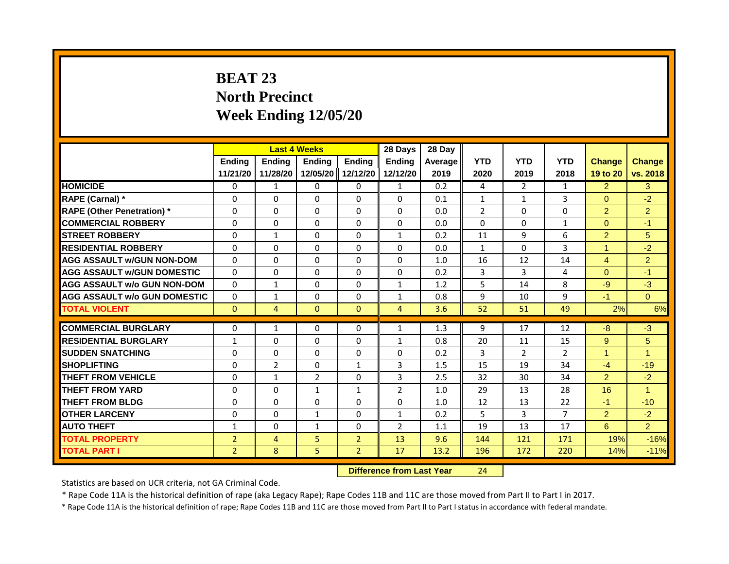# **BEAT 23 North Precinct Week Ending 12/05/20**

|                                     | <b>Last 4 Weeks</b> |                                  |              | 28 Days        | 28 Day         |         |                |                |                |                |                |
|-------------------------------------|---------------------|----------------------------------|--------------|----------------|----------------|---------|----------------|----------------|----------------|----------------|----------------|
|                                     | <b>Ending</b>       | <b>Ending</b>                    | Ending       | <b>Ending</b>  | Endina         | Average | <b>YTD</b>     | <b>YTD</b>     | <b>YTD</b>     | <b>Change</b>  | <b>Change</b>  |
|                                     | 11/21/20            | 11/28/20                         | 12/05/20     | 12/12/20       | 12/12/20       | 2019    | 2020           | 2019           | 2018           | 19 to 20       | vs. 2018       |
| <b>HOMICIDE</b>                     | 0                   | 1                                | 0            | 0              | 1              | 0.2     | 4              | $\overline{2}$ | $\mathbf{1}$   | $\overline{2}$ | 3              |
| RAPE (Carnal) *                     | 0                   | $\Omega$                         | $\Omega$     | $\Omega$       | $\Omega$       | 0.1     | $\mathbf{1}$   | 1              | 3              | $\Omega$       | $-2$           |
| <b>RAPE (Other Penetration)</b> *   | $\Omega$            | $\mathbf{0}$                     | $\Omega$     | $\Omega$       | $\Omega$       | 0.0     | $\overline{2}$ | $\Omega$       | $\Omega$       | $\overline{2}$ | $\overline{2}$ |
| <b>COMMERCIAL ROBBERY</b>           | 0                   | 0                                | 0            | 0              | 0              | 0.0     | $\Omega$       | $\Omega$       | 1              | $\overline{0}$ | $-1$           |
| <b>STREET ROBBERY</b>               | $\Omega$            | $\mathbf{1}$                     | $\Omega$     | $\Omega$       | $\mathbf{1}$   | 0.2     | 11             | 9              | 6              | $\overline{2}$ | 5              |
| <b>RESIDENTIAL ROBBERY</b>          | $\Omega$            | $\Omega$                         | $\Omega$     | $\Omega$       | $\Omega$       | 0.0     | $\mathbf{1}$   | $\Omega$       | 3              | $\mathbf{1}$   | $-2$           |
| <b>AGG ASSAULT w/GUN NON-DOM</b>    | $\Omega$            | $\Omega$                         | $\Omega$     | $\Omega$       | $\Omega$       | 1.0     | 16             | 12             | 14             | $\overline{4}$ | $\overline{2}$ |
| <b>AGG ASSAULT W/GUN DOMESTIC</b>   | $\Omega$            | $\Omega$                         | $\Omega$     | $\Omega$       | $\Omega$       | 0.2     | 3              | $\overline{3}$ | 4              | $\Omega$       | $-1$           |
| <b>AGG ASSAULT w/o GUN NON-DOM</b>  | $\Omega$            | 1                                | $\Omega$     | $\Omega$       | 1              | 1.2     | 5              | 14             | 8              | $-9$           | $-3$           |
| <b>AGG ASSAULT w/o GUN DOMESTIC</b> | $\Omega$            | $\mathbf{1}$                     | $\Omega$     | $\Omega$       | $\mathbf{1}$   | 0.8     | 9              | 10             | 9              | $-1$           | $\Omega$       |
| <b>TOTAL VIOLENT</b>                | $\mathbf{0}$        | $\overline{4}$                   | $\mathbf{0}$ | $\overline{0}$ | $\overline{4}$ | 3.6     | 52             | 51             | 49             | 2%             | 6%             |
| <b>COMMERCIAL BURGLARY</b>          | 0                   | 1                                | $\Omega$     | 0              | 1              | 1.3     | 9              | 17             | 12             | $-8$           | $-3$           |
| <b>RESIDENTIAL BURGLARY</b>         | $\mathbf{1}$        | $\mathbf{0}$                     | $\Omega$     | $\Omega$       | $\mathbf{1}$   | 0.8     | 20             | 11             | 15             | 9              | 5 <sup>5</sup> |
| <b>SUDDEN SNATCHING</b>             | $\Omega$            | $\Omega$                         | $\Omega$     | $\Omega$       | $\Omega$       | 0.2     | $\overline{3}$ | $\overline{2}$ | $\overline{2}$ | $\mathbf{1}$   | $\mathbf{1}$   |
|                                     |                     |                                  |              |                |                |         |                |                |                |                |                |
| <b>SHOPLIFTING</b>                  | $\Omega$            | $\overline{2}$                   | $\Omega$     | $\mathbf{1}$   | $\overline{3}$ | 1.5     | 15             | 19             | 34             | $-4$           | $-19$          |
| <b>THEFT FROM VEHICLE</b>           | $\Omega$            | $\mathbf{1}$                     | 2            | $\Omega$       | 3              | 2.5     | 32             | 30             | 34             | $\overline{2}$ | $-2$           |
| <b>THEFT FROM YARD</b>              | $\Omega$            | $\Omega$                         | $\mathbf{1}$ | $\mathbf{1}$   | $\overline{2}$ | 1.0     | 29             | 13             | 28             | 16             | $\mathbf{1}$   |
| <b>THEFT FROM BLDG</b>              | $\Omega$            | $\Omega$                         | $\Omega$     | $\Omega$       | $\Omega$       | 1.0     | 12             | 13             | 22             | $-1$           | $-10$          |
| <b>OTHER LARCENY</b>                | $\Omega$            | $\Omega$                         | $\mathbf{1}$ | $\Omega$       | $\mathbf{1}$   | 0.2     | 5              | $\overline{3}$ | $\overline{7}$ | $\overline{2}$ | $-2$           |
| <b>AUTO THEFT</b>                   | 1                   | 0                                | 1            | 0              | $\overline{2}$ | 1.1     | 19             | 13             | 17             | $6\phantom{1}$ | $\overline{2}$ |
| <b>TOTAL PROPERTY</b>               | $\overline{2}$      | $\overline{4}$                   | 5            | $\overline{2}$ | 13             | 9.6     | 144            | 121            | 171            | 19%            | $-16%$         |
| <b>TOTAL PART I</b>                 | $\overline{2}$      | 8                                | 5            | $\overline{2}$ | 17             | 13.2    | 196            | 172            | 220            | 14%            | $-11%$         |
|                                     |                     | <b>Difference from Last Year</b> |              | 24             |                |         |                |                |                |                |                |

Statistics are based on UCR criteria, not GA Criminal Code.

\* Rape Code 11A is the historical definition of rape (aka Legacy Rape); Rape Codes 11B and 11C are those moved from Part II to Part I in 2017.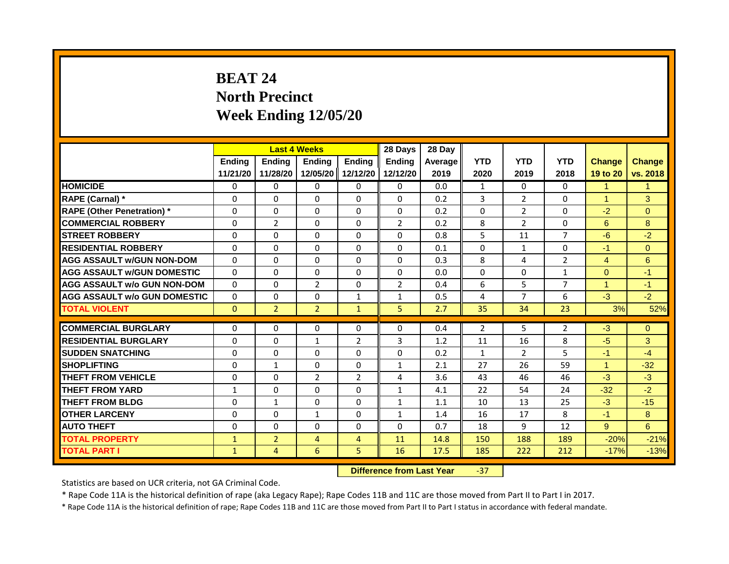# **BEAT 24 North Precinct Week Ending 12/05/20**

|                                     | <b>Last 4 Weeks</b> |                                  |                | 28 Days        | 28 Day         |         |                |                |                |                      |                |
|-------------------------------------|---------------------|----------------------------------|----------------|----------------|----------------|---------|----------------|----------------|----------------|----------------------|----------------|
|                                     | <b>Ending</b>       | <b>Ending</b>                    | <b>Ending</b>  | <b>Ending</b>  | <b>Endina</b>  | Average | <b>YTD</b>     | <b>YTD</b>     | <b>YTD</b>     | <b>Change</b>        | <b>Change</b>  |
|                                     | 11/21/20            | 11/28/20                         | 12/05/20       | 12/12/20       | 12/12/20       | 2019    | 2020           | 2019           | 2018           | 19 to 20             | vs. 2018       |
| <b>HOMICIDE</b>                     | $\mathbf{0}$        | 0                                | $\mathbf{0}$   | 0              | 0              | 0.0     | $\mathbf{1}$   | $\mathbf{0}$   | $\Omega$       | $\mathbf{1}$         | $\mathbf{1}$   |
| RAPE (Carnal) *                     | 0                   | $\Omega$                         | $\Omega$       | $\Omega$       | $\Omega$       | 0.2     | 3              | $\overline{2}$ | $\mathbf{0}$   | $\blacktriangleleft$ | 3              |
| <b>RAPE (Other Penetration)</b> *   | $\Omega$            | $\Omega$                         | $\Omega$       | $\Omega$       | $\Omega$       | 0.2     | $\Omega$       | $\overline{2}$ | $\Omega$       | $-2$                 | $\overline{0}$ |
| <b>COMMERCIAL ROBBERY</b>           | $\Omega$            | $\overline{2}$                   | $\Omega$       | $\Omega$       | $\overline{2}$ | 0.2     | 8              | $\overline{2}$ | $\Omega$       | 6                    | 8              |
| <b>STREET ROBBERY</b>               | $\Omega$            | $\Omega$                         | $\Omega$       | $\Omega$       | $\Omega$       | 0.8     | 5              | 11             | $\overline{7}$ | $-6$                 | $-2$           |
| <b>RESIDENTIAL ROBBERY</b>          | $\Omega$            | $\Omega$                         | $\Omega$       | $\Omega$       | $\Omega$       | 0.1     | $\Omega$       | $\mathbf{1}$   | $\Omega$       | $-1$                 | $\overline{0}$ |
| <b>AGG ASSAULT w/GUN NON-DOM</b>    | $\Omega$            | $\Omega$                         | $\Omega$       | $\Omega$       | $\Omega$       | 0.3     | 8              | 4              | $\overline{2}$ | $\overline{4}$       | 6              |
| <b>AGG ASSAULT W/GUN DOMESTIC</b>   | $\Omega$            | $\Omega$                         | $\Omega$       | $\Omega$       | $\Omega$       | 0.0     | $\Omega$       | $\Omega$       | $\mathbf{1}$   | $\Omega$             | $-1$           |
| <b>AGG ASSAULT w/o GUN NON-DOM</b>  | $\Omega$            | $\Omega$                         | $\overline{2}$ | $\Omega$       | $\overline{2}$ | 0.4     | 6              | 5              | $\overline{7}$ | 4                    | $-1$           |
| <b>AGG ASSAULT w/o GUN DOMESTIC</b> | $\Omega$            | $\Omega$                         | $\Omega$       | $\mathbf{1}$   | $\mathbf{1}$   | 0.5     | 4              | $\overline{7}$ | 6              | $-3$                 | $-2$           |
| <b>TOTAL VIOLENT</b>                | $\Omega$            | $\overline{2}$                   | $\overline{2}$ | $\mathbf{1}$   | 5              | 2.7     | 35             | 34             | 23             | 3%                   | 52%            |
|                                     |                     |                                  |                |                |                |         |                |                |                |                      |                |
| <b>COMMERCIAL BURGLARY</b>          | $\Omega$            | $\Omega$                         | $\Omega$       | $\Omega$       | $\Omega$       | 0.4     | $\overline{2}$ | 5              | $\overline{2}$ | $-3$                 | $\Omega$       |
| <b>RESIDENTIAL BURGLARY</b>         | $\Omega$            | $\Omega$                         | $\mathbf{1}$   | $\overline{2}$ | 3              | 1.2     | 11             | 16             | 8              | $-5$                 | 3              |
| <b>SUDDEN SNATCHING</b>             | $\Omega$            | $\Omega$                         | $\Omega$       | $\Omega$       | $\Omega$       | 0.2     | $\mathbf{1}$   | $\overline{2}$ | 5              | $-1$                 | $-4$           |
| <b>SHOPLIFTING</b>                  | $\Omega$            | $\mathbf{1}$                     | $\Omega$       | $\Omega$       | 1              | 2.1     | 27             | 26             | 59             | $\blacktriangleleft$ | $-32$          |
| <b>THEFT FROM VEHICLE</b>           | $\Omega$            | $\Omega$                         | $\overline{2}$ | $\overline{2}$ | 4              | 3.6     | 43             | 46             | 46             | $-3$                 | $-3$           |
| <b>THEFT FROM YARD</b>              | $\mathbf{1}$        | $\Omega$                         | $\mathbf{0}$   | $\Omega$       | $\mathbf{1}$   | 4.1     | 22             | 54             | 24             | $-32$                | $-2$           |
| <b>THEFT FROM BLDG</b>              | $\Omega$            | $\mathbf{1}$                     | $\Omega$       | $\Omega$       | $\mathbf{1}$   | 1.1     | 10             | 13             | 25             | $-3$                 | $-15$          |
| <b>OTHER LARCENY</b>                | $\Omega$            | $\Omega$                         | $\mathbf{1}$   | $\Omega$       | $\mathbf{1}$   | 1.4     | 16             | 17             | 8              | $-1$                 | 8              |
| <b>AUTO THEFT</b>                   | $\Omega$            | $\Omega$                         | $\Omega$       | $\Omega$       | $\Omega$       | 0.7     | 18             | 9              | 12             | 9                    | 6              |
| <b>TOTAL PROPERTY</b>               | $\mathbf{1}$        | $\overline{2}$                   | $\overline{4}$ | $\overline{4}$ | 11             | 14.8    | 150            | 188            | 189            | $-20%$               | $-21%$         |
| <b>TOTAL PART I</b>                 | $\mathbf{1}$        | 4                                | 6              | 5              | 16             | 17.5    | 185            | 222            | 212            | $-17%$               | $-13%$         |
|                                     |                     | <b>Difference from Last Year</b> |                | $-37$          |                |         |                |                |                |                      |                |

Statistics are based on UCR criteria, not GA Criminal Code.

\* Rape Code 11A is the historical definition of rape (aka Legacy Rape); Rape Codes 11B and 11C are those moved from Part II to Part I in 2017.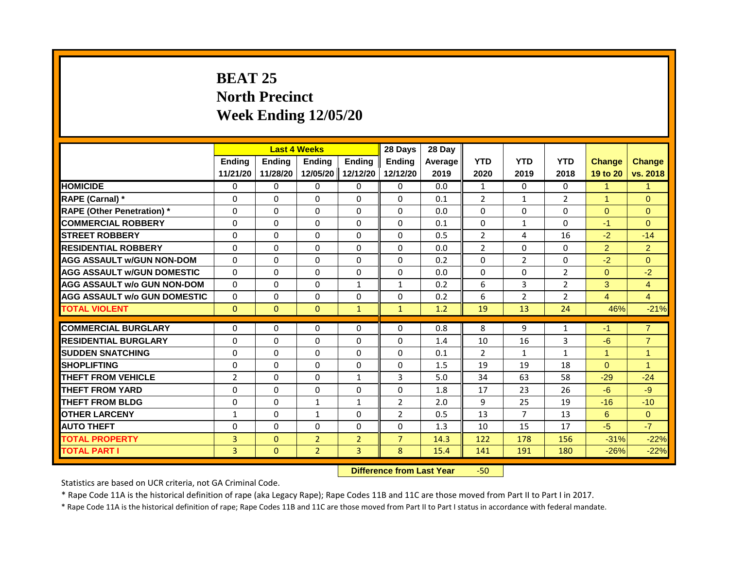# **BEAT 25 North Precinct Week Ending 12/05/20**

|                                     | <b>Last 4 Weeks</b> |               |                                  | 28 Days        | 28 Day         |         |                |                |                |                      |                |
|-------------------------------------|---------------------|---------------|----------------------------------|----------------|----------------|---------|----------------|----------------|----------------|----------------------|----------------|
|                                     | <b>Ending</b>       | <b>Ending</b> | <b>Ending</b>                    | <b>Ending</b>  | <b>Endina</b>  | Average | <b>YTD</b>     | <b>YTD</b>     | <b>YTD</b>     | <b>Change</b>        | <b>Change</b>  |
|                                     | 11/21/20            | 11/28/20      | 12/05/20                         | 12/12/20       | 12/12/20       | 2019    | 2020           | 2019           | 2018           | 19 to 20             | vs. 2018       |
| <b>HOMICIDE</b>                     | 0                   | $\Omega$      | $\mathbf{0}$                     | 0              | 0              | 0.0     | $\mathbf{1}$   | $\Omega$       | $\mathbf{0}$   | $\mathbf{1}$         | $\mathbf{1}$   |
| RAPE (Carnal) *                     | 0                   | $\Omega$      | $\Omega$                         | $\Omega$       | $\Omega$       | 0.1     | 2              | $\mathbf{1}$   | $\overline{2}$ | $\blacktriangleleft$ | $\Omega$       |
| <b>RAPE (Other Penetration)</b> *   | $\Omega$            | $\Omega$      | $\mathbf{0}$                     | $\Omega$       | $\Omega$       | 0.0     | $\Omega$       | $\Omega$       | $\mathbf{0}$   | $\Omega$             | $\overline{0}$ |
| <b>COMMERCIAL ROBBERY</b>           | $\Omega$            | $\Omega$      | $\mathbf{0}$                     | $\Omega$       | $\Omega$       | 0.1     | $\Omega$       | $\mathbf{1}$   | $\Omega$       | $-1$                 | $\Omega$       |
| <b>STREET ROBBERY</b>               | $\Omega$            | $\Omega$      | $\Omega$                         | $\Omega$       | $\Omega$       | 0.5     | $\overline{2}$ | 4              | 16             | $-2$                 | $-14$          |
| <b>RESIDENTIAL ROBBERY</b>          | $\Omega$            | $\Omega$      | $\mathbf{0}$                     | $\Omega$       | $\Omega$       | 0.0     | $\overline{2}$ | $\Omega$       | $\Omega$       | $\overline{2}$       | $\overline{2}$ |
| <b>AGG ASSAULT w/GUN NON-DOM</b>    | $\Omega$            | $\Omega$      | $\mathbf{0}$                     | $\Omega$       | $\Omega$       | 0.2     | $\Omega$       | $\overline{2}$ | $\mathbf{0}$   | $-2$                 | $\Omega$       |
| <b>AGG ASSAULT W/GUN DOMESTIC</b>   | $\Omega$            | $\Omega$      | $\Omega$                         | $\Omega$       | $\Omega$       | 0.0     | $\Omega$       | $\Omega$       | $\overline{2}$ | $\Omega$             | $-2$           |
| AGG ASSAULT w/o GUN NON-DOM         | $\Omega$            | $\Omega$      | $\Omega$                         | $\mathbf{1}$   | $\mathbf{1}$   | 0.2     | 6              | 3              | $\overline{2}$ | 3                    | $\overline{4}$ |
| <b>AGG ASSAULT W/o GUN DOMESTIC</b> | $\Omega$            | $\Omega$      | $\Omega$                         | $\Omega$       | $\Omega$       | 0.2     | 6              | $\overline{2}$ | $\overline{2}$ | $\overline{4}$       | $\overline{4}$ |
| <b>TOTAL VIOLENT</b>                | $\mathbf{0}$        | $\mathbf{0}$  | $\mathbf{0}$                     | $\mathbf{1}$   | $\mathbf{1}$   | 1.2     | 19             | 13             | 24             | 46%                  | $-21%$         |
|                                     |                     |               |                                  |                |                |         |                |                |                |                      |                |
| <b>COMMERCIAL BURGLARY</b>          | $\Omega$            | $\Omega$      | $\mathbf{0}$                     | $\Omega$       | $\Omega$       | 0.8     | 8              | 9              | $\mathbf{1}$   | $-1$                 | $\overline{7}$ |
| <b>RESIDENTIAL BURGLARY</b>         | $\Omega$            | $\Omega$      | $\mathbf{0}$                     | $\Omega$       | $\Omega$       | 1.4     | 10             | 16             | 3              | $-6$                 | $\overline{7}$ |
| <b>SUDDEN SNATCHING</b>             | $\Omega$            | $\Omega$      | $\Omega$                         | $\Omega$       | $\Omega$       | 0.1     | 2              | $\mathbf{1}$   | $\mathbf{1}$   | $\blacktriangleleft$ | $\mathbf{1}$   |
| <b>SHOPLIFTING</b>                  | 0                   | $\Omega$      | $\mathbf{0}$                     | $\Omega$       | 0              | 1.5     | 19             | 19             | 18             | $\Omega$             | $\overline{1}$ |
| <b>THEFT FROM VEHICLE</b>           | $\overline{2}$      | $\Omega$      | $\mathbf{0}$                     | $\mathbf{1}$   | 3              | 5.0     | 34             | 63             | 58             | $-29$                | $-24$          |
| <b>THEFT FROM YARD</b>              | $\Omega$            | $\Omega$      | $\mathbf{0}$                     | $\Omega$       | $\Omega$       | 1.8     | 17             | 23             | 26             | $-6$                 | $-9$           |
| <b>THEFT FROM BLDG</b>              | $\Omega$            | $\Omega$      | $\mathbf{1}$                     | $\mathbf{1}$   | $\overline{2}$ | 2.0     | 9              | 25             | 19             | $-16$                | $-10$          |
| <b>OTHER LARCENY</b>                | 1                   | $\Omega$      | $\mathbf{1}$                     | $\Omega$       | $\overline{2}$ | 0.5     | 13             | $\overline{7}$ | 13             | 6                    | $\Omega$       |
| <b>AUTO THEFT</b>                   | $\Omega$            | $\Omega$      | $\Omega$                         | $\Omega$       | $\Omega$       | 1.3     | 10             | 15             | 17             | $-5$                 | $-7$           |
| <b>TOTAL PROPERTY</b>               | $\overline{3}$      | $\Omega$      | $\overline{2}$                   | $\overline{2}$ | $\overline{7}$ | 14.3    | 122            | 178            | 156            | $-31%$               | $-22%$         |
| <b>TOTAL PART I</b>                 | 3                   | $\mathbf{0}$  | $\overline{2}$                   | 3              | 8              | 15.4    | 141            | 191            | 180            | $-26%$               | $-22%$         |
|                                     |                     |               | <b>Difference from Last Year</b> |                | $-50$          |         |                |                |                |                      |                |

Statistics are based on UCR criteria, not GA Criminal Code.

\* Rape Code 11A is the historical definition of rape (aka Legacy Rape); Rape Codes 11B and 11C are those moved from Part II to Part I in 2017.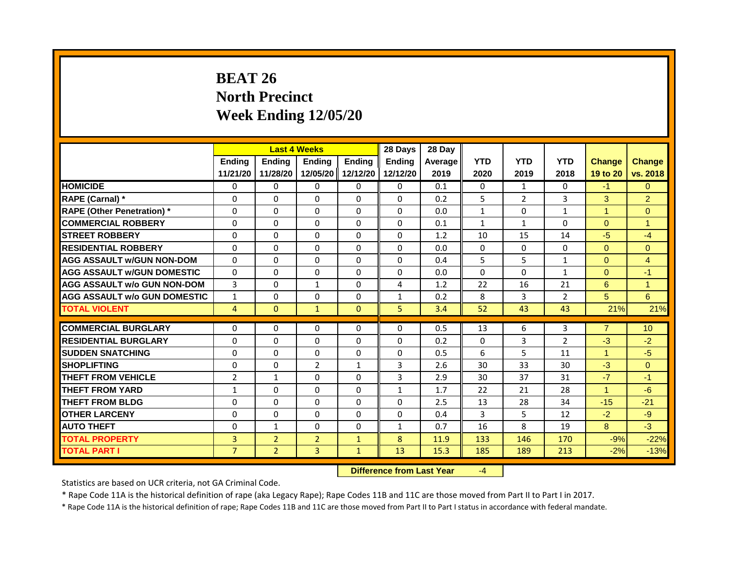# **BEAT 26 North Precinct Week Ending 12/05/20**

|                                     | <b>Last 4 Weeks</b> |                                  |                | 28 Days       | 28 Day        |         |              |                |                |                |                 |
|-------------------------------------|---------------------|----------------------------------|----------------|---------------|---------------|---------|--------------|----------------|----------------|----------------|-----------------|
|                                     | <b>Ending</b>       | Ending                           | Ending         | <b>Ending</b> | <b>Endina</b> | Average | <b>YTD</b>   | <b>YTD</b>     | <b>YTD</b>     | <b>Change</b>  | <b>Change</b>   |
|                                     | 11/21/20            | 11/28/20                         | 12/05/20       | 12/12/20      | 12/12/20      | 2019    | 2020         | 2019           | 2018           | 19 to 20       | vs. 2018        |
| <b>HOMICIDE</b>                     | 0                   | 0                                | $\mathbf{0}$   | 0             | 0             | 0.1     | 0            | $\mathbf{1}$   | 0              | $-1$           | $\Omega$        |
| RAPE (Carnal) *                     | $\Omega$            | $\Omega$                         | $\Omega$       | $\Omega$      | $\Omega$      | 0.2     | 5            | $\overline{2}$ | 3              | 3              | $\overline{2}$  |
| <b>RAPE (Other Penetration)*</b>    | $\Omega$            | $\Omega$                         | $\Omega$       | $\Omega$      | $\Omega$      | 0.0     | $\mathbf{1}$ | $\Omega$       | $\mathbf{1}$   | $\mathbf{1}$   | $\Omega$        |
| <b>COMMERCIAL ROBBERY</b>           | $\Omega$            | $\Omega$                         | $\Omega$       | $\mathbf{0}$  | $\Omega$      | 0.1     | $\mathbf{1}$ | $\mathbf{1}$   | 0              | $\mathbf{0}$   | $\mathbf{1}$    |
| <b>STREET ROBBERY</b>               | $\Omega$            | $\Omega$                         | $\Omega$       | $\Omega$      | $\Omega$      | 1.2     | 10           | 15             | 14             | $-5$           | $-4$            |
| <b>RESIDENTIAL ROBBERY</b>          | $\Omega$            | $\Omega$                         | $\Omega$       | $\Omega$      | $\Omega$      | 0.0     | $\Omega$     | $\Omega$       | $\Omega$       | $\mathbf{0}$   | $\overline{0}$  |
| <b>AGG ASSAULT w/GUN NON-DOM</b>    | $\Omega$            | $\Omega$                         | $\Omega$       | $\Omega$      | $\Omega$      | 0.4     | 5            | 5              | $\mathbf{1}$   | $\mathbf{0}$   | $\overline{4}$  |
| <b>AGG ASSAULT W/GUN DOMESTIC</b>   | $\Omega$            | $\Omega$                         | $\Omega$       | $\Omega$      | $\Omega$      | 0.0     | $\Omega$     | $\Omega$       | $\mathbf{1}$   | $\Omega$       | $-1$            |
| <b>AGG ASSAULT w/o GUN NON-DOM</b>  | $\overline{3}$      | $\Omega$                         | $\mathbf{1}$   | $\Omega$      | 4             | 1.2     | 22           | 16             | 21             | 6              | $\mathbf{1}$    |
| <b>AGG ASSAULT w/o GUN DOMESTIC</b> | $\mathbf{1}$        | $\Omega$                         | $\Omega$       | $\Omega$      | $\mathbf{1}$  | 0.2     | 8            | 3              | $\overline{2}$ | 5              | 6               |
| <b>TOTAL VIOLENT</b>                | $\overline{4}$      | $\mathbf{0}$                     | $\mathbf{1}$   | $\mathbf{0}$  | 5             | 3.4     | 52           | 43             | 43             | 21%            | 21%             |
| <b>COMMERCIAL BURGLARY</b>          | $\Omega$            | $\Omega$                         | $\Omega$       | $\Omega$      | $\Omega$      | 0.5     | 13           | 6              | 3              | $\overline{7}$ | 10 <sup>°</sup> |
| <b>RESIDENTIAL BURGLARY</b>         | $\Omega$            | $\Omega$                         | $\Omega$       | $\Omega$      | $\Omega$      | 0.2     | $\Omega$     | 3              | $\overline{2}$ | $-3$           | $-2$            |
| <b>SUDDEN SNATCHING</b>             | $\Omega$            | $\Omega$                         | $\Omega$       | $\Omega$      | $\Omega$      | 0.5     | 6            | 5              | 11             | $\mathbf{1}$   | $-5$            |
| <b>SHOPLIFTING</b>                  | 0                   | 0                                | $\overline{2}$ | 1             | 3             | 2.6     | 30           | 33             | 30             | $-3$           | $\overline{0}$  |
| <b>THEFT FROM VEHICLE</b>           | $\overline{2}$      | $\mathbf{1}$                     | $\Omega$       | $\Omega$      | 3             | 2.9     | 30           | 37             | 31             | $-7$           | $-1$            |
| <b>THEFT FROM YARD</b>              | $\mathbf{1}$        | $\Omega$                         | $\Omega$       | $\Omega$      | $\mathbf{1}$  | 1.7     | 22           | 21             | 28             | $\mathbf{1}$   | $-6$            |
| <b>THEFT FROM BLDG</b>              | $\Omega$            | $\Omega$                         | $\Omega$       | $\mathbf{0}$  | $\Omega$      | 2.5     | 13           | 28             | 34             | $-15$          | $-21$           |
| <b>OTHER LARCENY</b>                | 0                   | $\Omega$                         | $\Omega$       | $\Omega$      | $\Omega$      | 0.4     | 3            | 5              | 12             | $-2$           | $-9$            |
| <b>AUTO THEFT</b>                   | $\Omega$            | $\mathbf{1}$                     | $\Omega$       | $\Omega$      | 1             | 0.7     | 16           | 8              | 19             | 8              | $-3$            |
| <b>TOTAL PROPERTY</b>               | 3                   | $\overline{2}$                   | $\overline{2}$ | $\mathbf{1}$  | 8             | 11.9    | 133          | 146            | 170            | $-9%$          | $-22%$          |
| <b>TOTAL PART I</b>                 | $\overline{7}$      | 2 <sup>1</sup>                   | $\overline{3}$ | $\mathbf{1}$  | 13            | 15.3    | 185          | 189            | 213            | $-2%$          | $-13%$          |
|                                     |                     | <b>Difference from Last Year</b> |                | $-4$          |               |         |              |                |                |                |                 |

Statistics are based on UCR criteria, not GA Criminal Code.

\* Rape Code 11A is the historical definition of rape (aka Legacy Rape); Rape Codes 11B and 11C are those moved from Part II to Part I in 2017.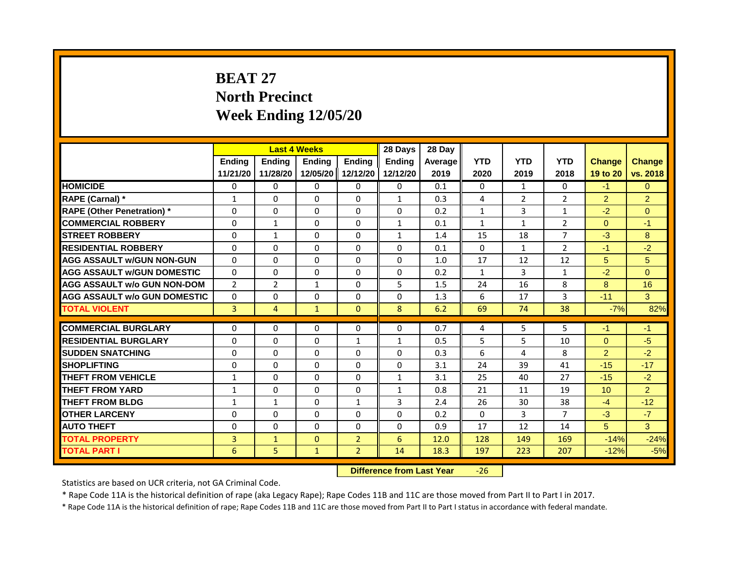## **BEAT 27 North Precinct Week Ending 12/05/20**

|                                     | <b>Last 4 Weeks</b> |                |                                  | 28 Days           | 28 Day        |         |              |                |                |                |                |
|-------------------------------------|---------------------|----------------|----------------------------------|-------------------|---------------|---------|--------------|----------------|----------------|----------------|----------------|
|                                     | Ending              | <b>Ending</b>  | Ending                           | <b>Ending</b>     | <b>Endina</b> | Average | <b>YTD</b>   | <b>YTD</b>     | <b>YTD</b>     | <b>Change</b>  | <b>Change</b>  |
|                                     | 11/21/20            | 11/28/20       |                                  | 12/05/20 12/12/20 | 12/12/20      | 2019    | 2020         | 2019           | 2018           | 19 to 20       | vs. 2018       |
| <b>HOMICIDE</b>                     | 0                   | 0              | $\mathbf{0}$                     | 0                 | 0             | 0.1     | 0            | $\mathbf{1}$   | $\Omega$       | $-1$           | $\Omega$       |
| RAPE (Carnal) *                     | $\mathbf{1}$        | $\Omega$       | $\Omega$                         | $\Omega$          | $\mathbf{1}$  | 0.3     | 4            | $\overline{2}$ | $\overline{2}$ | $\overline{2}$ | $\overline{2}$ |
| <b>RAPE (Other Penetration)</b> *   | $\Omega$            | $\Omega$       | $\Omega$                         | $\Omega$          | $\Omega$      | 0.2     | $\mathbf{1}$ | $\overline{3}$ | $\mathbf{1}$   | $-2$           | $\overline{0}$ |
| <b>COMMERCIAL ROBBERY</b>           | $\Omega$            | $\mathbf{1}$   | $\Omega$                         | $\Omega$          | $\mathbf{1}$  | 0.1     | $\mathbf{1}$ | $\mathbf{1}$   | $\overline{2}$ | $\Omega$       | $-1$           |
| <b>STREET ROBBERY</b>               | $\Omega$            | $\mathbf{1}$   | $\Omega$                         | $\Omega$          | $\mathbf{1}$  | 1.4     | 15           | 18             | $\overline{7}$ | $-3$           | 8              |
| <b>RESIDENTIAL ROBBERY</b>          | $\Omega$            | $\Omega$       | $\Omega$                         | $\Omega$          | $\Omega$      | 0.1     | $\Omega$     | $\mathbf{1}$   | $\overline{2}$ | $-1$           | $-2$           |
| <b>AGG ASSAULT w/GUN NON-GUN</b>    | $\Omega$            | $\Omega$       | $\Omega$                         | $\Omega$          | $\Omega$      | 1.0     | 17           | 12             | 12             | 5              | 5              |
| <b>AGG ASSAULT w/GUN DOMESTIC</b>   | $\Omega$            | $\Omega$       | $\Omega$                         | $\Omega$          | $\Omega$      | 0.2     | $\mathbf{1}$ | $\overline{3}$ | $\mathbf{1}$   | $-2$           | $\Omega$       |
| <b>AGG ASSAULT w/o GUN NON-DOM</b>  | $\overline{2}$      | $\overline{2}$ | $\mathbf{1}$                     | $\Omega$          | 5             | 1.5     | 24           | 16             | 8              | 8              | 16             |
| <b>AGG ASSAULT W/o GUN DOMESTIC</b> | $\Omega$            | $\Omega$       | $\Omega$                         | $\Omega$          | $\Omega$      | 1.3     | 6            | 17             | 3              | $-11$          | 3              |
| <b>TOTAL VIOLENT</b>                | 3                   | $\overline{4}$ | $\mathbf{1}$                     | $\mathbf{0}$      | 8             | 6.2     | 69           | 74             | 38             | $-7%$          | 82%            |
|                                     |                     |                |                                  |                   |               |         |              |                |                |                |                |
| <b>COMMERCIAL BURGLARY</b>          | $\Omega$            | $\Omega$       | $\Omega$                         | $\Omega$          | $\Omega$      | 0.7     | 4            | 5              | 5              | $-1$           | -1             |
| <b>RESIDENTIAL BURGLARY</b>         | $\Omega$            | $\Omega$       | $\mathbf{0}$                     | $\mathbf{1}$      | $\mathbf{1}$  | 0.5     | 5            | 5              | 10             | $\overline{0}$ | $-5$           |
| <b>SUDDEN SNATCHING</b>             | $\Omega$            | $\Omega$       | $\Omega$                         | $\Omega$          | $\Omega$      | 0.3     | 6            | 4              | 8              | $\overline{2}$ | $-2$           |
| <b>SHOPLIFTING</b>                  | $\Omega$            | $\Omega$       | $\Omega$                         | $\Omega$          | 0             | 3.1     | 24           | 39             | 41             | $-15$          | $-17$          |
| <b>THEFT FROM VEHICLE</b>           | $\mathbf{1}$        | $\Omega$       | $\Omega$                         | $\Omega$          | $\mathbf{1}$  | 3.1     | 25           | 40             | 27             | $-15$          | $-2$           |
| <b>THEFT FROM YARD</b>              | $\mathbf{1}$        | $\Omega$       | $\mathbf{0}$                     | $\Omega$          | $\mathbf{1}$  | 0.8     | 21           | 11             | 19             | 10             | $\overline{2}$ |
| <b>THEFT FROM BLDG</b>              | $\mathbf{1}$        | $\mathbf{1}$   | $\Omega$                         | $\mathbf{1}$      | 3             | 2.4     | 26           | 30             | 38             | $-4$           | $-12$          |
| <b>OTHER LARCENY</b>                | $\Omega$            | $\Omega$       | $\Omega$                         | $\Omega$          | $\Omega$      | 0.2     | $\Omega$     | 3              | 7              | $-3$           | $-7$           |
| <b>AUTO THEFT</b>                   | $\Omega$            | $\Omega$       | $\Omega$                         | $\Omega$          | $\Omega$      | 0.9     | 17           | 12             | 14             | 5              | $\overline{3}$ |
| <b>TOTAL PROPERTY</b>               | $\overline{3}$      | $\mathbf{1}$   | $\Omega$                         | $\overline{2}$    | 6             | 12.0    | 128          | 149            | 169            | $-14%$         | $-24%$         |
| <b>TOTAL PART I</b>                 | 6                   | 5              | $\mathbf{1}$                     | $\overline{2}$    | 14            | 18.3    | 197          | 223            | 207            | $-12%$         | $-5%$          |
|                                     |                     |                | <b>Difference from Last Year</b> |                   | $-26$         |         |              |                |                |                |                |

Statistics are based on UCR criteria, not GA Criminal Code.

\* Rape Code 11A is the historical definition of rape (aka Legacy Rape); Rape Codes 11B and 11C are those moved from Part II to Part I in 2017.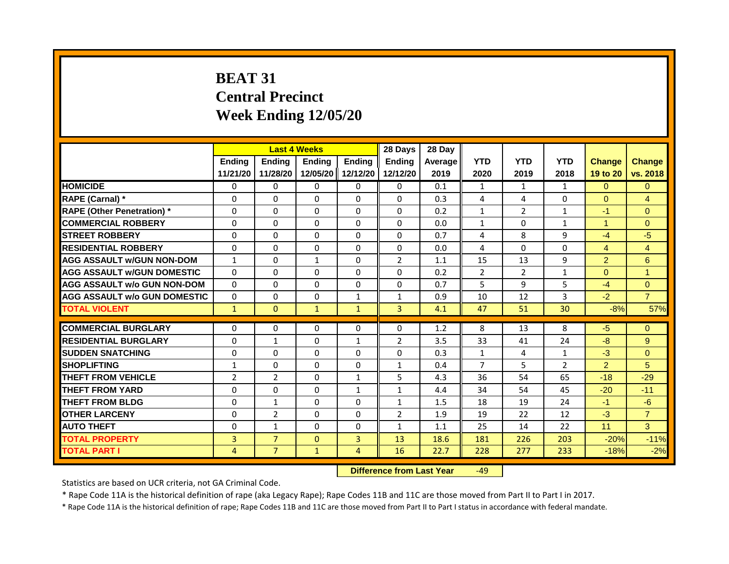# **BEAT 31 Central Precinct Week Ending 12/05/20**

|                                     | <b>Last 4 Weeks</b> |                                  |               | 28 Days        | 28 Day         |         |                |                |                |                      |                |
|-------------------------------------|---------------------|----------------------------------|---------------|----------------|----------------|---------|----------------|----------------|----------------|----------------------|----------------|
|                                     | Ending              | Ending                           | <b>Ending</b> | <b>Ending</b>  | <b>Endina</b>  | Average | <b>YTD</b>     | <b>YTD</b>     | <b>YTD</b>     | <b>Change</b>        | <b>Change</b>  |
|                                     | 11/21/20            | 11/28/20                         | 12/05/20      | 12/12/20       | 12/12/20       | 2019    | 2020           | 2019           | 2018           | 19 to 20             | vs. 2018       |
| <b>HOMICIDE</b>                     | 0                   | $\mathbf{0}$                     | $\mathbf{0}$  | 0              | 0              | 0.1     | $\mathbf{1}$   | $\mathbf{1}$   | $\mathbf{1}$   | $\Omega$             | $\Omega$       |
| RAPE (Carnal) *                     | $\Omega$            | $\Omega$                         | $\Omega$      | $\Omega$       | $\Omega$       | 0.3     | 4              | 4              | $\Omega$       | $\overline{0}$       | $\overline{4}$ |
| <b>RAPE (Other Penetration)</b> *   | $\Omega$            | $\Omega$                         | $\Omega$      | $\Omega$       | $\Omega$       | 0.2     | $\mathbf{1}$   | $\overline{2}$ | $\mathbf{1}$   | $-1$                 | $\overline{0}$ |
| <b>COMMERCIAL ROBBERY</b>           | $\Omega$            | $\Omega$                         | $\Omega$      | $\Omega$       | $\Omega$       | 0.0     | $\mathbf{1}$   | $\Omega$       | $\mathbf{1}$   | $\blacktriangleleft$ | $\Omega$       |
| <b>STREET ROBBERY</b>               | $\Omega$            | $\Omega$                         | $\Omega$      | $\Omega$       | $\Omega$       | 0.7     | 4              | 8              | 9              | $-4$                 | $-5$           |
| <b>RESIDENTIAL ROBBERY</b>          | $\Omega$            | $\Omega$                         | $\Omega$      | $\Omega$       | $\Omega$       | 0.0     | 4              | $\Omega$       | $\Omega$       | $\overline{4}$       | $\overline{4}$ |
| <b>AGG ASSAULT w/GUN NON-DOM</b>    | $\mathbf{1}$        | $\Omega$                         | $\mathbf{1}$  | $\Omega$       | $\overline{2}$ | 1.1     | 15             | 13             | 9              | $\overline{2}$       | 6              |
| <b>AGG ASSAULT W/GUN DOMESTIC</b>   | $\Omega$            | $\Omega$                         | $\Omega$      | $\Omega$       | $\Omega$       | 0.2     | $\overline{2}$ | $\overline{2}$ | $\mathbf{1}$   | $\Omega$             | $\mathbf{1}$   |
| <b>AGG ASSAULT w/o GUN NON-DOM</b>  | $\Omega$            | $\Omega$                         | $\Omega$      | $\Omega$       | $\Omega$       | 0.7     | 5              | 9              | 5              | $-4$                 | $\Omega$       |
| <b>AGG ASSAULT w/o GUN DOMESTIC</b> | $\Omega$            | $\Omega$                         | $\Omega$      | $\mathbf{1}$   | $\mathbf{1}$   | 0.9     | 10             | 12             | 3              | $-2$                 | $\overline{7}$ |
| <b>TOTAL VIOLENT</b>                | $\mathbf{1}$        | $\mathbf{0}$                     | $\mathbf{1}$  | $\mathbf{1}$   | $\overline{3}$ | 4.1     | 47             | 51             | 30             | $-8%$                | 57%            |
|                                     |                     |                                  |               |                |                |         |                |                |                |                      |                |
| <b>COMMERCIAL BURGLARY</b>          | $\Omega$            | $\Omega$                         | $\Omega$      | $\Omega$       | $\Omega$       | 1.2     | 8              | 13             | 8              | $-5$                 | $\Omega$       |
| <b>RESIDENTIAL BURGLARY</b>         | $\Omega$            | $\mathbf{1}$                     | $\Omega$      | $\mathbf{1}$   | $\overline{2}$ | 3.5     | 33             | 41             | 24             | $-8$                 | 9              |
| <b>SUDDEN SNATCHING</b>             | $\Omega$            | $\Omega$                         | $\Omega$      | $\Omega$       | $\Omega$       | 0.3     | $\mathbf{1}$   | 4              | $\mathbf{1}$   | $-3$                 | $\Omega$       |
| <b>SHOPLIFTING</b>                  | $\mathbf{1}$        | $\Omega$                         | $\Omega$      | $\Omega$       | $\mathbf{1}$   | 0.4     | $\overline{7}$ | 5              | $\overline{2}$ | $\overline{2}$       | 5 <sup>1</sup> |
| <b>THEFT FROM VEHICLE</b>           | $\overline{2}$      | $\overline{2}$                   | $\Omega$      | $\mathbf{1}$   | 5              | 4.3     | 36             | 54             | 65             | $-18$                | $-29$          |
| <b>THEFT FROM YARD</b>              | $\Omega$            | $\Omega$                         | $\Omega$      | $\mathbf{1}$   | $\mathbf{1}$   | 4.4     | 34             | 54             | 45             | $-20$                | $-11$          |
| <b>THEFT FROM BLDG</b>              | $\Omega$            | $\mathbf{1}$                     | $\Omega$      | $\Omega$       | $\mathbf{1}$   | 1.5     | 18             | 19             | 24             | $-1$                 | $-6$           |
| <b>OTHER LARCENY</b>                | 0                   | $\overline{2}$                   | $\Omega$      | $\Omega$       | $\overline{2}$ | 1.9     | 19             | 22             | 12             | $-3$                 | $\overline{7}$ |
| <b>AUTO THEFT</b>                   | $\Omega$            | $\mathbf{1}$                     | $\Omega$      | $\Omega$       | $\mathbf{1}$   | 1.1     | 25             | 14             | 22             | 11                   | 3              |
| <b>TOTAL PROPERTY</b>               | $\overline{3}$      | $\overline{7}$                   | $\Omega$      | $\overline{3}$ | 13             | 18.6    | 181            | 226            | 203            | $-20%$               | $-11%$         |
| <b>TOTAL PART I</b>                 | 4                   | $\overline{7}$                   | $\mathbf{1}$  | $\overline{4}$ | 16             | 22.7    | 228            | 277            | 233            | $-18%$               | $-2%$          |
|                                     |                     | <b>Difference from Last Year</b> |               | $-49$          |                |         |                |                |                |                      |                |

Statistics are based on UCR criteria, not GA Criminal Code.

\* Rape Code 11A is the historical definition of rape (aka Legacy Rape); Rape Codes 11B and 11C are those moved from Part II to Part I in 2017.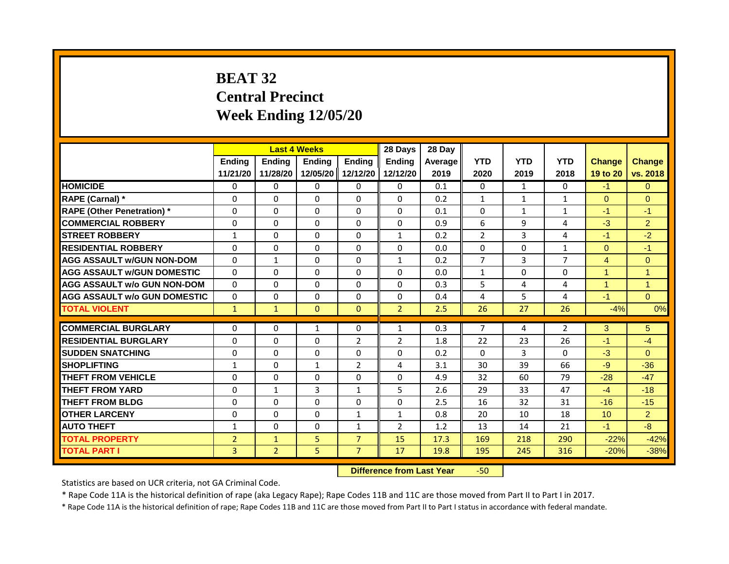# **BEAT 32 Central Precinct Week Ending 12/05/20**

|                                     | <b>Last 4 Weeks</b> |                                  |               | 28 Days        | 28 Day         |         |                |                |                |                |                |
|-------------------------------------|---------------------|----------------------------------|---------------|----------------|----------------|---------|----------------|----------------|----------------|----------------|----------------|
|                                     | <b>Ending</b>       | <b>Ending</b>                    | <b>Ending</b> | <b>Ending</b>  | <b>Endina</b>  | Average | <b>YTD</b>     | <b>YTD</b>     | <b>YTD</b>     | <b>Change</b>  | <b>Change</b>  |
|                                     | 11/21/20            | 11/28/20                         | 12/05/20      | 12/12/20       | 12/12/20       | 2019    | 2020           | 2019           | 2018           | 19 to 20       | vs. 2018       |
| <b>HOMICIDE</b>                     | $\mathbf{0}$        | 0                                | $\mathbf{0}$  | 0              | 0              | 0.1     | 0              | $\mathbf{1}$   | $\Omega$       | $-1$           | $\Omega$       |
| RAPE (Carnal) *                     | 0                   | $\Omega$                         | $\Omega$      | $\Omega$       | $\Omega$       | 0.2     | $\mathbf{1}$   | $\mathbf{1}$   | $\mathbf{1}$   | $\Omega$       | $\Omega$       |
| <b>RAPE (Other Penetration)</b> *   | $\Omega$            | $\Omega$                         | $\Omega$      | $\Omega$       | $\Omega$       | 0.1     | $\Omega$       | $\mathbf{1}$   | $\mathbf{1}$   | $-1$           | $-1$           |
| <b>COMMERCIAL ROBBERY</b>           | $\Omega$            | $\Omega$                         | $\Omega$      | $\Omega$       | $\Omega$       | 0.9     | 6              | 9              | 4              | $-3$           | $\overline{2}$ |
| <b>STREET ROBBERY</b>               | 1                   | $\Omega$                         | $\Omega$      | $\Omega$       | $\mathbf{1}$   | 0.2     | $\overline{2}$ | 3              | 4              | $-1$           | $-2$           |
| <b>RESIDENTIAL ROBBERY</b>          | $\Omega$            | $\Omega$                         | $\Omega$      | $\Omega$       | $\Omega$       | 0.0     | $\Omega$       | $\Omega$       | $\mathbf{1}$   | $\Omega$       | $-1$           |
| <b>AGG ASSAULT w/GUN NON-DOM</b>    | $\Omega$            | $\mathbf{1}$                     | $\mathbf{0}$  | $\Omega$       | $\mathbf{1}$   | 0.2     | $\overline{7}$ | $\mathbf{3}$   | $\overline{7}$ | $\overline{4}$ | $\overline{0}$ |
| <b>AGG ASSAULT W/GUN DOMESTIC</b>   | $\Omega$            | $\Omega$                         | $\Omega$      | $\Omega$       | $\Omega$       | 0.0     | $\mathbf{1}$   | $\Omega$       | $\Omega$       | $\overline{1}$ | $\mathbf{1}$   |
| <b>AGG ASSAULT w/o GUN NON-DOM</b>  | $\Omega$            | $\Omega$                         | $\Omega$      | $\Omega$       | $\Omega$       | 0.3     | 5              | 4              | 4              | $\overline{1}$ | $\overline{1}$ |
| <b>AGG ASSAULT w/o GUN DOMESTIC</b> | $\Omega$            | $\Omega$                         | $\Omega$      | $\Omega$       | $\Omega$       | 0.4     | 4              | 5              | 4              | $-1$           | $\Omega$       |
| <b>TOTAL VIOLENT</b>                | $\mathbf{1}$        | $\mathbf{1}$                     | $\mathbf{0}$  | $\Omega$       | $\overline{2}$ | 2.5     | 26             | 27             | 26             | $-4%$          | 0%             |
|                                     |                     |                                  |               |                |                |         |                |                |                |                |                |
| <b>COMMERCIAL BURGLARY</b>          | $\Omega$            | $\Omega$                         | $\mathbf{1}$  | $\Omega$       | $\mathbf{1}$   | 0.3     | $\overline{7}$ | 4              | $\overline{2}$ | 3              | 5              |
| <b>RESIDENTIAL BURGLARY</b>         | $\Omega$            | $\Omega$                         | $\Omega$      | $\overline{2}$ | $\overline{2}$ | 1.8     | 22             | 23             | 26             | $-1$           | $-4$           |
| <b>SUDDEN SNATCHING</b>             | $\Omega$            | $\Omega$                         | $\Omega$      | $\Omega$       | $\Omega$       | 0.2     | $\Omega$       | $\overline{3}$ | $\Omega$       | $-3$           | $\Omega$       |
| <b>SHOPLIFTING</b>                  | 1                   | $\Omega$                         | $\mathbf{1}$  | $\overline{2}$ | 4              | 3.1     | 30             | 39             | 66             | $-9$           | $-36$          |
| <b>THEFT FROM VEHICLE</b>           | $\Omega$            | $\Omega$                         | $\Omega$      | $\Omega$       | $\Omega$       | 4.9     | 32             | 60             | 79             | $-28$          | $-47$          |
| <b>THEFT FROM YARD</b>              | $\Omega$            | $\mathbf{1}$                     | 3             | $\mathbf{1}$   | 5              | 2.6     | 29             | 33             | 47             | $-4$           | $-18$          |
| <b>THEFT FROM BLDG</b>              | $\Omega$            | $\Omega$                         | $\Omega$      | $\Omega$       | $\Omega$       | 2.5     | 16             | 32             | 31             | $-16$          | $-15$          |
| <b>OTHER LARCENY</b>                | 0                   | $\Omega$                         | $\Omega$      | $\mathbf{1}$   | $\mathbf{1}$   | 0.8     | 20             | 10             | 18             | 10             | $\overline{2}$ |
| <b>AUTO THEFT</b>                   | $\mathbf{1}$        | $\Omega$                         | $\Omega$      | $\mathbf{1}$   | $\overline{2}$ | 1.2     | 13             | 14             | 21             | $-1$           | $-8$           |
| <b>TOTAL PROPERTY</b>               | $\overline{2}$      | $\mathbf{1}$                     | 5             | $\overline{7}$ | 15             | 17.3    | 169            | 218            | 290            | $-22%$         | $-42%$         |
| <b>TOTAL PART I</b>                 | 3                   | $\overline{2}$                   | 5             | $\overline{7}$ | 17             | 19.8    | 195            | 245            | 316            | $-20%$         | $-38%$         |
|                                     |                     | <b>Difference from Last Year</b> |               | $-50$          |                |         |                |                |                |                |                |

Statistics are based on UCR criteria, not GA Criminal Code.

\* Rape Code 11A is the historical definition of rape (aka Legacy Rape); Rape Codes 11B and 11C are those moved from Part II to Part I in 2017.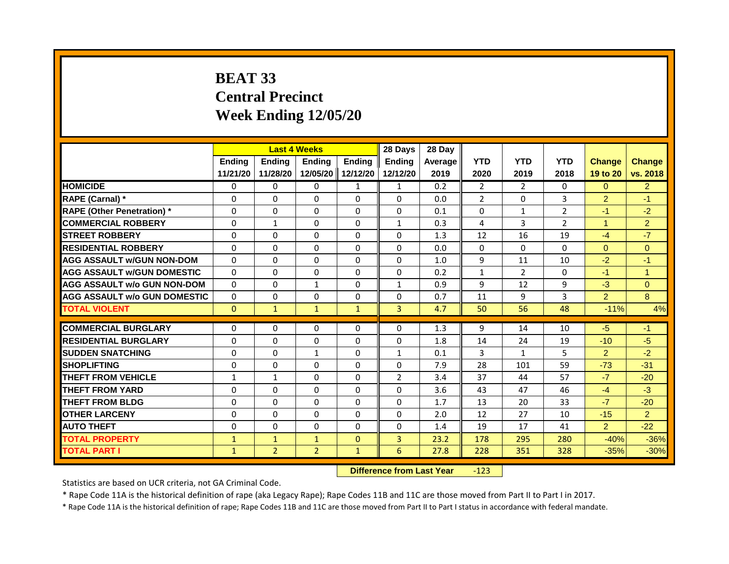## **BEAT 33 Central Precinct Week Ending 12/05/20**

|                                     | <b>Last 4 Weeks</b><br><b>Ending</b><br><b>Ending</b><br>Ending |                |                                  |                   | 28 Days        | 28 Day  |                |                |                |                |                |
|-------------------------------------|-----------------------------------------------------------------|----------------|----------------------------------|-------------------|----------------|---------|----------------|----------------|----------------|----------------|----------------|
|                                     |                                                                 |                |                                  | <b>Ending</b>     | <b>Endina</b>  | Average | <b>YTD</b>     | <b>YTD</b>     | <b>YTD</b>     | <b>Change</b>  | <b>Change</b>  |
|                                     | 11/21/20                                                        | 11/28/20       |                                  | 12/05/20 12/12/20 | 12/12/20       | 2019    | 2020           | 2019           | 2018           | 19 to 20       | vs. 2018       |
| <b>HOMICIDE</b>                     | 0                                                               | 0              | 0                                | $\mathbf{1}$      | 1              | 0.2     | 2              | $\overline{2}$ | 0              | $\mathbf{0}$   | $\overline{2}$ |
| RAPE (Carnal) *                     | 0                                                               | $\Omega$       | $\Omega$                         | $\Omega$          | $\Omega$       | 0.0     | $\overline{2}$ | $\mathbf{0}$   | 3              | $\overline{2}$ | $-1$           |
| <b>RAPE (Other Penetration) *</b>   | $\Omega$                                                        | $\Omega$       | $\Omega$                         | $\Omega$          | $\Omega$       | 0.1     | $\Omega$       | $\mathbf{1}$   | $\overline{2}$ | $-1$           | $-2$           |
| <b>COMMERCIAL ROBBERY</b>           | 0                                                               | 1              | 0                                | 0                 | 1              | 0.3     | 4              | 3              | $\overline{2}$ | $\mathbf{1}$   | $\overline{2}$ |
| <b>STREET ROBBERY</b>               | $\Omega$                                                        | $\Omega$       | $\Omega$                         | $\Omega$          | $\Omega$       | 1.3     | 12             | 16             | 19             | $-4$           | $-7$           |
| <b>RESIDENTIAL ROBBERY</b>          | 0                                                               | 0              | 0                                | $\mathbf 0$       | 0              | 0.0     | $\mathbf 0$    | 0              | $\Omega$       | $\mathbf{0}$   | $\overline{0}$ |
| <b>AGG ASSAULT w/GUN NON-DOM</b>    | $\Omega$                                                        | $\Omega$       | $\Omega$                         | $\Omega$          | $\Omega$       | 1.0     | 9              | 11             | 10             | $-2$           | $-1$           |
| <b>AGG ASSAULT w/GUN DOMESTIC</b>   | $\Omega$                                                        | $\Omega$       | $\Omega$                         | $\Omega$          | $\Omega$       | 0.2     | $\mathbf{1}$   | $\overline{2}$ | $\Omega$       | $-1$           | $\mathbf{1}$   |
| <b>AGG ASSAULT w/o GUN NON-DOM</b>  | $\Omega$                                                        | 0              | 1                                | $\mathbf{0}$      | $\mathbf{1}$   | 0.9     | 9              | 12             | 9              | $-3$           | $\mathbf{0}$   |
| <b>AGG ASSAULT w/o GUN DOMESTIC</b> | $\Omega$                                                        | 0              | 0                                | $\mathbf 0$       | 0              | 0.7     | 11             | 9              | 3              | $\overline{2}$ | 8              |
| <b>TOTAL VIOLENT</b>                | $\mathbf{0}$                                                    | $\mathbf{1}$   | $\mathbf{1}$                     | $\mathbf{1}$      | 3              | 4.7     | 50             | 56             | 48             | $-11%$         | 4%             |
|                                     |                                                                 |                |                                  |                   |                |         |                |                |                |                |                |
| <b>COMMERCIAL BURGLARY</b>          | 0                                                               | 0              | 0                                | 0                 | 0              | 1.3     | 9              | 14             | 10             | $-5$           | $-1$           |
| <b>RESIDENTIAL BURGLARY</b>         | $\Omega$                                                        | $\Omega$       | $\Omega$                         | $\Omega$          | $\Omega$       | 1.8     | 14             | 24             | 19             | $-10$          | $-5$           |
| <b>SUDDEN SNATCHING</b>             | $\Omega$                                                        | $\Omega$       | $\mathbf{1}$                     | $\Omega$          | $\mathbf{1}$   | 0.1     | 3              | $\mathbf{1}$   | 5              | $\overline{2}$ | $-2$           |
| <b>SHOPLIFTING</b>                  | $\Omega$                                                        | $\mathbf{0}$   | 0                                | $\mathbf{0}$      | $\Omega$       | 7.9     | 28             | 101            | 59             | $-73$          | $-31$          |
| <b>THEFT FROM VEHICLE</b>           | $\mathbf{1}$                                                    | $\mathbf{1}$   | $\Omega$                         | $\Omega$          | $\overline{2}$ | 3.4     | 37             | 44             | 57             | $-7$           | $-20$          |
| <b>THEFT FROM YARD</b>              | $\Omega$                                                        | $\Omega$       | $\Omega$                         | $\Omega$          | $\Omega$       | 3.6     | 43             | 47             | 46             | $-4$           | $-3$           |
| <b>THEFT FROM BLDG</b>              | 0                                                               | $\mathbf{0}$   | 0                                | $\mathbf{0}$      | $\Omega$       | 1.7     | 13             | 20             | 33             | $-7$           | $-20$          |
| <b>OTHER LARCENY</b>                | 0                                                               | $\Omega$       | $\Omega$                         | $\Omega$          | $\Omega$       | 2.0     | 12             | 27             | 10             | $-15$          | $\overline{2}$ |
| <b>AUTO THEFT</b>                   | 0                                                               | 0              | 0                                | $\mathbf 0$       | 0              | 1.4     | 19             | 17             | 41             | $\overline{2}$ | $-22$          |
| <b>TOTAL PROPERTY</b>               | $\mathbf{1}$                                                    | $\mathbf{1}$   | $\mathbf{1}$                     | $\mathbf{0}$      | 3              | 23.2    | 178            | 295            | 280            | $-40%$         | $-36%$         |
| <b>TOTAL PART I</b>                 | $\mathbf{1}$                                                    | $\overline{2}$ | $\overline{2}$                   | $\mathbf{1}$      | 6              | 27.8    | 228            | 351            | 328            | $-35%$         | $-30%$         |
|                                     |                                                                 |                | <b>Difference from Last Year</b> |                   | $-123$         |         |                |                |                |                |                |

Statistics are based on UCR criteria, not GA Criminal Code.

\* Rape Code 11A is the historical definition of rape (aka Legacy Rape); Rape Codes 11B and 11C are those moved from Part II to Part I in 2017.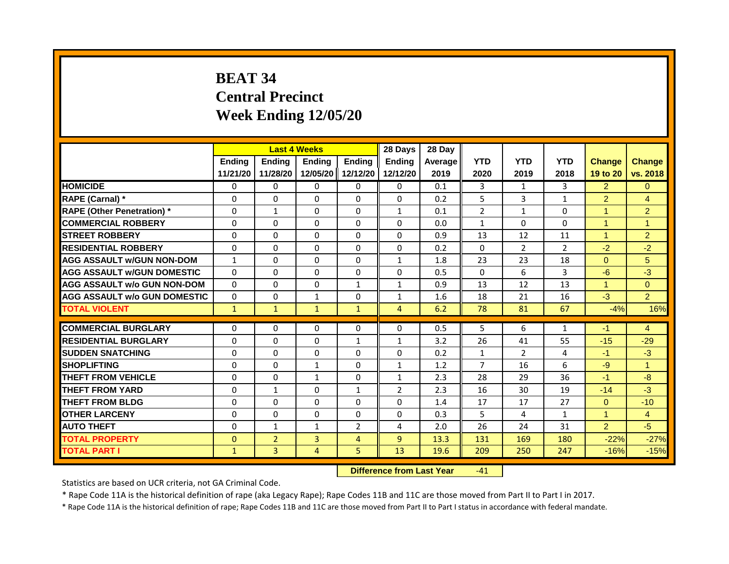# **BEAT 34 Central Precinct Week Ending 12/05/20**

|                                     | <b>Last 4 Weeks</b><br>Ending<br><b>Ending</b><br><b>Ending</b> |                |                                  | 28 Days        | 28 Day         |         |                |                |                |                      |                      |
|-------------------------------------|-----------------------------------------------------------------|----------------|----------------------------------|----------------|----------------|---------|----------------|----------------|----------------|----------------------|----------------------|
|                                     |                                                                 |                |                                  | <b>Ending</b>  | <b>Ending</b>  | Average | <b>YTD</b>     | <b>YTD</b>     | <b>YTD</b>     | <b>Change</b>        | <b>Change</b>        |
|                                     | 11/21/20                                                        | 11/28/20       | 12/05/20                         | 12/12/20       | 12/12/20       | 2019    | 2020           | 2019           | 2018           | 19 to 20             | vs. 2018             |
| <b>HOMICIDE</b>                     | 0                                                               | 0              | $\mathbf{0}$                     | 0              | $\Omega$       | 0.1     | 3              | $\mathbf{1}$   | 3              | 2                    | $\Omega$             |
| RAPE (Carnal) *                     | $\Omega$                                                        | $\Omega$       | 0                                | $\Omega$       | $\Omega$       | 0.2     | 5              | 3              | $\mathbf{1}$   | $\overline{2}$       | $\overline{4}$       |
| <b>RAPE (Other Penetration)</b> *   | 0                                                               | $\mathbf{1}$   | $\Omega$                         | $\Omega$       | $\mathbf{1}$   | 0.1     | $\overline{2}$ | $\mathbf{1}$   | $\Omega$       | $\overline{1}$       | $\overline{2}$       |
| <b>COMMERCIAL ROBBERY</b>           | $\Omega$                                                        | $\Omega$       | $\Omega$                         | $\Omega$       | $\Omega$       | 0.0     | $\mathbf{1}$   | $\Omega$       | $\Omega$       | $\overline{1}$       | $\blacktriangleleft$ |
| <b>STREET ROBBERY</b>               | 0                                                               | $\Omega$       | $\Omega$                         | $\Omega$       | $\Omega$       | 0.9     | 13             | 12             | 11             | $\blacktriangleleft$ | $\overline{2}$       |
| <b>RESIDENTIAL ROBBERY</b>          | $\Omega$                                                        | $\Omega$       | $\Omega$                         | $\Omega$       | $\Omega$       | 0.2     | $\Omega$       | $\overline{2}$ | $\overline{2}$ | $-2$                 | $-2$                 |
| <b>AGG ASSAULT w/GUN NON-DOM</b>    | $\mathbf{1}$                                                    | $\Omega$       | $\Omega$                         | $\Omega$       | $\mathbf{1}$   | 1.8     | 23             | 23             | 18             | $\Omega$             | 5                    |
| <b>AGG ASSAULT W/GUN DOMESTIC</b>   | $\Omega$                                                        | $\Omega$       | $\Omega$                         | $\Omega$       | 0              | 0.5     | $\Omega$       | 6              | $\overline{3}$ | $-6$                 | $-3$                 |
| <b>AGG ASSAULT w/o GUN NON-DOM</b>  | $\Omega$                                                        | $\Omega$       | $\Omega$                         | $\mathbf{1}$   | $\mathbf{1}$   | 0.9     | 13             | 12             | 13             | $\overline{1}$       | $\Omega$             |
| <b>AGG ASSAULT w/o GUN DOMESTIC</b> | $\Omega$                                                        | $\Omega$       | $\mathbf{1}$                     | $\Omega$       | $\mathbf{1}$   | 1.6     | 18             | 21             | 16             | $-3$                 | 2 <sup>1</sup>       |
| <b>TOTAL VIOLENT</b>                | $\mathbf{1}$                                                    | $\mathbf{1}$   | $\mathbf{1}$                     | $\mathbf{1}$   | $\overline{4}$ | 6.2     | 78             | 81             | 67             | $-4%$                | 16%                  |
| <b>COMMERCIAL BURGLARY</b>          | 0                                                               | 0              | $\mathbf{0}$                     | $\Omega$       | $\Omega$       | 0.5     | 5              | 6              | 1              | -1                   | $\overline{4}$       |
| <b>RESIDENTIAL BURGLARY</b>         | $\Omega$                                                        | $\Omega$       | $\Omega$                         | $\mathbf{1}$   | $\mathbf{1}$   | 3.2     | 26             | 41             | 55             | $-15$                | $-29$                |
| <b>SUDDEN SNATCHING</b>             | $\Omega$                                                        | $\Omega$       | $\Omega$                         | $\Omega$       | $\Omega$       | 0.2     | $\mathbf{1}$   | $\overline{2}$ | 4              | $-1$                 | $-3$                 |
| <b>SHOPLIFTING</b>                  | 0                                                               | 0              | 1                                | 0              | 1              | 1.2     | $\overline{7}$ | 16             | 6              | $-9$                 | $\blacktriangleleft$ |
| <b>THEFT FROM VEHICLE</b>           | $\Omega$                                                        | $\Omega$       | $\mathbf{1}$                     | $\Omega$       | $\mathbf{1}$   | 2.3     | 28             | 29             | 36             | $-1$                 | -8                   |
| <b>THEFT FROM YARD</b>              | $\Omega$                                                        | $\mathbf{1}$   | $\Omega$                         | $\mathbf{1}$   | $\overline{2}$ | 2.3     | 16             | 30             | 19             | $-14$                | $-3$                 |
| <b>THEFT FROM BLDG</b>              | $\Omega$                                                        | $\Omega$       | $\Omega$                         | $\Omega$       | $\Omega$       |         |                |                |                | $\Omega$             |                      |
|                                     |                                                                 |                |                                  |                |                | 1.4     | 17             | 17             | 27             |                      | $-10$                |
| <b>OTHER LARCENY</b>                | $\Omega$                                                        | $\Omega$       | 0                                | $\Omega$       | 0              | 0.3     | 5              | 4              | 1              | $\blacktriangleleft$ | $\overline{4}$       |
| <b>AUTO THEFT</b>                   | $\Omega$                                                        | $\mathbf{1}$   | $\mathbf{1}$                     | $\overline{2}$ | 4              | 2.0     | 26             | 24             | 31             | $\overline{2}$       | $-5$                 |
| <b>TOTAL PROPERTY</b>               | $\Omega$                                                        | $\overline{2}$ | $\overline{3}$                   | $\overline{4}$ | $\overline{9}$ | 13.3    | 131            | 169            | 180            | $-22%$               | $-27%$               |
| <b>TOTAL PART I</b>                 | $\mathbf{1}$                                                    | 3              | 4                                | 5              | 13             | 19.6    | 209            | 250            | 247            | $-16%$               | $-15%$               |
|                                     |                                                                 |                | <b>Difference from Last Year</b> |                | $-41$          |         |                |                |                |                      |                      |

Statistics are based on UCR criteria, not GA Criminal Code.

\* Rape Code 11A is the historical definition of rape (aka Legacy Rape); Rape Codes 11B and 11C are those moved from Part II to Part I in 2017.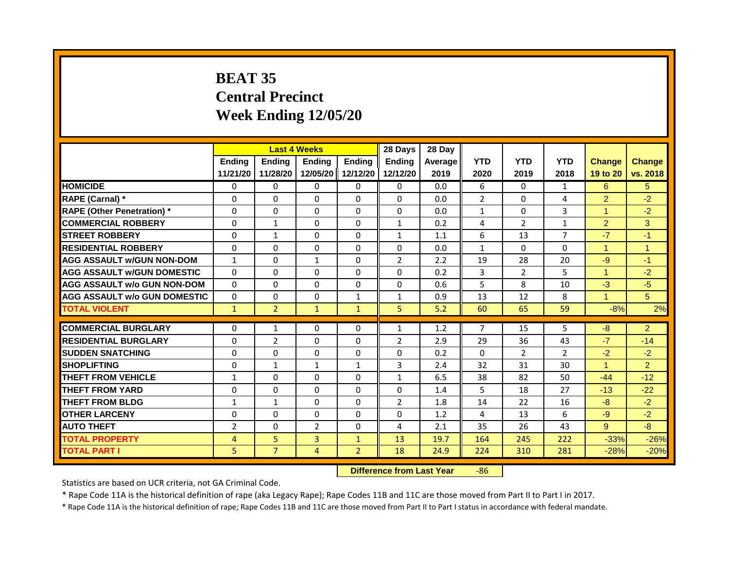# **BEAT 35 Central Precinct Week Ending 12/05/20**

|                                     | <b>Last 4 Weeks</b> |                |                                  | 28 Days        | 28 Day         |         |                |                |                |                      |                |
|-------------------------------------|---------------------|----------------|----------------------------------|----------------|----------------|---------|----------------|----------------|----------------|----------------------|----------------|
|                                     | <b>Ending</b>       | <b>Ending</b>  | Ending                           | <b>Endina</b>  | <b>Endina</b>  | Average | <b>YTD</b>     | <b>YTD</b>     | <b>YTD</b>     | <b>Change</b>        | <b>Change</b>  |
|                                     | 11/21/20            | 11/28/20       | 12/05/20                         | 12/12/20       | 12/12/20       | 2019    | 2020           | 2019           | 2018           | 19 to 20             | vs. 2018       |
| <b>HOMICIDE</b>                     | 0                   | 0              | $\mathbf{0}$                     | 0              | 0              | 0.0     | 6              | $\Omega$       | 1              | 6                    | 5              |
| RAPE (Carnal) *                     | 0                   | $\Omega$       | 0                                | $\Omega$       | $\Omega$       | 0.0     | $\overline{2}$ | $\mathbf{0}$   | 4              | $\overline{2}$       | $-2$           |
| <b>RAPE (Other Penetration)</b> *   | $\Omega$            | $\Omega$       | $\Omega$                         | $\Omega$       | $\Omega$       | 0.0     | $\mathbf{1}$   | $\mathbf{0}$   | 3              | $\overline{1}$       | $-2$           |
| <b>COMMERCIAL ROBBERY</b>           | $\Omega$            | $\mathbf{1}$   | $\Omega$                         | $\Omega$       | $\mathbf{1}$   | 0.2     | 4              | $\overline{2}$ | 1              | $\overline{2}$       | 3              |
| <b>STREET ROBBERY</b>               | $\Omega$            | $\mathbf{1}$   | 0                                | $\Omega$       | $\mathbf{1}$   | 1.1     | 6              | 13             | $\overline{7}$ | $-7$                 | $-1$           |
| <b>RESIDENTIAL ROBBERY</b>          | $\Omega$            | $\Omega$       | $\Omega$                         | $\Omega$       | $\Omega$       | 0.0     | $\mathbf{1}$   | $\Omega$       | $\Omega$       | $\overline{1}$       | $\overline{1}$ |
| <b>AGG ASSAULT w/GUN NON-DOM</b>    | $\mathbf{1}$        | $\Omega$       | $\mathbf{1}$                     | $\Omega$       | $\overline{2}$ | 2.2     | 19             | 28             | 20             | $-9$                 | $-1$           |
| <b>AGG ASSAULT W/GUN DOMESTIC</b>   | $\Omega$            | $\Omega$       | $\Omega$                         | $\Omega$       | $\Omega$       | 0.2     | 3              | $\overline{2}$ | 5              | $\blacktriangleleft$ | $-2$           |
| <b>AGG ASSAULT w/o GUN NON-DOM</b>  | $\Omega$            | $\Omega$       | 0                                | $\Omega$       | $\Omega$       | 0.6     | 5              | 8              | 10             | $-3$                 | $-5$           |
| <b>AGG ASSAULT w/o GUN DOMESTIC</b> | $\Omega$            | $\Omega$       | 0                                | $\mathbf{1}$   | 1              | 0.9     | 13             | 12             | 8              | $\blacktriangleleft$ | 5 <sup>5</sup> |
| <b>TOTAL VIOLENT</b>                | $\mathbf{1}$        | $\overline{2}$ | $\mathbf{1}$                     | $\mathbf{1}$   | 5              | 5.2     | 60             | 65             | 59             | $-8%$                | 2%             |
|                                     |                     |                |                                  |                |                |         |                |                |                |                      |                |
| <b>COMMERCIAL BURGLARY</b>          | $\Omega$            | 1              | $\Omega$                         | $\Omega$       | 1              | 1.2     | $\overline{7}$ | 15             | $\overline{5}$ | $-8$                 | 2              |
| <b>RESIDENTIAL BURGLARY</b>         | $\Omega$            | $\overline{2}$ | $\Omega$                         | $\Omega$       | $\overline{2}$ | 2.9     | 29             | 36             | 43             | $-7$                 | $-14$          |
| <b>SUDDEN SNATCHING</b>             | $\Omega$            | $\Omega$       | $\Omega$                         | $\Omega$       | 0              | 0.2     | $\Omega$       | $\overline{2}$ | $\overline{2}$ | $-2$                 | $-2$           |
| <b>SHOPLIFTING</b>                  | $\Omega$            | $\mathbf{1}$   | $\mathbf{1}$                     | $\mathbf{1}$   | 3              | 2.4     | 32             | 31             | 30             | $\overline{1}$       | $\overline{2}$ |
| <b>THEFT FROM VEHICLE</b>           | $\mathbf{1}$        | $\Omega$       | 0                                | $\Omega$       | $\mathbf{1}$   | 6.5     | 38             | 82             | 50             | $-44$                | $-12$          |
| <b>THEFT FROM YARD</b>              | $\Omega$            | $\Omega$       | $\Omega$                         | $\Omega$       | $\Omega$       | 1.4     | 5              | 18             | 27             | $-13$                | $-22$          |
| <b>THEFT FROM BLDG</b>              | $\mathbf{1}$        | $\mathbf{1}$   | $\Omega$                         | $\Omega$       | 2              | 1.8     | 14             | 22             | 16             | $-8$                 | $-2$           |
| <b>OTHER LARCENY</b>                | $\Omega$            | $\Omega$       | 0                                | $\Omega$       | 0              | 1.2     | 4              | 13             | 6              | $-9$                 | $-2$           |
| <b>AUTO THEFT</b>                   | $\overline{2}$      | $\Omega$       | $\overline{2}$                   | $\Omega$       | 4              | 2.1     | 35             | 26             | 43             | 9                    | $-8-$          |
| <b>TOTAL PROPERTY</b>               | 4                   | 5              | $\overline{3}$                   | $\mathbf{1}$   | 13             | 19.7    | 164            | 245            | 222            | $-33%$               | $-26%$         |
| <b>TOTAL PART I</b>                 | 5.                  | $\overline{7}$ | 4                                | $\overline{2}$ | 18             | 24.9    | 224            | 310            | 281            | $-28%$               | $-20%$         |
|                                     |                     |                | <b>Difference from Last Year</b> |                | $-86$          |         |                |                |                |                      |                |

Statistics are based on UCR criteria, not GA Criminal Code.

\* Rape Code 11A is the historical definition of rape (aka Legacy Rape); Rape Codes 11B and 11C are those moved from Part II to Part I in 2017.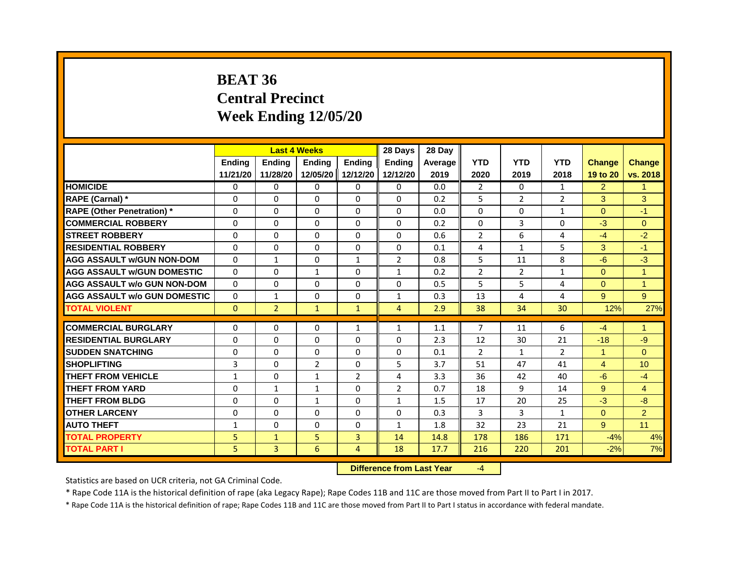# **BEAT 36 Central Precinct Week Ending 12/05/20**

|                                    |               |                | <b>Last 4 Weeks</b> |                | 28 Days        | 28 Day  |                |                |                |                |                |
|------------------------------------|---------------|----------------|---------------------|----------------|----------------|---------|----------------|----------------|----------------|----------------|----------------|
|                                    | <b>Endina</b> | <b>Endina</b>  | <b>Ending</b>       | <b>Ending</b>  | <b>Ending</b>  | Average | <b>YTD</b>     | <b>YTD</b>     | <b>YTD</b>     | <b>Change</b>  | <b>Change</b>  |
|                                    | 11/21/20      | 11/28/20       | 12/05/20            | 12/12/20       | 12/12/20       | 2019    | 2020           | 2019           | 2018           | 19 to 20       | vs. 2018       |
| <b>HOMICIDE</b>                    | 0             | 0              | 0                   | $\mathbf{0}$   | $\mathbf{0}$   | 0.0     | $\overline{2}$ | $\Omega$       | $\mathbf{1}$   | $\overline{2}$ | $\mathbf{1}$   |
| RAPE (Carnal) *                    | 0             | 0              | 0                   | 0              | $\Omega$       | 0.2     | 5              | $\overline{2}$ | $\overline{2}$ | 3              | 3              |
| <b>RAPE (Other Penetration)*</b>   | $\Omega$      | $\Omega$       | $\Omega$            | $\Omega$       | $\Omega$       | 0.0     | $\Omega$       | $\Omega$       | $\mathbf{1}$   | $\Omega$       | $-1$           |
| <b>COMMERCIAL ROBBERY</b>          | $\Omega$      | $\Omega$       | 0                   | $\Omega$       | $\Omega$       | 0.2     | $\Omega$       | 3              | 0              | $-3$           | $\overline{0}$ |
| <b>STREET ROBBERY</b>              | $\Omega$      | $\Omega$       | $\Omega$            | $\mathbf{0}$   | $\Omega$       | 0.6     | $\overline{2}$ | 6              | 4              | $-4$           | $-2$           |
| <b>RESIDENTIAL ROBBERY</b>         | $\Omega$      | $\Omega$       | $\Omega$            | $\mathbf{0}$   | $\mathbf{0}$   | 0.1     | 4              | $\mathbf{1}$   | 5              | 3              | $-1$           |
| <b>AGG ASSAULT w/GUN NON-DOM</b>   | $\Omega$      | $\mathbf{1}$   | $\Omega$            | $\mathbf{1}$   | $\overline{2}$ | 0.8     | 5              | 11             | 8              | $-6$           | $-3$           |
| AGG ASSAULT W/GUN DOMESTIC         | $\Omega$      | $\Omega$       | $\mathbf{1}$        | $\Omega$       | $\mathbf{1}$   | 0.2     | 2              | 2              | $\mathbf{1}$   | $\Omega$       | $\mathbf{1}$   |
| <b>AGG ASSAULT w/o GUN NON-DOM</b> | $\Omega$      | $\Omega$       | $\Omega$            | $\mathbf{0}$   | $\Omega$       | 0.5     | 5              | 5              | 4              | $\Omega$       | 1              |
| AGG ASSAULT W/o GUN DOMESTIC       | $\Omega$      | $\mathbf{1}$   | $\Omega$            | $\Omega$       | $\mathbf{1}$   | 0.3     | 13             | 4              | 4              | 9              | 9              |
| <b>TOTAL VIOLENT</b>               | $\Omega$      | $\overline{2}$ | $\mathbf{1}$        | $\mathbf{1}$   | $\overline{4}$ | 2.9     | 38             | 34             | 30             | 12%            | 27%            |
|                                    |               |                |                     |                |                |         |                |                |                |                |                |
| <b>COMMERCIAL BURGLARY</b>         | 0             | $\Omega$       | 0                   | $\mathbf{1}$   | $\mathbf{1}$   | 1.1     | $\overline{7}$ | 11             | 6              | $-4$           | 1              |
| <b>RESIDENTIAL BURGLARY</b>        | $\Omega$      | $\Omega$       | $\Omega$            | $\Omega$       | $\Omega$       | 2.3     | 12             | 30             | 21             | $-18$          | $-9$           |
| <b>SUDDEN SNATCHING</b>            | $\Omega$      | $\Omega$       | $\Omega$            | $\mathbf{0}$   | $\Omega$       | 0.1     | $\overline{2}$ | $\mathbf{1}$   | $\overline{2}$ | $\mathbf{1}$   | $\overline{0}$ |
| <b>SHOPLIFTING</b>                 | 3             | $\Omega$       | $\overline{2}$      | $\mathbf{0}$   | 5              | 3.7     | 51             | 47             | 41             | 4              | 10             |
| <b>THEFT FROM VEHICLE</b>          | $\mathbf{1}$  | $\Omega$       | $\mathbf{1}$        | $\overline{2}$ | 4              | 3.3     | 36             | 42             | 40             | $-6$           | $-4$           |
| <b>THEFT FROM YARD</b>             | $\Omega$      | $\mathbf{1}$   | $\mathbf{1}$        | $\Omega$       | $\overline{2}$ | 0.7     | 18             | 9              | 14             | 9              | $\overline{4}$ |
| <b>THEFT FROM BLDG</b>             | $\Omega$      | $\Omega$       | $\mathbf{1}$        | $\Omega$       | $\mathbf{1}$   | 1.5     | 17             | 20             | 25             | $-3$           | $-8$           |
| <b>OTHER LARCENY</b>               | $\Omega$      | $\Omega$       | 0                   | $\Omega$       | $\Omega$       | 0.3     | 3              | 3              | $\mathbf{1}$   | $\Omega$       | $\overline{2}$ |
| <b>AUTO THEFT</b>                  | $\mathbf{1}$  | $\Omega$       | $\Omega$            | $\mathbf{0}$   | $\mathbf{1}$   | 1.8     | 32             | 23             | 21             | 9              | 11             |
| <b>TOTAL PROPERTY</b>              | 5             | $\mathbf{1}$   | 5                   | 3              | 14             | 14.8    | 178            | 186            | 171            | $-4%$          | 4%             |
| <b>TOTAL PART I</b>                | 5             | 3              | 6                   | $\overline{4}$ | 18             | 17.7    | 216            | 220            | 201            | $-2%$          | 7%             |

**Difference from Last Year** -4

Statistics are based on UCR criteria, not GA Criminal Code.

\* Rape Code 11A is the historical definition of rape (aka Legacy Rape); Rape Codes 11B and 11C are those moved from Part II to Part I in 2017.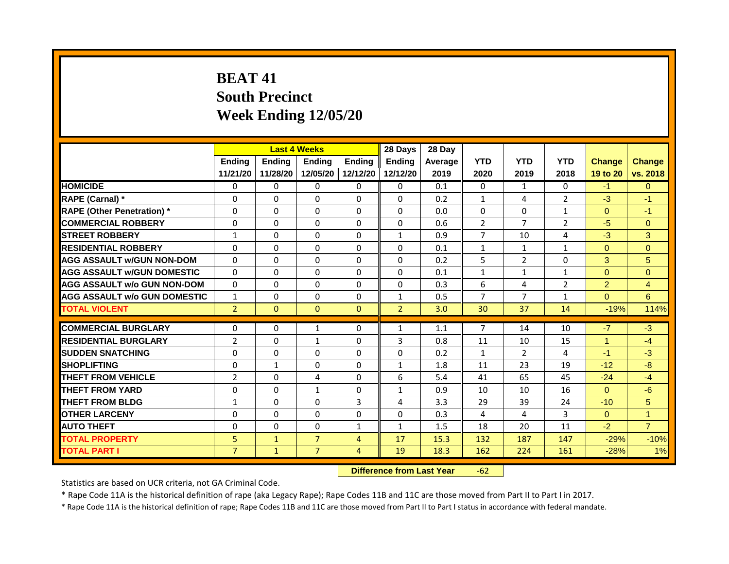# **BEAT 41 South Precinct Week Ending 12/05/20**

|                                     | <b>Last 4 Weeks</b> |              |                                  | 28 Days        | 28 Day         |         |                |                |                |                |                 |
|-------------------------------------|---------------------|--------------|----------------------------------|----------------|----------------|---------|----------------|----------------|----------------|----------------|-----------------|
|                                     | Ending              | Ending       | <b>Ending</b>                    | <b>Endina</b>  | <b>Endina</b>  | Average | <b>YTD</b>     | <b>YTD</b>     | <b>YTD</b>     | <b>Change</b>  | <b>Change</b>   |
|                                     | 11/21/20            | 11/28/20     | 12/05/20                         | 12/12/20       | 12/12/20       | 2019    | 2020           | 2019           | 2018           | 19 to 20       | vs. 2018        |
| <b>HOMICIDE</b>                     | 0                   | $\Omega$     | $\mathbf{0}$                     | 0              | 0              | 0.1     | 0              | $\mathbf{1}$   | $\mathbf{0}$   | $-1$           | $\Omega$        |
| RAPE (Carnal) *                     | $\Omega$            | $\Omega$     | $\Omega$                         | $\Omega$       | $\Omega$       | 0.2     | $\mathbf{1}$   | 4              | $\overline{2}$ | $-3$           | $-1$            |
| <b>RAPE (Other Penetration)</b> *   | 0                   | $\mathbf{0}$ | $\Omega$                         | $\Omega$       | $\Omega$       | 0.0     | $\Omega$       | $\Omega$       | $\mathbf{1}$   | $\Omega$       | $-1$            |
| <b>COMMERCIAL ROBBERY</b>           | $\Omega$            | $\Omega$     | $\Omega$                         | $\Omega$       | $\Omega$       | 0.6     | $\overline{2}$ | $\overline{7}$ | $\overline{2}$ | $-5$           | $\mathbf{0}$    |
| <b>STREET ROBBERY</b>               | $\mathbf{1}$        | $\Omega$     | $\Omega$                         | $\Omega$       | $\mathbf{1}$   | 0.9     | $\overline{7}$ | 10             | 4              | $-3$           | 3               |
| <b>RESIDENTIAL ROBBERY</b>          | $\Omega$            | $\Omega$     | $\Omega$                         | $\Omega$       | $\Omega$       | 0.1     | $\mathbf{1}$   | 1              | 1              | $\Omega$       | $\Omega$        |
| <b>AGG ASSAULT w/GUN NON-DOM</b>    | $\Omega$            | $\Omega$     | $\Omega$                         | $\Omega$       | $\Omega$       | 0.2     | 5              | $\overline{2}$ | $\Omega$       | 3              | 5 <sup>5</sup>  |
| <b>AGG ASSAULT W/GUN DOMESTIC</b>   | $\Omega$            | $\Omega$     | $\Omega$                         | $\Omega$       | $\Omega$       | 0.1     | $\mathbf{1}$   | 1              | 1              | $\Omega$       | $\Omega$        |
| AGG ASSAULT w/o GUN NON-DOM         | $\Omega$            | $\Omega$     | $\Omega$                         | $\Omega$       | $\Omega$       | 0.3     | 6              | 4              | $\overline{2}$ | $\overline{2}$ | $\overline{4}$  |
| <b>AGG ASSAULT W/o GUN DOMESTIC</b> | $\mathbf{1}$        | $\Omega$     | $\Omega$                         | $\Omega$       | $\mathbf{1}$   | 0.5     | $\overline{7}$ | $\overline{7}$ | $\mathbf{1}$   | $\Omega$       | $6\overline{6}$ |
| <b>TOTAL VIOLENT</b>                | $\overline{2}$      | $\mathbf{0}$ | $\mathbf{0}$                     | $\mathbf{0}$   | $\overline{2}$ | 3.0     | 30             | 37             | 14             | $-19%$         | 114%            |
| <b>COMMERCIAL BURGLARY</b>          | 0                   | 0            | 1                                | 0              | 1              | 1.1     | $\overline{7}$ | 14             | 10             | $-7$           | $-3$            |
| <b>RESIDENTIAL BURGLARY</b>         | $\overline{2}$      | $\Omega$     | $\mathbf{1}$                     | $\Omega$       | 3              | 0.8     | 11             | 10             | 15             | $\overline{1}$ | $-4$            |
| <b>SUDDEN SNATCHING</b>             | $\Omega$            | $\Omega$     | $\Omega$                         | $\Omega$       | $\Omega$       | 0.2     | $\mathbf{1}$   | $\overline{2}$ | 4              | $-1$           | $-3$            |
| <b>SHOPLIFTING</b>                  | 0                   | 1            | 0                                | 0              | 1              | 1.8     | 11             | 23             | 19             | $-12$          | -8              |
| <b>THEFT FROM VEHICLE</b>           | $\overline{2}$      | $\Omega$     | 4                                | $\Omega$       | 6              | 5.4     | 41             | 65             | 45             | $-24$          | $-4$            |
| <b>THEFT FROM YARD</b>              | $\Omega$            | $\mathbf{0}$ | $\mathbf{1}$                     | $\Omega$       | $\mathbf{1}$   | 0.9     | 10             | 10             | 16             | $\Omega$       | $-6$            |
| <b>THEFT FROM BLDG</b>              | $\mathbf{1}$        | $\Omega$     | $\Omega$                         | $\overline{3}$ | 4              | 3.3     | 29             | 39             | 24             | $-10$          | 5 <sup>5</sup>  |
| <b>OTHER LARCENY</b>                | $\Omega$            | $\Omega$     | $\Omega$                         | $\Omega$       | $\Omega$       | 0.3     | 4              | 4              | 3              | $\Omega$       | $\mathbf 1$     |
| <b>AUTO THEFT</b>                   | $\Omega$            | $\Omega$     | $\Omega$                         | $\mathbf{1}$   | $\mathbf{1}$   | 1.5     | 18             | 20             | 11             | $-2$           | $\overline{7}$  |
| <b>TOTAL PROPERTY</b>               | 5                   | $\mathbf{1}$ | $\overline{7}$                   | $\overline{4}$ | 17             | 15.3    | 132            | 187            | 147            | $-29%$         | $-10%$          |
| <b>TOTAL PART I</b>                 | $\overline{7}$      | $\mathbf{1}$ | $\overline{7}$                   | $\overline{4}$ | 19             | 18.3    | 162            | 224            | 161            |                | 1%              |
|                                     |                     |              |                                  |                |                |         |                | $-28%$         |                |                |                 |
|                                     |                     |              | <b>Difference from Last Year</b> |                | $-62$          |         |                |                |                |                |                 |

Statistics are based on UCR criteria, not GA Criminal Code.

\* Rape Code 11A is the historical definition of rape (aka Legacy Rape); Rape Codes 11B and 11C are those moved from Part II to Part I in 2017.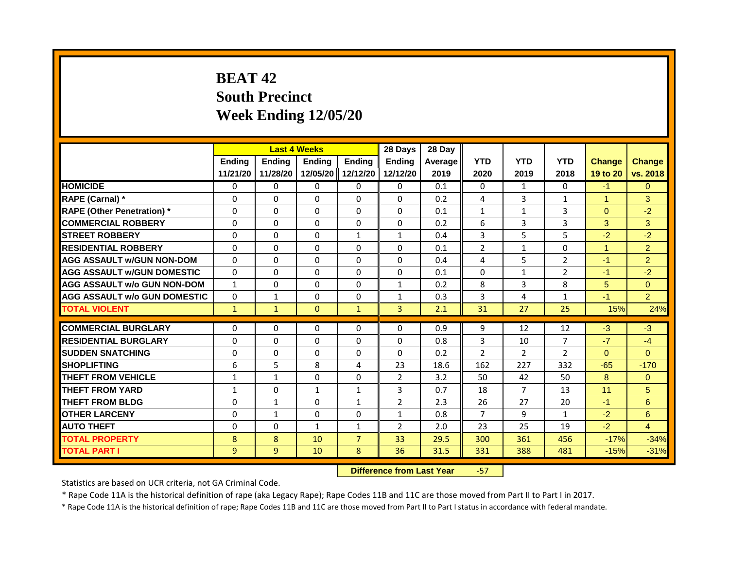# **BEAT 42 South Precinct Week Ending 12/05/20**

|                                     | <b>Last 4 Weeks</b> |                                  |              | 28 Days        | 28 Day         |         |                |                |                |               |                |
|-------------------------------------|---------------------|----------------------------------|--------------|----------------|----------------|---------|----------------|----------------|----------------|---------------|----------------|
|                                     | <b>Ending</b>       | <b>Ending</b>                    | Ending       | <b>Ending</b>  | <b>Endina</b>  | Average | <b>YTD</b>     | <b>YTD</b>     | <b>YTD</b>     | <b>Change</b> | <b>Change</b>  |
|                                     | 11/21/20            | 11/28/20                         | 12/05/20     | 12/12/20       | 12/12/20       | 2019    | 2020           | 2019           | 2018           | 19 to 20      | vs. 2018       |
| <b>HOMICIDE</b>                     | 0                   | 0                                | 0            | 0              | 0              | 0.1     | 0              | $\mathbf{1}$   | 0              | $-1$          | $\mathbf{0}$   |
| RAPE (Carnal) *                     | $\Omega$            | $\Omega$                         | $\Omega$     | $\Omega$       | $\Omega$       | 0.2     | 4              | 3              | $\mathbf{1}$   | $\mathbf{1}$  | 3              |
| <b>RAPE (Other Penetration) *</b>   | $\Omega$            | $\Omega$                         | $\Omega$     | $\Omega$       | $\Omega$       | 0.1     | $\mathbf{1}$   | $\mathbf{1}$   | $\overline{3}$ | $\Omega$      | $-2$           |
| <b>COMMERCIAL ROBBERY</b>           | 0                   | 0                                | 0            | 0              | 0              | 0.2     | 6              | 3              | 3              | 3             | 3              |
| <b>STREET ROBBERY</b>               | $\Omega$            | $\Omega$                         | $\Omega$     | $\mathbf{1}$   | $\mathbf{1}$   | 0.4     | 3              | 5 <sup>1</sup> | 5              | $-2$          | $-2$           |
| <b>RESIDENTIAL ROBBERY</b>          | 0                   | 0                                | $\Omega$     | $\Omega$       | $\Omega$       | 0.1     | 2              | 1              | $\Omega$       | $\mathbf{1}$  | $\overline{2}$ |
| <b>AGG ASSAULT w/GUN NON-DOM</b>    | $\Omega$            | $\Omega$                         | $\Omega$     | $\Omega$       | $\Omega$       | 0.4     | 4              | 5              | $\overline{2}$ | $-1$          | $\overline{2}$ |
| <b>AGG ASSAULT W/GUN DOMESTIC</b>   | $\Omega$            | $\Omega$                         | $\Omega$     | $\Omega$       | $\Omega$       | 0.1     | $\Omega$       | $\mathbf{1}$   | $\overline{2}$ | $-1$          | $-2$           |
| <b>AGG ASSAULT w/o GUN NON-DOM</b>  | $\mathbf{1}$        | $\Omega$                         | $\Omega$     | $\Omega$       | 1              | 0.2     | 8              | 3              | 8              | 5             | $\overline{0}$ |
| <b>AGG ASSAULT w/o GUN DOMESTIC</b> | $\Omega$            | $\mathbf{1}$                     | $\Omega$     | $\Omega$       | $\mathbf{1}$   | 0.3     | 3              | 4              | $\mathbf{1}$   | $-1$          | $\overline{2}$ |
| <b>TOTAL VIOLENT</b>                | $\mathbf{1}$        | $\mathbf{1}$                     | $\mathbf{0}$ | $\mathbf{1}$   | $\overline{3}$ | 2.1     | 31             | 27             | 25             | 15%           | 24%            |
| <b>COMMERCIAL BURGLARY</b>          | 0                   | 0                                | $\Omega$     | $\Omega$       | $\Omega$       | 0.9     | 9              | 12             | 12             | $-3$          | $-3$           |
| <b>RESIDENTIAL BURGLARY</b>         | $\Omega$            | $\Omega$                         | $\Omega$     | $\Omega$       | $\Omega$       | 0.8     | 3              | 10             | $\overline{7}$ | $-7$          | $-4$           |
| <b>SUDDEN SNATCHING</b>             | $\Omega$            | $\Omega$                         | $\Omega$     | $\Omega$       | $\Omega$       | 0.2     | $\overline{2}$ | 2              | $\overline{2}$ | $\Omega$      | $\Omega$       |
| <b>SHOPLIFTING</b>                  | 6                   | 5                                | 8            | 4              | 23             | 18.6    | 162            | 227            | 332            | $-65$         | $-170$         |
| <b>THEFT FROM VEHICLE</b>           | $\mathbf{1}$        | $\mathbf{1}$                     | $\Omega$     | $\Omega$       | $\overline{2}$ | 3.2     | 50             | 42             | 50             | 8             | $\Omega$       |
| <b>THEFT FROM YARD</b>              | $\mathbf{1}$        | $\Omega$                         | $\mathbf{1}$ | $\mathbf{1}$   | 3              | 0.7     | 18             | $\overline{7}$ | 13             | 11            | 5              |
| <b>THEFT FROM BLDG</b>              | 0                   | 1                                | 0            | $\mathbf{1}$   | $\overline{2}$ | 2.3     | 26             | 27             | 20             | $-1$          | 6              |
| <b>OTHER LARCENY</b>                | $\Omega$            | $\mathbf{1}$                     | $\Omega$     | $\Omega$       | $\mathbf{1}$   | 0.8     | $\overline{7}$ | 9              | $\mathbf{1}$   | $-2$          | 6              |
| <b>AUTO THEFT</b>                   | 0                   | 0                                | $\mathbf{1}$ | $\mathbf{1}$   | $\overline{2}$ | 2.0     | 23             | 25             | 19             | $-2$          | $\overline{4}$ |
| <b>TOTAL PROPERTY</b>               | 8                   | 8                                | 10           | $\overline{7}$ | 33             | 29.5    | 300            | 361            | 456            | $-17%$        | $-34%$         |
| <b>TOTAL PART I</b>                 | 9                   | 9                                | 10           | 8              | 36             | 31.5    | 331            | 388            | 481            | $-15%$        | $-31%$         |
|                                     |                     | <b>Difference from Last Year</b> |              | $-57$          |                |         |                |                |                |               |                |

Statistics are based on UCR criteria, not GA Criminal Code.

\* Rape Code 11A is the historical definition of rape (aka Legacy Rape); Rape Codes 11B and 11C are those moved from Part II to Part I in 2017.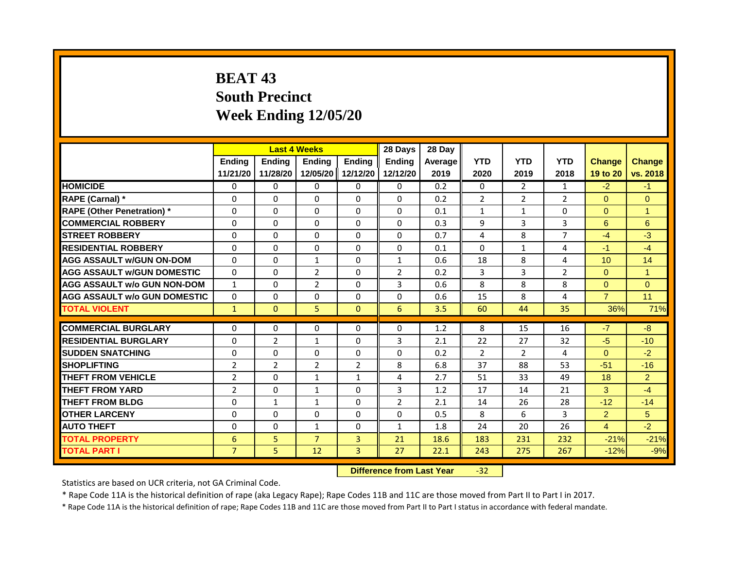## **BEAT 43 South Precinct Week Ending 12/05/20**

|                                     | <b>Last 4 Weeks</b> |                |                                  | 28 Days        | 28 Day         |         |                |                |                |                |                      |
|-------------------------------------|---------------------|----------------|----------------------------------|----------------|----------------|---------|----------------|----------------|----------------|----------------|----------------------|
|                                     | <b>Ending</b>       | <b>Ending</b>  | <b>Ending</b>                    | <b>Endina</b>  | <b>Endina</b>  | Average | <b>YTD</b>     | <b>YTD</b>     | <b>YTD</b>     | <b>Change</b>  | <b>Change</b>        |
|                                     | 11/21/20            | 11/28/20       | 12/05/20                         | 12/12/20       | 12/12/20       | 2019    | 2020           | 2019           | 2018           | 19 to 20       | vs. 2018             |
| <b>HOMICIDE</b>                     | 0                   | 0              | $\mathbf{0}$                     | $\mathbf{0}$   | 0              | 0.2     | $\Omega$       | $\overline{2}$ | 1              | $-2$           | $-1$                 |
| RAPE (Carnal) *                     | 0                   | $\Omega$       | 0                                | $\Omega$       | $\Omega$       | 0.2     | $\overline{2}$ | $\overline{2}$ | 2              | $\Omega$       | $\Omega$             |
| <b>RAPE (Other Penetration)</b> *   | $\Omega$            | $\Omega$       | $\Omega$                         | $\Omega$       | $\Omega$       | 0.1     | $\mathbf{1}$   | $\mathbf{1}$   | $\Omega$       | $\Omega$       | $\mathbf{1}$         |
| <b>COMMERCIAL ROBBERY</b>           | $\Omega$            | $\Omega$       | $\Omega$                         | $\Omega$       | $\Omega$       | 0.3     | 9              | 3              | 3              | 6              | 6                    |
| <b>STREET ROBBERY</b>               | $\Omega$            | $\Omega$       | 0                                | $\Omega$       | $\Omega$       | 0.7     | 4              | 8              | $\overline{7}$ | $-4$           | $-3$                 |
| <b>RESIDENTIAL ROBBERY</b>          | $\Omega$            | $\Omega$       | $\Omega$                         | $\Omega$       | $\Omega$       | 0.1     | $\Omega$       | $\mathbf{1}$   | $\overline{4}$ | $-1$           | $-4$                 |
| <b>AGG ASSAULT w/GUN ON-DOM</b>     | $\Omega$            | $\Omega$       | $\mathbf{1}$                     | $\Omega$       | $\mathbf{1}$   | 0.6     | 18             | 8              | 4              | 10             | 14                   |
| <b>AGG ASSAULT W/GUN DOMESTIC</b>   | $\Omega$            | $\Omega$       | $\overline{2}$                   | $\Omega$       | 2              | 0.2     | 3              | 3              | 2              | $\Omega$       | $\blacktriangleleft$ |
| <b>AGG ASSAULT w/o GUN NON-DOM</b>  | 1                   | $\Omega$       | $\overline{2}$                   | $\Omega$       | 3              | 0.6     | 8              | 8              | 8              | $\Omega$       | $\Omega$             |
| <b>AGG ASSAULT w/o GUN DOMESTIC</b> | $\Omega$            | $\Omega$       | 0                                | $\Omega$       | $\Omega$       | 0.6     | 15             | 8              | 4              | $\overline{7}$ | 11                   |
| <b>TOTAL VIOLENT</b>                | $\mathbf{1}$        | $\Omega$       | 5                                | $\Omega$       | 6              | 3.5     | 60             | 44             | 35             | 36%            | 71%                  |
|                                     |                     |                |                                  |                |                |         |                |                |                |                |                      |
| <b>COMMERCIAL BURGLARY</b>          | $\Omega$            | $\Omega$       | $\Omega$                         | $\Omega$       | $\Omega$       | 1.2     | 8              | 15             | 16             | $-7$           | $-8$                 |
| <b>RESIDENTIAL BURGLARY</b>         | $\Omega$            | $\overline{2}$ | $\mathbf{1}$                     | $\Omega$       | 3              | 2.1     | 22             | 27             | 32             | $-5$           | $-10$                |
| <b>SUDDEN SNATCHING</b>             | $\Omega$            | $\Omega$       | $\Omega$                         | $\Omega$       | 0              | 0.2     | $\overline{2}$ | $\overline{2}$ | 4              | $\Omega$       | $-2$                 |
| <b>SHOPLIFTING</b>                  | $\overline{2}$      | $\overline{2}$ | $\overline{2}$                   | $\overline{2}$ | 8              | 6.8     | 37             | 88             | 53             | $-51$          | $-16$                |
| <b>THEFT FROM VEHICLE</b>           | $\overline{2}$      | $\Omega$       | $\mathbf{1}$                     | $\mathbf{1}$   | 4              | 2.7     | 51             | 33             | 49             | 18             | $\overline{2}$       |
| <b>THEFT FROM YARD</b>              | $\overline{2}$      | $\Omega$       | $\mathbf{1}$                     | $\Omega$       | 3              | 1.2     | 17             | 14             | 21             | $\mathbf{3}$   | $-4$                 |
| <b>THEFT FROM BLDG</b>              | $\Omega$            | $\mathbf{1}$   | $\mathbf{1}$                     | $\Omega$       | $\overline{2}$ | 2.1     | 14             | 26             | 28             | $-12$          | $-14$                |
| <b>OTHER LARCENY</b>                | $\Omega$            | $\Omega$       | 0                                | $\Omega$       | 0              | 0.5     | 8              | 6              | 3              | 2 <sup>1</sup> | 5                    |
| <b>AUTO THEFT</b>                   | 0                   | $\Omega$       | $\mathbf{1}$                     | $\Omega$       | $\mathbf{1}$   | 1.8     | 24             | 20             | 26             | $\overline{4}$ | $-2$                 |
| <b>TOTAL PROPERTY</b>               | 6                   | 5              | $\overline{7}$                   | $\overline{3}$ | 21             | 18.6    | 183            | 231            | 232            | $-21%$         | $-21%$               |
| <b>TOTAL PART I</b>                 | $\overline{7}$      | 5              | 12                               | 3              | 27             | 22.1    | 243            | 275            | 267            | $-12%$         | $-9%$                |
|                                     |                     |                | <b>Difference from Last Year</b> |                | $-32$          |         |                |                |                |                |                      |

Statistics are based on UCR criteria, not GA Criminal Code.

\* Rape Code 11A is the historical definition of rape (aka Legacy Rape); Rape Codes 11B and 11C are those moved from Part II to Part I in 2017.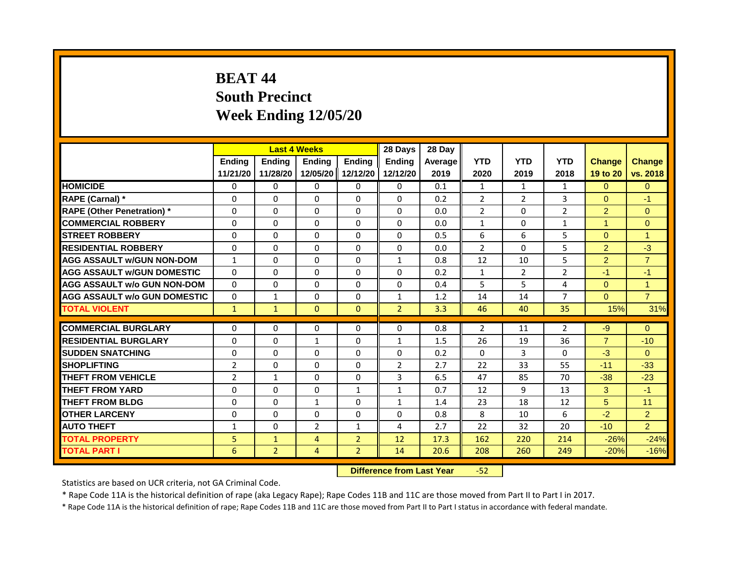## **BEAT 44 South Precinct Week Ending 12/05/20**

|                                     | <b>Last 4 Weeks</b> |                |                   | 28 Days        | 28 Day                           |         |                |                |                |                      |                      |
|-------------------------------------|---------------------|----------------|-------------------|----------------|----------------------------------|---------|----------------|----------------|----------------|----------------------|----------------------|
|                                     | Ending              | <b>Ending</b>  | <b>Ending</b>     | <b>Ending</b>  | <b>Endina</b>                    | Average | <b>YTD</b>     | <b>YTD</b>     | <b>YTD</b>     | <b>Change</b>        | <b>Change</b>        |
|                                     | 11/21/20            | 11/28/20       | 12/05/20 12/12/20 |                | 12/12/20                         | 2019    | 2020           | 2019           | 2018           | 19 to 20             | vs. 2018             |
| <b>HOMICIDE</b>                     | $\mathbf{0}$        | 0              | $\mathbf{0}$      | $\mathbf{0}$   | 0                                | 0.1     | $\mathbf{1}$   | $\mathbf{1}$   | $\mathbf{1}$   | $\Omega$             | $\Omega$             |
| RAPE (Carnal) *                     | $\Omega$            | $\Omega$       | $\Omega$          | $\Omega$       | $\Omega$                         | 0.2     | $\overline{2}$ | $\overline{2}$ | 3              | $\Omega$             | $-1$                 |
| <b>RAPE (Other Penetration)</b> *   | $\Omega$            | $\Omega$       | $\Omega$          | $\Omega$       | $\Omega$                         | 0.0     | $\overline{2}$ | $\Omega$       | $\overline{2}$ | $\overline{2}$       | $\Omega$             |
| <b>COMMERCIAL ROBBERY</b>           | $\Omega$            | $\Omega$       | $\Omega$          | $\Omega$       | $\Omega$                         | 0.0     | $\mathbf{1}$   | $\Omega$       | $\mathbf{1}$   | $\blacktriangleleft$ | $\Omega$             |
| <b>STREET ROBBERY</b>               | $\Omega$            | $\Omega$       | $\Omega$          | $\Omega$       | $\Omega$                         | 0.5     | 6              | 6              | 5              | $\Omega$             | $\blacktriangleleft$ |
| <b>RESIDENTIAL ROBBERY</b>          | $\Omega$            | $\Omega$       | $\Omega$          | $\Omega$       | $\Omega$                         | 0.0     | $\overline{2}$ | $\Omega$       | 5              | $\overline{2}$       | $-3$                 |
| <b>AGG ASSAULT w/GUN NON-DOM</b>    | $\mathbf{1}$        | $\Omega$       | $\mathbf{0}$      | $\Omega$       | $\mathbf{1}$                     | 0.8     | 12             | 10             | 5              | $\overline{2}$       | $\overline{7}$       |
| <b>AGG ASSAULT w/GUN DOMESTIC</b>   | $\Omega$            | $\Omega$       | $\Omega$          | $\Omega$       | $\Omega$                         | 0.2     | $\mathbf{1}$   | $\overline{2}$ | $\overline{2}$ | $-1$                 | $-1$                 |
| <b>AGG ASSAULT w/o GUN NON-DOM</b>  | $\Omega$            | 0              | $\Omega$          | $\Omega$       | $\Omega$                         | 0.4     | 5              | 5              | 4              | $\Omega$             | $\blacktriangleleft$ |
| <b>AGG ASSAULT W/o GUN DOMESTIC</b> | $\mathbf{0}$        | $\mathbf{1}$   | $\Omega$          | $\Omega$       | $\mathbf{1}$                     | 1.2     | 14             | 14             | 7              | $\Omega$             | $\overline{7}$       |
| <b>TOTAL VIOLENT</b>                | $\mathbf{1}$        | $\mathbf{1}$   | $\mathbf{0}$      | $\mathbf{0}$   | $\overline{2}$                   | 3.3     | 46             | 40             | 35             | 15%                  | 31%                  |
| <b>COMMERCIAL BURGLARY</b>          | $\mathbf{0}$        | $\Omega$       | $\Omega$          | $\Omega$       | $\Omega$                         | 0.8     | $\overline{2}$ | 11             | $\overline{2}$ | $-9$                 | $\Omega$             |
|                                     |                     |                |                   |                |                                  |         |                |                |                | $\overline{7}$       |                      |
| <b>RESIDENTIAL BURGLARY</b>         | $\Omega$            | $\Omega$       | $\mathbf{1}$      | $\Omega$       | $\mathbf{1}$                     | 1.5     | 26             | 19             | 36             |                      | $-10$                |
| <b>SUDDEN SNATCHING</b>             | $\Omega$            | $\Omega$       | $\Omega$          | $\Omega$       | $\Omega$                         | 0.2     | $\Omega$       | $\overline{3}$ | $\Omega$       | $-3$                 | $\Omega$             |
| <b>SHOPLIFTING</b>                  | $\overline{2}$      | $\Omega$       | $\Omega$          | $\Omega$       | $\overline{2}$                   | 2.7     | 22             | 33             | 55             | $-11$                | $-33$                |
| <b>THEFT FROM VEHICLE</b>           | $\overline{2}$      | $\mathbf{1}$   | $\Omega$          | $\Omega$       | 3                                | 6.5     | 47             | 85             | 70             | $-38$                | $-23$                |
| <b>THEFT FROM YARD</b>              | $\Omega$            | $\Omega$       | $\mathbf{0}$      | $\mathbf{1}$   | $\mathbf{1}$                     | 0.7     | 12             | 9              | 13             | $\mathbf{3}$         | $-1$                 |
| <b>THEFT FROM BLDG</b>              | $\Omega$            | $\Omega$       | $\mathbf{1}$      | $\Omega$       | $\mathbf{1}$                     | 1.4     | 23             | 18             | 12             | 5                    | 11                   |
| <b>OTHER LARCENY</b>                | 0                   | $\Omega$       | $\Omega$          | $\Omega$       | $\Omega$                         | 0.8     | 8              | 10             | 6              | $-2$                 | $\overline{2}$       |
| <b>AUTO THEFT</b>                   | $\mathbf{1}$        | $\Omega$       | $\overline{2}$    | $\mathbf{1}$   | 4                                | 2.7     | 22             | 32             | 20             | $-10$                | $\overline{2}$       |
| <b>TOTAL PROPERTY</b>               | 5                   | $\mathbf{1}$   | $\overline{4}$    | $\overline{2}$ | 12                               | 17.3    | 162            | 220            | 214            | $-26%$               | $-24%$               |
| <b>TOTAL PART I</b>                 | 6                   | $\overline{2}$ | $\overline{4}$    | $\overline{2}$ | 14                               | 20.6    | 208            | 260            | 249            | $-20%$               | $-16%$               |
|                                     |                     |                |                   |                | <b>Difference from Last Year</b> |         | $-52$          |                |                |                      |                      |

Statistics are based on UCR criteria, not GA Criminal Code.

\* Rape Code 11A is the historical definition of rape (aka Legacy Rape); Rape Codes 11B and 11C are those moved from Part II to Part I in 2017.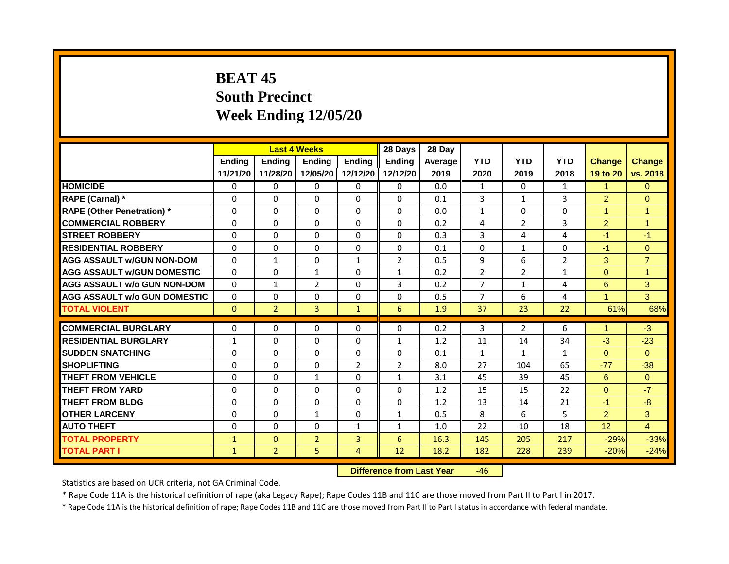## **BEAT 45 South Precinct Week Ending 12/05/20**

|                                     | <b>Last 4 Weeks</b> |                |                                  | 28 Days        | 28 Day         |         |                |                |                |                      |                      |
|-------------------------------------|---------------------|----------------|----------------------------------|----------------|----------------|---------|----------------|----------------|----------------|----------------------|----------------------|
|                                     | <b>Ending</b>       | <b>Ending</b>  | Ending                           | <b>Endina</b>  | <b>Endina</b>  | Average | <b>YTD</b>     | <b>YTD</b>     | <b>YTD</b>     | <b>Change</b>        | <b>Change</b>        |
|                                     | 11/21/20            | 11/28/20       | 12/05/20                         | 12/12/20       | 12/12/20       | 2019    | 2020           | 2019           | 2018           | 19 to 20             | vs. 2018             |
| <b>HOMICIDE</b>                     | 0                   | 0              | $\mathbf{0}$                     | 0              | 0              | 0.0     | $\mathbf{1}$   | $\Omega$       | $\mathbf{1}$   | $\mathbf{1}$         | $\Omega$             |
| RAPE (Carnal) *                     | $\Omega$            | $\Omega$       | 0                                | $\Omega$       | $\Omega$       | 0.1     | 3              | $\mathbf{1}$   | 3              | $\overline{2}$       | $\Omega$             |
| <b>RAPE (Other Penetration)</b> *   | $\Omega$            | $\Omega$       | $\Omega$                         | $\Omega$       | $\Omega$       | 0.0     | $\mathbf{1}$   | $\mathbf{0}$   | $\Omega$       | $\overline{1}$       | $\overline{1}$       |
| <b>COMMERCIAL ROBBERY</b>           | $\Omega$            | $\Omega$       | $\Omega$                         | $\Omega$       | $\Omega$       | 0.2     | 4              | $\overline{2}$ | 3              | $\overline{2}$       | $\blacktriangleleft$ |
| <b>STREET ROBBERY</b>               | $\Omega$            | $\Omega$       | 0                                | $\Omega$       | $\Omega$       | 0.3     | 3              | 4              | 4              | $-1$                 | $-1$                 |
| <b>RESIDENTIAL ROBBERY</b>          | $\Omega$            | $\Omega$       | $\Omega$                         | $\Omega$       | $\Omega$       | 0.1     | $\Omega$       | $\mathbf{1}$   | $\Omega$       | $-1$                 | $\overline{0}$       |
| <b>AGG ASSAULT w/GUN NON-DOM</b>    | $\Omega$            | $\mathbf{1}$   | $\Omega$                         | $\mathbf{1}$   | $\overline{2}$ | 0.5     | $\mathbf{q}$   | 6              | $\overline{2}$ | 3                    | $\overline{7}$       |
| <b>AGG ASSAULT W/GUN DOMESTIC</b>   | $\Omega$            | $\Omega$       | $\mathbf{1}$                     | $\Omega$       | $\mathbf{1}$   | 0.2     | $\overline{2}$ | $\overline{2}$ | $\mathbf{1}$   | $\Omega$             | $\blacktriangleleft$ |
| <b>AGG ASSAULT w/o GUN NON-DOM</b>  | $\Omega$            | $\mathbf{1}$   | $\overline{2}$                   | $\Omega$       | 3              | 0.2     | $\overline{7}$ | $\mathbf{1}$   | 4              | 6                    | 3                    |
| <b>AGG ASSAULT w/o GUN DOMESTIC</b> | $\Omega$            | $\Omega$       | 0                                | $\Omega$       | $\Omega$       | 0.5     | $\overline{7}$ | 6              | 4              | $\blacktriangleleft$ | 3                    |
| <b>TOTAL VIOLENT</b>                | $\Omega$            | $\overline{2}$ | $\overline{3}$                   | $\mathbf{1}$   | 6              | 1.9     | 37             | 23             | 22             | 61%                  | 68%                  |
|                                     |                     |                |                                  |                |                |         |                |                |                |                      |                      |
| <b>COMMERCIAL BURGLARY</b>          | $\Omega$            | $\Omega$       | $\Omega$                         | $\Omega$       | $\Omega$       | 0.2     | 3              | $\overline{2}$ | 6              | $\blacktriangleleft$ | $-3$                 |
| <b>RESIDENTIAL BURGLARY</b>         | $\mathbf{1}$        | $\Omega$       | $\Omega$                         | $\Omega$       | $\mathbf{1}$   | 1.2     | 11             | 14             | 34             | $-3$                 | $-23$                |
| <b>SUDDEN SNATCHING</b>             | $\Omega$            | $\Omega$       | $\Omega$                         | $\Omega$       | 0              | 0.1     | $\mathbf{1}$   | $\mathbf{1}$   | 1              | $\Omega$             | $\Omega$             |
| <b>SHOPLIFTING</b>                  | $\Omega$            | $\Omega$       | $\Omega$                         | $\overline{2}$ | $\overline{2}$ | 8.0     | 27             | 104            | 65             | $-77$                | $-38$                |
| <b>THEFT FROM VEHICLE</b>           | $\Omega$            | $\Omega$       | $\mathbf{1}$                     | $\Omega$       | $\mathbf{1}$   | 3.1     | 45             | 39             | 45             | 6                    | $\Omega$             |
| <b>THEFT FROM YARD</b>              | $\Omega$            | $\Omega$       | $\Omega$                         | $\Omega$       | $\Omega$       | 1.2     | 15             | 15             | 22             | $\Omega$             | $-7$                 |
| <b>THEFT FROM BLDG</b>              | $\Omega$            | $\Omega$       | $\Omega$                         | $\Omega$       | $\Omega$       | 1.2     | 13             | 14             | 21             | $-1$                 | $-8$                 |
| <b>OTHER LARCENY</b>                | $\Omega$            | $\Omega$       | $\mathbf{1}$                     | $\Omega$       | $\mathbf{1}$   | 0.5     | 8              | 6              | 5              | $\overline{2}$       | 3                    |
| <b>AUTO THEFT</b>                   | 0                   | $\Omega$       | $\Omega$                         | $\mathbf{1}$   | 1              | 1.0     | 22             | 10             | 18             | 12                   | $\overline{4}$       |
| <b>TOTAL PROPERTY</b>               | $\mathbf{1}$        | $\Omega$       | $\overline{2}$                   | $\overline{3}$ | 6              | 16.3    | 145            | 205            | 217            | $-29%$               | $-33%$               |
| <b>TOTAL PART I</b>                 | $\mathbf{1}$        | $\overline{2}$ | 5                                | 4              | 12             | 18.2    | 182            | 228            | 239            | $-20%$               | $-24%$               |
|                                     |                     |                | <b>Difference from Last Year</b> |                | $-46$          |         |                |                |                |                      |                      |

Statistics are based on UCR criteria, not GA Criminal Code.

\* Rape Code 11A is the historical definition of rape (aka Legacy Rape); Rape Codes 11B and 11C are those moved from Part II to Part I in 2017.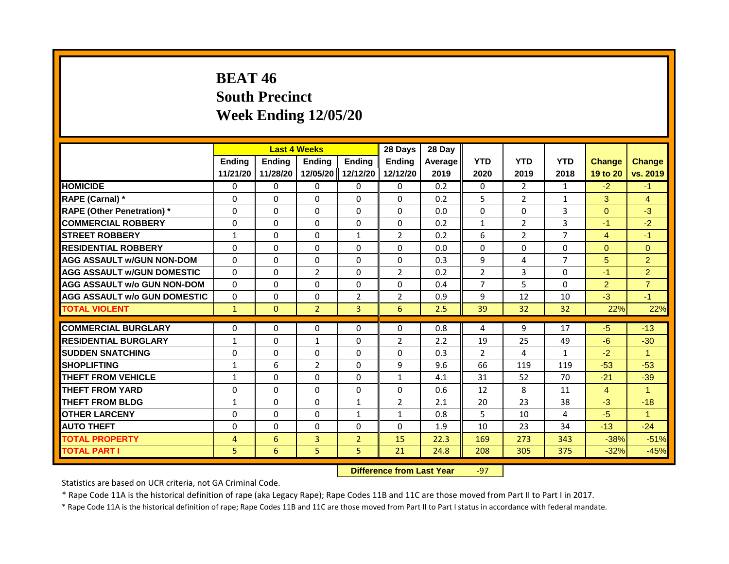### **BEAT 46 South Precinct Week Ending 12/05/20**

|                                     | <b>Last 4 Weeks</b> |                                  |                          | 28 Days        | 28 Day                     |         |                      |                |                |                |                               |
|-------------------------------------|---------------------|----------------------------------|--------------------------|----------------|----------------------------|---------|----------------------|----------------|----------------|----------------|-------------------------------|
|                                     | <b>Ending</b>       | <b>Ending</b>                    | <b>Ending</b>            | <b>Ending</b>  | <b>Ending</b>              | Average | <b>YTD</b>           | <b>YTD</b>     | <b>YTD</b>     | <b>Change</b>  | <b>Change</b>                 |
|                                     | 11/21/20            | 11/28/20                         | 12/05/20                 | 12/12/20       | 12/12/20                   | 2019    | 2020                 | 2019           | 2018           | 19 to 20       | vs. 2019                      |
| <b>HOMICIDE</b>                     | 0                   | 0                                | 0                        | 0              | 0                          | 0.2     | 0                    | $\overline{2}$ | 1              | $-2$           | $-1$                          |
| RAPE (Carnal) *                     | 0                   | $\Omega$                         | $\Omega$                 | $\Omega$       | $\Omega$                   | 0.2     | 5                    | $\overline{2}$ | $\mathbf{1}$   | 3              | $\overline{4}$                |
| <b>RAPE (Other Penetration)</b> *   | $\Omega$            | $\Omega$                         | $\Omega$                 | $\Omega$       | $\Omega$                   | 0.0     | $\Omega$             | $\Omega$       | 3              | $\Omega$       | $-3$                          |
| <b>COMMERCIAL ROBBERY</b>           | 0                   | 0                                | 0                        | 0              | 0                          | 0.2     | $\mathbf{1}$         | $\overline{2}$ | 3              | $-1$           | $-2$                          |
| <b>STREET ROBBERY</b>               | $\mathbf{1}$        | $\Omega$                         | $\Omega$                 | $\mathbf{1}$   | $\overline{2}$             | 0.2     | 6                    | $\overline{2}$ | $\overline{7}$ | $\overline{4}$ | $-1$                          |
| <b>RESIDENTIAL ROBBERY</b>          | $\Omega$            | 0                                | $\Omega$                 | $\Omega$       | 0                          | 0.0     | $\Omega$             | $\Omega$       | $\Omega$       | $\Omega$       | $\overline{0}$                |
| <b>AGG ASSAULT w/GUN NON-DOM</b>    | $\mathbf{0}$        | $\Omega$                         | $\Omega$                 | $\Omega$       | $\Omega$                   | 0.3     | 9                    | 4              | $\overline{7}$ | 5              | $\overline{2}$                |
| <b>AGG ASSAULT W/GUN DOMESTIC</b>   | $\Omega$            | $\Omega$                         | $\overline{2}$           | $\Omega$       | $\overline{2}$             | 0.2     | $\overline{2}$       | 3              | $\Omega$       | $-1$           | $\overline{2}$                |
| <b>AGG ASSAULT w/o GUN NON-DOM</b>  | $\Omega$            | 0                                | $\Omega$                 | $\Omega$       | 0                          | 0.4     | $\overline{7}$       | 5              | $\Omega$       | 2 <sup>1</sup> | $\overline{7}$                |
| <b>AGG ASSAULT w/o GUN DOMESTIC</b> | $\Omega$            | 0                                | 0                        | $\overline{2}$ | $\overline{2}$             | 0.9     | 9                    | 12             | 10             | $-3$           | $-1$                          |
| <b>TOTAL VIOLENT</b>                | $\mathbf{1}$        | $\mathbf{0}$                     | $\overline{2}$           | $\overline{3}$ | 6                          | 2.5     | 39                   | 32             | 32             | 22%            | 22%                           |
| <b>COMMERCIAL BURGLARY</b>          | 0                   | 0                                | 0                        | 0              | 0                          | 0.8     | 4                    | 9              | 17             | $-5$           | $-13$                         |
| <b>RESIDENTIAL BURGLARY</b>         |                     | $\Omega$                         |                          | $\Omega$       |                            |         |                      | 25             | 49             | $-6$           |                               |
|                                     | $\mathbf{1}$        |                                  | $\mathbf{1}$<br>$\Omega$ |                | $\overline{2}$<br>$\Omega$ | 2.2     | 19<br>$\overline{2}$ | 4              |                | $-2$           | $-30$<br>$\blacktriangleleft$ |
| <b>SUDDEN SNATCHING</b>             | $\Omega$            | $\Omega$                         |                          | $\Omega$       |                            | 0.3     |                      |                | $\mathbf{1}$   |                |                               |
| <b>SHOPLIFTING</b>                  | 1                   | 6                                | $\overline{2}$           | $\Omega$       | 9                          | 9.6     | 66                   | 119            | 119            | $-53$          | $-53$                         |
| <b>THEFT FROM VEHICLE</b>           | $\mathbf{1}$        | $\Omega$                         | $\Omega$                 | $\Omega$       | $\mathbf{1}$               | 4.1     | 31                   | 52             | 70             | $-21$          | $-39$                         |
| <b>THEFT FROM YARD</b>              | $\Omega$            | $\Omega$                         | $\Omega$                 | $\Omega$       | $\Omega$                   | 0.6     | 12                   | 8              | 11             | $\overline{4}$ | $\blacktriangleleft$          |
| <b>THEFT FROM BLDG</b>              | $\mathbf{1}$        | $\mathbf{0}$                     | 0                        | $\mathbf{1}$   | $\overline{2}$             | 2.1     | 20                   | 23             | 38             | $-3$           | $-18$                         |
| <b>OTHER LARCENY</b>                | $\Omega$            | $\Omega$                         | $\Omega$                 | $\mathbf{1}$   | $\mathbf{1}$               | 0.8     | 5                    | 10             | 4              | $-5$           | $\overline{\mathbf{1}}$       |
| <b>AUTO THEFT</b>                   | 0                   | 0                                | 0                        | 0              | $\Omega$                   | 1.9     | 10                   | 23             | 34             | $-13$          | $-24$                         |
| <b>TOTAL PROPERTY</b>               | $\overline{4}$      | 6                                | $\overline{3}$           | $\overline{2}$ | 15                         | 22.3    | 169                  | 273            | 343            | $-38%$         | $-51%$                        |
| <b>TOTAL PART I</b>                 | 5                   | 6                                | 5                        | 5              | 21                         | 24.8    | 208                  | 305            | 375            | $-32%$         | $-45%$                        |
|                                     |                     | <b>Difference from Last Year</b> |                          | $-97$          |                            |         |                      |                |                |                |                               |

Statistics are based on UCR criteria, not GA Criminal Code.

\* Rape Code 11A is the historical definition of rape (aka Legacy Rape); Rape Codes 11B and 11C are those moved from Part II to Part I in 2017.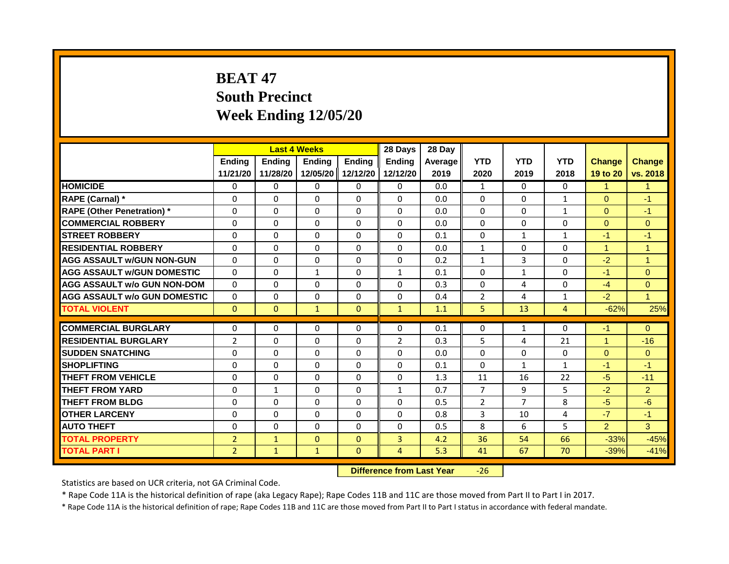## **BEAT 47 South Precinct Week Ending 12/05/20**

|                                     | <b>Last 4 Weeks</b> |               |                                  | 28 Days           | 28 Day         |         |                |                |                |                |                |
|-------------------------------------|---------------------|---------------|----------------------------------|-------------------|----------------|---------|----------------|----------------|----------------|----------------|----------------|
|                                     | <b>Ending</b>       | <b>Ending</b> | Ending                           | <b>Ending</b>     | <b>Endina</b>  | Average | <b>YTD</b>     | <b>YTD</b>     | <b>YTD</b>     | <b>Change</b>  | <b>Change</b>  |
|                                     | 11/21/20            | 11/28/20      |                                  | 12/05/20 12/12/20 | 12/12/20       | 2019    | 2020           | 2019           | 2018           | 19 to 20       | vs. 2018       |
| <b>HOMICIDE</b>                     | 0                   | $\Omega$      | $\mathbf{0}$                     | $\Omega$          | $\Omega$       | 0.0     | $\mathbf{1}$   | $\Omega$       | $\Omega$       | $\mathbf{1}$   | $\mathbf{1}$   |
| RAPE (Carnal) *                     | $\Omega$            | $\Omega$      | $\Omega$                         | $\Omega$          | $\Omega$       | 0.0     | $\Omega$       | $\Omega$       | 1              | $\mathbf{0}$   | $-1$           |
| <b>RAPE (Other Penetration)*</b>    | $\Omega$            | $\Omega$      | $\Omega$                         | $\Omega$          | $\Omega$       | 0.0     | $\Omega$       | $\Omega$       | $\mathbf{1}$   | $\Omega$       | $-1$           |
| <b>COMMERCIAL ROBBERY</b>           | $\Omega$            | $\Omega$      | $\Omega$                         | $\Omega$          | $\Omega$       | 0.0     | $\Omega$       | $\Omega$       | 0              | $\mathbf{0}$   | $\overline{0}$ |
| <b>STREET ROBBERY</b>               | $\Omega$            | $\Omega$      | $\Omega$                         | $\Omega$          | $\Omega$       | 0.1     | $\Omega$       | $\mathbf{1}$   | $\mathbf{1}$   | $-1$           | $-1$           |
| <b>RESIDENTIAL ROBBERY</b>          | $\Omega$            | $\Omega$      | $\Omega$                         | $\Omega$          | $\Omega$       | 0.0     | $\mathbf{1}$   | $\Omega$       | $\Omega$       | $\mathbf{1}$   | $\mathbf{1}$   |
| <b>AGG ASSAULT w/GUN NON-GUN</b>    | $\Omega$            | $\Omega$      | $\Omega$                         | $\Omega$          | $\Omega$       | 0.2     | $\mathbf{1}$   | $\mathbf{3}$   | $\Omega$       | $-2$           | $\mathbf{1}$   |
| <b>AGG ASSAULT W/GUN DOMESTIC</b>   | $\Omega$            | $\Omega$      | $\mathbf{1}$                     | $\Omega$          | $\mathbf{1}$   | 0.1     | $\Omega$       | $\mathbf{1}$   | $\Omega$       | $-1$           | $\Omega$       |
| <b>AGG ASSAULT w/o GUN NON-DOM</b>  | $\Omega$            | $\Omega$      | $\Omega$                         | $\Omega$          | $\Omega$       | 0.3     | $\Omega$       | 4              | 0              | $-4$           | $\Omega$       |
| <b>AGG ASSAULT w/o GUN DOMESTIC</b> | $\Omega$            | $\Omega$      | $\Omega$                         | $\Omega$          | $\Omega$       | 0.4     | 2              | 4              | 1              | $-2$           | $\mathbf{1}$   |
| <b>TOTAL VIOLENT</b>                | $\Omega$            | $\Omega$      | $\mathbf{1}$                     | $\mathbf{0}$      | $\mathbf{1}$   | 1.1     | 5              | 13             | $\overline{4}$ | $-62%$         | 25%            |
| <b>COMMERCIAL BURGLARY</b>          | $\Omega$            | $\Omega$      | $\Omega$                         | $\Omega$          | $\Omega$       | 0.1     | $\Omega$       | 1              | $\Omega$       | $-1$           | $\Omega$       |
| <b>RESIDENTIAL BURGLARY</b>         | $\overline{2}$      | $\Omega$      | $\Omega$                         | $\Omega$          | $\overline{2}$ | 0.3     | 5              | 4              | 21             | $\mathbf{1}$   | $-16$          |
| <b>SUDDEN SNATCHING</b>             | $\Omega$            | $\Omega$      | $\Omega$                         | $\Omega$          | $\Omega$       | 0.0     | $\Omega$       | $\Omega$       | 0              | $\Omega$       | $\Omega$       |
| <b>SHOPLIFTING</b>                  | $\Omega$            | $\Omega$      | $\Omega$                         | $\Omega$          | $\Omega$       | 0.1     | $\Omega$       | $\mathbf{1}$   | $\mathbf{1}$   | $-1$           | $-1$           |
| <b>THEFT FROM VEHICLE</b>           | $\Omega$            | $\Omega$      | $\Omega$                         | $\Omega$          | $\Omega$       | 1.3     | 11             | 16             | 22             | $-5$           | $-11$          |
| <b>THEFT FROM YARD</b>              | $\Omega$            | $\mathbf{1}$  | $\Omega$                         | $\Omega$          | $\mathbf{1}$   | 0.7     | $\overline{7}$ | 9              | 5              | $-2$           | $\overline{2}$ |
| <b>THEFT FROM BLDG</b>              | $\Omega$            | $\Omega$      | $\Omega$                         | $\Omega$          | $\Omega$       | 0.5     | $\overline{2}$ | $\overline{7}$ | 8              | $-5$           | $-6$           |
|                                     |                     |               |                                  |                   |                |         |                |                |                |                |                |
| <b>OTHER LARCENY</b>                | $\Omega$            | $\Omega$      | $\Omega$                         | $\Omega$          | $\Omega$       | 0.8     | 3              | 10             | 4              | $-7$           | $-1$           |
| <b>AUTO THEFT</b>                   | $\Omega$            | $\Omega$      | $\Omega$                         | $\Omega$          | $\Omega$       | 0.5     | 8              | 6              | 5              | $\overline{2}$ | 3              |
| <b>TOTAL PROPERTY</b>               | $\overline{2}$      | $\mathbf{1}$  | $\Omega$                         | $\Omega$          | $\overline{3}$ | 4.2     | 36             | 54             | 66             | $-33%$         | $-45%$         |
| <b>TOTAL PART I</b>                 | $\overline{2}$      | $\mathbf{1}$  | $\mathbf{1}$                     | $\mathbf{0}$      | 4              | 5.3     | 41             | 67             | 70             | $-39%$         | $-41%$         |
|                                     |                     |               | <b>Difference from Last Year</b> |                   | $-26$          |         |                |                |                |                |                |

Statistics are based on UCR criteria, not GA Criminal Code.

\* Rape Code 11A is the historical definition of rape (aka Legacy Rape); Rape Codes 11B and 11C are those moved from Part II to Part I in 2017.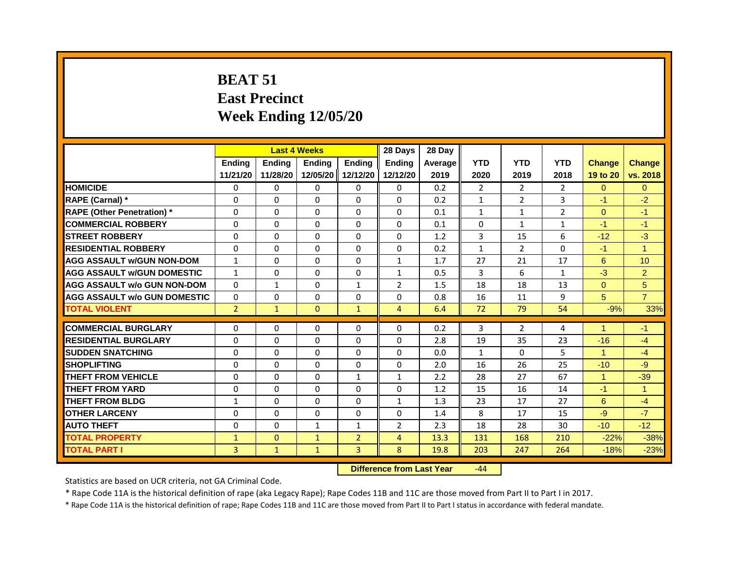# **BEAT 51 East Precinct Week Ending 12/05/20**

|                                     | <b>Last 4 Weeks</b><br><b>Ending</b><br><b>Ending</b> |              |              |                | 28 Days        | 28 Day  |              |                |                |                      |                      |
|-------------------------------------|-------------------------------------------------------|--------------|--------------|----------------|----------------|---------|--------------|----------------|----------------|----------------------|----------------------|
|                                     |                                                       | Ending       | Ending       |                | <b>Ending</b>  | Average | <b>YTD</b>   | <b>YTD</b>     | <b>YTD</b>     | <b>Change</b>        | <b>Change</b>        |
|                                     | 11/21/20                                              | 11/28/20     | 12/05/20     | 12/12/20       | 12/12/20       | 2019    | 2020         | 2019           | 2018           | 19 to 20             | vs. 2018             |
| <b>HOMICIDE</b>                     | 0                                                     | $\Omega$     | $\mathbf{0}$ | $\Omega$       | 0              | 0.2     | 2            | 2              | $\overline{2}$ | $\Omega$             | $\Omega$             |
| RAPE (Carnal) *                     | $\Omega$                                              | $\Omega$     | $\Omega$     | $\Omega$       | $\Omega$       | 0.2     | $\mathbf{1}$ | $\overline{2}$ | 3              | $-1$                 | $-2$                 |
| <b>RAPE (Other Penetration)</b> *   | $\Omega$                                              | 0            | $\Omega$     | 0              | $\Omega$       | 0.1     | $\mathbf{1}$ | 1              | $\overline{2}$ | $\Omega$             | $-1$                 |
| <b>COMMERCIAL ROBBERY</b>           | 0                                                     | $\Omega$     | $\Omega$     | $\Omega$       | $\Omega$       | 0.1     | $\Omega$     | $\mathbf{1}$   | $\mathbf{1}$   | -1                   | $-1$                 |
| <b>STREET ROBBERY</b>               | 0                                                     | 0            | $\Omega$     | $\Omega$       | $\Omega$       | 1.2     | 3            | 15             | 6              | $-12$                | $-3$                 |
| <b>RESIDENTIAL ROBBERY</b>          | $\Omega$                                              | $\Omega$     | $\Omega$     | $\Omega$       | $\Omega$       | 0.2     | $\mathbf{1}$ | $\mathcal{L}$  | $\Omega$       | $-1$                 | $\overline{1}$       |
| <b>AGG ASSAULT W/GUN NON-DOM</b>    | $\mathbf{1}$                                          | 0            | 0            | $\Omega$       | $\mathbf{1}$   | 1.7     | 27           | 21             | 17             | 6                    | 10                   |
| <b>AGG ASSAULT W/GUN DOMESTIC</b>   | $\mathbf{1}$                                          | 0            | $\Omega$     | $\Omega$       | 1              | 0.5     | 3            | 6              | 1              | $-3$                 | $\overline{2}$       |
| <b>AGG ASSAULT w/o GUN NON-DOM</b>  | $\Omega$                                              | $\mathbf{1}$ | $\Omega$     | $\mathbf{1}$   | 2              | 1.5     | 18           | 18             | 13             | $\overline{0}$       | 5                    |
| <b>AGG ASSAULT W/o GUN DOMESTIC</b> | $\Omega$                                              | 0            | $\Omega$     | $\Omega$       | 0              | 0.8     | 16           | 11             | 9              | 5                    | $\overline{7}$       |
| <b>TOTAL VIOLENT</b>                | $\overline{2}$                                        | $\mathbf{1}$ | $\mathbf{0}$ | $\mathbf{1}$   | $\overline{4}$ | 6.4     | 72           | 79             | 54             | $-9%$                | 33%                  |
|                                     |                                                       |              |              |                |                |         |              |                |                |                      |                      |
| <b>COMMERCIAL BURGLARY</b>          | 0                                                     | 0            | 0            | $\Omega$       | $\Omega$       | 0.2     | 3            | $\overline{2}$ | 4              |                      | $-1$                 |
| <b>RESIDENTIAL BURGLARY</b>         | 0                                                     | 0            | 0            | $\Omega$       | 0              | 2.8     | 19           | 35             | 23             | $-16$                | $-4$                 |
| <b>SUDDEN SNATCHING</b>             | $\Omega$                                              | $\Omega$     | $\Omega$     | $\Omega$       | $\Omega$       | 0.0     | $\mathbf{1}$ | $\Omega$       | 5              | $\blacktriangleleft$ | $-4$                 |
| <b>SHOPLIFTING</b>                  | 0                                                     | 0            | 0            | $\Omega$       | 0              | 2.0     | 16           | 26             | 25             | $-10$                | $-9$                 |
| <b>THEFT FROM VEHICLE</b>           | $\Omega$                                              | $\Omega$     | $\Omega$     | $\mathbf{1}$   | $\mathbf{1}$   | 2.2     | 28           | 27             | 67             | $\blacktriangleleft$ | $-39$                |
| THEFT FROM YARD                     | $\Omega$                                              | $\Omega$     | $\Omega$     | $\Omega$       | $\Omega$       | 1.2     | 15           | 16             | 14             | $-1$                 | $\blacktriangleleft$ |
| <b>THEFT FROM BLDG</b>              | $\mathbf{1}$                                          | $\Omega$     | $\Omega$     | $\Omega$       | $\mathbf{1}$   | 1.3     | 23           | 17             | 27             | 6                    | $-4$                 |
| <b>OTHER LARCENY</b>                | $\Omega$                                              | $\Omega$     | $\Omega$     | $\Omega$       | $\Omega$       | 1.4     | 8            | 17             | 15             | $-9$                 | $-7$                 |
| <b>AUTO THEFT</b>                   | 0                                                     | 0            | $\mathbf{1}$ | $\mathbf{1}$   | 2              | 2.3     | 18           | 28             | 30             | $-10$                | $-12$                |
| <b>TOTAL PROPERTY</b>               | $\mathbf{1}$                                          | $\mathbf{0}$ | $\mathbf{1}$ | $\overline{2}$ | $\overline{4}$ | 13.3    | 131          | 168            | 210            | $-22%$               | $-38%$               |
| <b>TOTAL PART I</b>                 | 3                                                     | $\mathbf{1}$ | $\mathbf{1}$ | $\overline{3}$ | 8              | 19.8    | 203          | 247            | 264            | $-18%$               | $-23%$               |

**Difference from Last Year** -44

Statistics are based on UCR criteria, not GA Criminal Code.

\* Rape Code 11A is the historical definition of rape (aka Legacy Rape); Rape Codes 11B and 11C are those moved from Part II to Part I in 2017.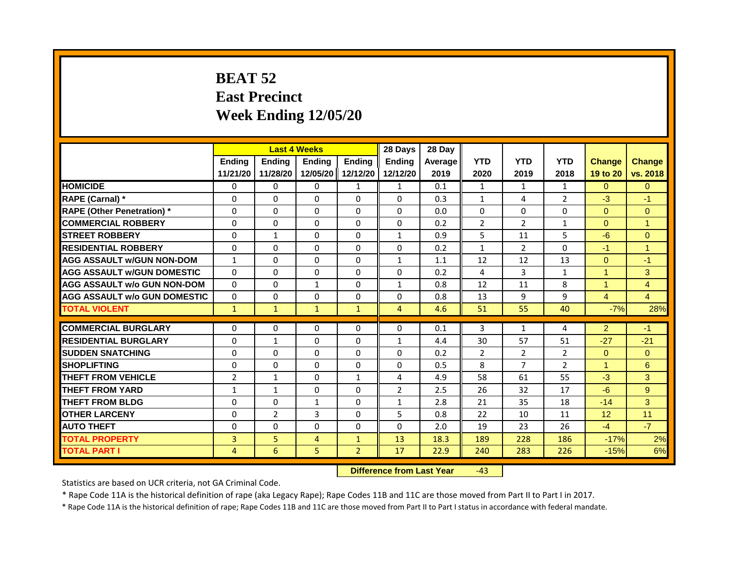# **BEAT 52 East Precinct Week Ending 12/05/20**

|                                     | <b>Last 4 Weeks</b> |                |                                  | 28 Days        | 28 Day         |         |                |                |                |                      |                      |
|-------------------------------------|---------------------|----------------|----------------------------------|----------------|----------------|---------|----------------|----------------|----------------|----------------------|----------------------|
|                                     | Ending              | <b>Ending</b>  | Ending                           | <b>Ending</b>  | <b>Endina</b>  | Average | <b>YTD</b>     | <b>YTD</b>     | <b>YTD</b>     | <b>Change</b>        | <b>Change</b>        |
|                                     | 11/21/20            | 11/28/20       | 12/05/20                         | 12/12/20       | 12/12/20       | 2019    | 2020           | 2019           | 2018           | 19 to 20             | vs. 2018             |
| <b>HOMICIDE</b>                     | $\mathbf{0}$        | 0              | $\mathbf{0}$                     | $\mathbf{1}$   | $\mathbf{1}$   | 0.1     | $\mathbf{1}$   | $\mathbf{1}$   | $\mathbf{1}$   | $\Omega$             | $\Omega$             |
| RAPE (Carnal) *                     | $\Omega$            | $\Omega$       | $\Omega$                         | $\Omega$       | $\Omega$       | 0.3     | $\mathbf{1}$   | 4              | $\overline{2}$ | $-3$                 | $-1$                 |
| <b>RAPE (Other Penetration)</b> *   | $\Omega$            | $\Omega$       | $\Omega$                         | $\Omega$       | $\Omega$       | 0.0     | $\Omega$       | $\Omega$       | $\mathbf{0}$   | $\Omega$             | $\Omega$             |
| <b>COMMERCIAL ROBBERY</b>           | $\Omega$            | 0              | $\Omega$                         | $\Omega$       | $\Omega$       | 0.2     | $\overline{2}$ | $\overline{2}$ | 1              | $\Omega$             | $\mathbf{1}$         |
| <b>STREET ROBBERY</b>               | $\Omega$            | $\mathbf{1}$   | $\Omega$                         | $\Omega$       | $\mathbf{1}$   | 0.9     | 5              | 11             | 5              | $-6$                 | $\Omega$             |
| <b>RESIDENTIAL ROBBERY</b>          | $\Omega$            | $\Omega$       | $\Omega$                         | $\Omega$       | $\Omega$       | 0.2     | $\mathbf{1}$   | $\overline{2}$ | $\Omega$       | $-1$                 | $\blacktriangleleft$ |
| <b>AGG ASSAULT w/GUN NON-DOM</b>    | $\mathbf{1}$        | $\Omega$       | $\Omega$                         | $\Omega$       | $\mathbf{1}$   | 1.1     | 12             | 12             | 13             | $\overline{0}$       | $-1$                 |
| <b>AGG ASSAULT w/GUN DOMESTIC</b>   | $\Omega$            | $\Omega$       | $\Omega$                         | $\Omega$       | $\Omega$       | 0.2     | 4              | $\mathbf{3}$   | $\mathbf{1}$   | $\blacktriangleleft$ | 3                    |
| <b>AGG ASSAULT w/o GUN NON-DOM</b>  | $\Omega$            | $\Omega$       | $\mathbf{1}$                     | $\Omega$       | 1              | 0.8     | 12             | 11             | 8              | $\overline{1}$       | $\overline{4}$       |
| <b>AGG ASSAULT W/o GUN DOMESTIC</b> | $\mathbf{0}$        | $\Omega$       | $\Omega$                         | $\Omega$       | $\Omega$       | 0.8     | 13             | 9              | 9              | $\overline{4}$       | $\overline{4}$       |
| <b>TOTAL VIOLENT</b>                | $\mathbf{1}$        | $\mathbf{1}$   | $\mathbf{1}$                     | $\mathbf{1}$   | $\overline{4}$ | 4.6     | 51             | 55             | 40             | $-7%$                | 28%                  |
| <b>COMMERCIAL BURGLARY</b>          | $\Omega$            | $\Omega$       | $\Omega$                         | $\Omega$       | $\Omega$       | 0.1     | 3              | 1              | 4              | $\overline{2}$       | $-1$                 |
| <b>RESIDENTIAL BURGLARY</b>         | 0                   | $\mathbf{1}$   | $\mathbf{0}$                     | $\Omega$       | $\mathbf{1}$   | 4.4     | 30             | 57             | 51             | $-27$                | $-21$                |
| <b>SUDDEN SNATCHING</b>             | $\Omega$            | $\Omega$       | $\Omega$                         | $\Omega$       | $\Omega$       | 0.2     | $\overline{2}$ | $\overline{2}$ | $\overline{2}$ | $\Omega$             | $\Omega$             |
|                                     |                     |                |                                  |                |                |         |                |                |                | $\blacktriangleleft$ |                      |
| <b>SHOPLIFTING</b>                  | $\Omega$            | $\Omega$       | $\Omega$                         | $\Omega$       | $\Omega$       | 0.5     | 8              | $\overline{7}$ | $\overline{2}$ |                      | 6                    |
| <b>THEFT FROM VEHICLE</b>           | $\overline{2}$      | $\mathbf{1}$   | $\Omega$                         | $\mathbf{1}$   | 4              | 4.9     | 58             | 61             | 55             | $-3$                 | 3                    |
| <b>THEFT FROM YARD</b>              | $\mathbf{1}$        | $\mathbf{1}$   | $\mathbf{0}$                     | $\Omega$       | $\overline{2}$ | 2.5     | 26             | 32             | 17             | $-6$                 | 9 <sup>°</sup>       |
| <b>THEFT FROM BLDG</b>              | $\Omega$            | $\Omega$       | $\mathbf{1}$                     | $\Omega$       | $\mathbf{1}$   | 2.8     | 21             | 35             | 18             | $-14$                | 3                    |
| <b>OTHER LARCENY</b>                | $\Omega$            | $\overline{2}$ | 3                                | $\Omega$       | 5              | 0.8     | 22             | 10             | 11             | 12                   | 11                   |
| <b>AUTO THEFT</b>                   | $\Omega$            | $\Omega$       | $\Omega$                         | $\Omega$       | $\Omega$       | 2.0     | 19             | 23             | 26             | $-4$                 | $-7$                 |
| <b>TOTAL PROPERTY</b>               | $\overline{3}$      | 5              | $\overline{4}$                   | $\mathbf{1}$   | 13             | 18.3    | 189            | 228            | 186            | $-17%$               | 2%                   |
| <b>TOTAL PART I</b>                 | $\overline{4}$      | 6              | 5                                | $\overline{2}$ | 17             | 22.9    | 240            | 283            | 226            | $-15%$               | 6%                   |
|                                     |                     |                | <b>Difference from Last Year</b> |                | $-43$          |         |                |                |                |                      |                      |

Statistics are based on UCR criteria, not GA Criminal Code.

\* Rape Code 11A is the historical definition of rape (aka Legacy Rape); Rape Codes 11B and 11C are those moved from Part II to Part I in 2017.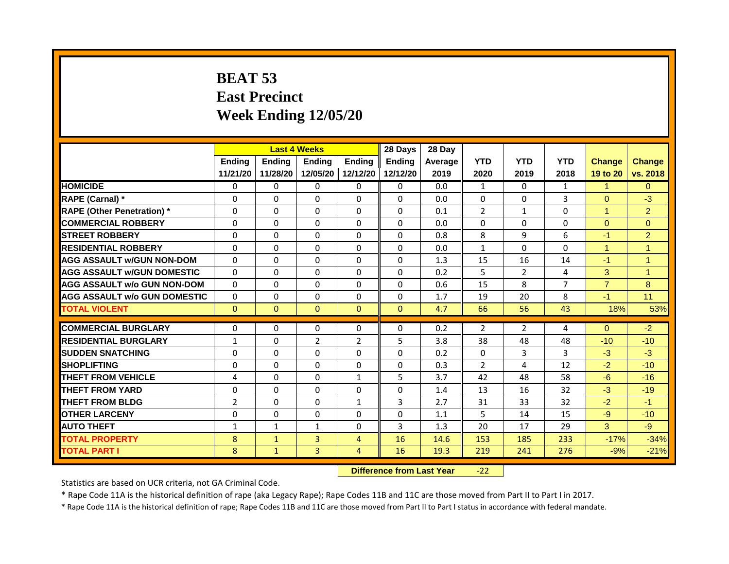# **BEAT 53 East Precinct Week Ending 12/05/20**

|                                     | <b>Last 4 Weeks</b> |                                  |                | 28 Days        | 28 Day        |         |                |                |                |                |                |
|-------------------------------------|---------------------|----------------------------------|----------------|----------------|---------------|---------|----------------|----------------|----------------|----------------|----------------|
|                                     | <b>Ending</b>       | <b>Ending</b>                    | <b>Ending</b>  | <b>Ending</b>  | <b>Endina</b> | Average | <b>YTD</b>     | <b>YTD</b>     | <b>YTD</b>     | <b>Change</b>  | <b>Change</b>  |
|                                     | 11/21/20            | 11/28/20                         | 12/05/20       | 12/12/20       | 12/12/20      | 2019    | 2020           | 2019           | 2018           | 19 to 20       | vs. 2018       |
| <b>HOMICIDE</b>                     | 0                   | $\mathbf{0}$                     | $\mathbf{0}$   | 0              | 0             | 0.0     | $\mathbf{1}$   | $\Omega$       | $\mathbf{1}$   | $\mathbf{1}$   | $\mathbf{0}$   |
| RAPE (Carnal) *                     | 0                   | $\Omega$                         | $\Omega$       | $\Omega$       | $\Omega$      | 0.0     | $\Omega$       | $\Omega$       | 3              | $\Omega$       | $-3$           |
| <b>RAPE (Other Penetration)</b> *   | $\Omega$            | $\Omega$                         | $\mathbf{0}$   | $\Omega$       | $\Omega$      | 0.1     | $\overline{2}$ | $\mathbf{1}$   | $\mathbf{0}$   | $\mathbf{1}$   | $\overline{2}$ |
| <b>COMMERCIAL ROBBERY</b>           | $\Omega$            | $\Omega$                         | $\mathbf{0}$   | $\mathbf{0}$   | $\Omega$      | 0.0     | $\mathbf{0}$   | $\Omega$       | $\Omega$       | $\Omega$       | $\Omega$       |
| <b>STREET ROBBERY</b>               | $\Omega$            | $\Omega$                         | $\Omega$       | $\Omega$       | $\Omega$      | 0.8     | 8              | 9              | 6              | $-1$           | $\overline{2}$ |
| <b>RESIDENTIAL ROBBERY</b>          | $\Omega$            | $\Omega$                         | $\mathbf{0}$   | $\Omega$       | $\Omega$      | 0.0     | $\mathbf{1}$   | $\Omega$       | $\mathbf 0$    | $\mathbf{1}$   | $\overline{1}$ |
| <b>AGG ASSAULT w/GUN NON-DOM</b>    | $\Omega$            | $\Omega$                         | $\mathbf{0}$   | $\mathbf{0}$   | $\Omega$      | 1.3     | 15             | 16             | 14             | $-1$           | $\mathbf{1}$   |
| <b>AGG ASSAULT W/GUN DOMESTIC</b>   | $\Omega$            | $\Omega$                         | $\Omega$       | $\mathbf{0}$   | $\Omega$      | 0.2     | 5.             | $\overline{2}$ | 4              | 3              | $\overline{1}$ |
| AGG ASSAULT w/o GUN NON-DOM         | $\Omega$            | $\Omega$                         | $\Omega$       | $\mathbf{0}$   | $\Omega$      | 0.6     | 15             | 8              | $\overline{7}$ | $\overline{7}$ | 8              |
| <b>AGG ASSAULT W/o GUN DOMESTIC</b> | $\mathbf{0}$        | $\Omega$                         | $\Omega$       | $\mathbf{0}$   | $\Omega$      | 1.7     | 19             | 20             | 8              | $-1$           | 11             |
| <b>TOTAL VIOLENT</b>                | $\mathbf{0}$        | $\mathbf{0}$                     | $\mathbf{0}$   | $\Omega$       | $\mathbf{0}$  | 4.7     | 66             | 56             | 43             | 18%            | 53%            |
|                                     |                     |                                  |                |                |               |         |                |                |                |                |                |
| <b>COMMERCIAL BURGLARY</b>          | $\mathbf{0}$        | $\Omega$                         | $\mathbf{0}$   | $\mathbf{0}$   | $\Omega$      | 0.2     | $\overline{2}$ | $\overline{2}$ | 4              | $\Omega$       | $-2$           |
| <b>RESIDENTIAL BURGLARY</b>         | $\mathbf{1}$        | $\Omega$                         | $\overline{2}$ | $\overline{2}$ | 5             | 3.8     | 38             | 48             | 48             | $-10$          | $-10$          |
| <b>SUDDEN SNATCHING</b>             | $\Omega$            | $\Omega$                         | $\Omega$       | 0              | $\Omega$      | 0.2     | $\Omega$       | 3              | 3              | $-3$           | $-3$           |
| <b>SHOPLIFTING</b>                  | 0                   | $\Omega$                         | $\mathbf{0}$   | $\Omega$       | 0             | 0.3     | $\overline{2}$ | 4              | 12             | $-2$           | $-10$          |
| <b>THEFT FROM VEHICLE</b>           | 4                   | $\Omega$                         | $\Omega$       | $\mathbf{1}$   | 5             | 3.7     | 42             | 48             | 58             | $-6$           | $-16$          |
| <b>THEFT FROM YARD</b>              | $\Omega$            | $\Omega$                         | $\mathbf{0}$   | $\Omega$       | $\Omega$      | 1.4     | 13             | 16             | 32             | $-3$           | $-19$          |
| <b>THEFT FROM BLDG</b>              | 2                   | $\Omega$                         | $\Omega$       | $\mathbf{1}$   | 3             | 2.7     | 31             | 33             | 32             | $-2$           | $-1$           |
| <b>OTHER LARCENY</b>                | 0                   | $\Omega$                         | $\Omega$       | $\Omega$       | $\Omega$      | 1.1     | 5              | 14             | 15             | $-9$           | $-10$          |
| <b>AUTO THEFT</b>                   | $\mathbf{1}$        | $\mathbf{1}$                     | $\mathbf{1}$   | $\Omega$       | 3             | 1.3     | 20             | 17             | 29             | 3              | $-9$           |
| <b>TOTAL PROPERTY</b>               | 8                   | $\mathbf{1}$                     | $\overline{3}$ | $\overline{4}$ | 16            | 14.6    | 153            | 185            | 233            | $-17%$         | $-34%$         |
| <b>TOTAL PART I</b>                 | 8                   | $\mathbf{1}$                     | 3              | $\overline{4}$ | 16            | 19.3    | 219            | 241            | 276            | $-9%$          | $-21%$         |
|                                     |                     | <b>Difference from Last Year</b> |                | $-22$          |               |         |                |                |                |                |                |

Statistics are based on UCR criteria, not GA Criminal Code.

\* Rape Code 11A is the historical definition of rape (aka Legacy Rape); Rape Codes 11B and 11C are those moved from Part II to Part I in 2017.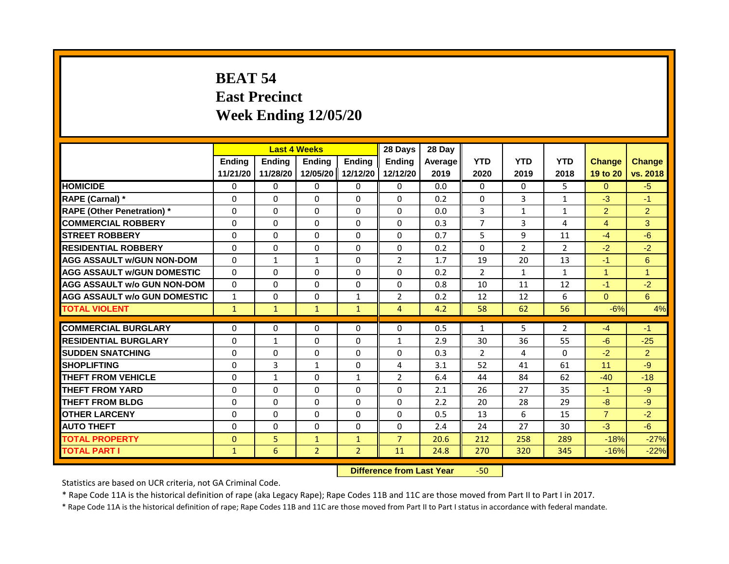# **BEAT 54 East Precinct Week Ending 12/05/20**

|                                     | <b>Last 4 Weeks</b> |              |                                  | 28 Days        | 28 Day         |         |                |                |                |                |                |
|-------------------------------------|---------------------|--------------|----------------------------------|----------------|----------------|---------|----------------|----------------|----------------|----------------|----------------|
|                                     | Ending              | Ending       | <b>Ending</b>                    | <b>Endina</b>  | <b>Endina</b>  | Average | <b>YTD</b>     | <b>YTD</b>     | <b>YTD</b>     | <b>Change</b>  | <b>Change</b>  |
|                                     | 11/21/20            | 11/28/20     | 12/05/20                         | 12/12/20       | 12/12/20       | 2019    | 2020           | 2019           | 2018           | 19 to 20       | vs. 2018       |
| <b>HOMICIDE</b>                     | 0                   | $\Omega$     | $\mathbf{0}$                     | 0              | $\Omega$       | 0.0     | $\mathbf{0}$   | $\Omega$       | 5.             | $\Omega$       | $-5$           |
| RAPE (Carnal) *                     | 0                   | $\Omega$     | $\Omega$                         | $\Omega$       | $\Omega$       | 0.2     | $\Omega$       | 3              | $\mathbf{1}$   | $-3$           | $-1$           |
| <b>RAPE (Other Penetration) *</b>   | $\Omega$            | $\Omega$     | $\Omega$                         | $\Omega$       | $\Omega$       | 0.0     | 3              | $\mathbf{1}$   | $\mathbf{1}$   | $\overline{2}$ | $\overline{2}$ |
| <b>COMMERCIAL ROBBERY</b>           | $\Omega$            | $\Omega$     | $\Omega$                         | $\Omega$       | $\Omega$       | 0.3     | $\overline{7}$ | 3              | 4              | $\overline{4}$ | 3              |
| <b>STREET ROBBERY</b>               | $\Omega$            | $\Omega$     | $\Omega$                         | $\Omega$       | $\Omega$       | 0.7     | 5              | 9              | 11             | $-4$           | $-6$           |
| <b>RESIDENTIAL ROBBERY</b>          | $\Omega$            | $\Omega$     | $\Omega$                         | $\Omega$       | $\Omega$       | 0.2     | $\Omega$       | $\overline{2}$ | $\overline{2}$ | $-2$           | $-2$           |
| <b>AGG ASSAULT w/GUN NON-DOM</b>    | $\Omega$            | $\mathbf{1}$ | $\mathbf{1}$                     | $\Omega$       | $\overline{2}$ | 1.7     | 19             | 20             | 13             | $-1$           | 6              |
| <b>AGG ASSAULT w/GUN DOMESTIC</b>   | $\Omega$            | $\Omega$     | $\Omega$                         | $\Omega$       | $\Omega$       | 0.2     | 2              | $\mathbf{1}$   | $\mathbf{1}$   | $\overline{1}$ | $\overline{1}$ |
| <b>AGG ASSAULT w/o GUN NON-DOM</b>  | $\Omega$            | $\Omega$     | $\Omega$                         | $\Omega$       | $\Omega$       | 0.8     | 10             | 11             | 12             | $-1$           | $-2$           |
| <b>AGG ASSAULT W/o GUN DOMESTIC</b> | $\mathbf{1}$        | $\Omega$     | $\Omega$                         | $\mathbf{1}$   | $\overline{2}$ | 0.2     | 12             | 12             | 6              | $\mathbf{0}$   | 6              |
| <b>TOTAL VIOLENT</b>                | $\mathbf{1}$        | $\mathbf{1}$ | $\mathbf{1}$                     | $\mathbf{1}$   | $\overline{4}$ | 4.2     | 58             | 62             | 56             | $-6%$          | 4%             |
| <b>COMMERCIAL BURGLARY</b>          | $\Omega$            | $\Omega$     | $\Omega$                         | $\Omega$       | $\Omega$       | 0.5     | $\mathbf{1}$   | 5              | $\overline{2}$ | $-4$           | $-1$           |
| <b>RESIDENTIAL BURGLARY</b>         | $\Omega$            | $\mathbf{1}$ | $\Omega$                         | $\Omega$       | $\mathbf{1}$   | 2.9     | 30             | 36             | 55             | $-6$           | $-25$          |
| <b>SUDDEN SNATCHING</b>             | $\Omega$            | $\Omega$     | $\Omega$                         | $\Omega$       | 0              | 0.3     | 2              | 4              | $\Omega$       | $-2$           | $\overline{2}$ |
| <b>SHOPLIFTING</b>                  |                     |              |                                  |                |                |         |                |                |                |                |                |
|                                     | 0                   | 3            | 1                                | $\Omega$       | 4              | 3.1     | 52             | 41             | 61             | 11             | $-9$           |
| <b>THEFT FROM VEHICLE</b>           | $\Omega$            | $\mathbf{1}$ | $\Omega$                         | $\mathbf{1}$   | $\overline{2}$ | 6.4     | 44             | 84             | 62             | $-40$          | $-18$          |
| <b>THEFT FROM YARD</b>              | $\Omega$            | $\Omega$     | $\Omega$                         | $\Omega$       | $\Omega$       | 2.1     | 26             | 27             | 35             | $-1$           | $-9$           |
| <b>THEFT FROM BLDG</b>              | $\Omega$            | $\Omega$     | $\Omega$                         | $\Omega$       | $\Omega$       | 2.2     | 20             | 28             | 29             | $-8$           | $-9$           |
| <b>OTHER LARCENY</b>                | 0                   | $\Omega$     | $\Omega$                         | $\Omega$       | $\Omega$       | 0.5     | 13             | 6              | 15             | $\overline{7}$ | $-2$           |
| <b>AUTO THEFT</b>                   | $\Omega$            | $\Omega$     | $\Omega$                         | $\Omega$       | $\Omega$       | 2.4     | 24             | 27             | 30             | $-3$           | $-6$           |
| <b>TOTAL PROPERTY</b>               | $\Omega$            | 5            | $\mathbf{1}$                     | $\mathbf{1}$   | $\overline{7}$ | 20.6    | 212            | 258            | 289            | $-18%$         | $-27%$         |
| <b>TOTAL PART I</b>                 | $\mathbf{1}$        | 6            | $\overline{2}$                   | $\overline{2}$ | 11             | 24.8    | 270            | 320            | 345            | $-16%$         | $-22%$         |
|                                     |                     |              | <b>Difference from Last Year</b> |                | $-50$          |         |                |                |                |                |                |

Statistics are based on UCR criteria, not GA Criminal Code.

\* Rape Code 11A is the historical definition of rape (aka Legacy Rape); Rape Codes 11B and 11C are those moved from Part II to Part I in 2017.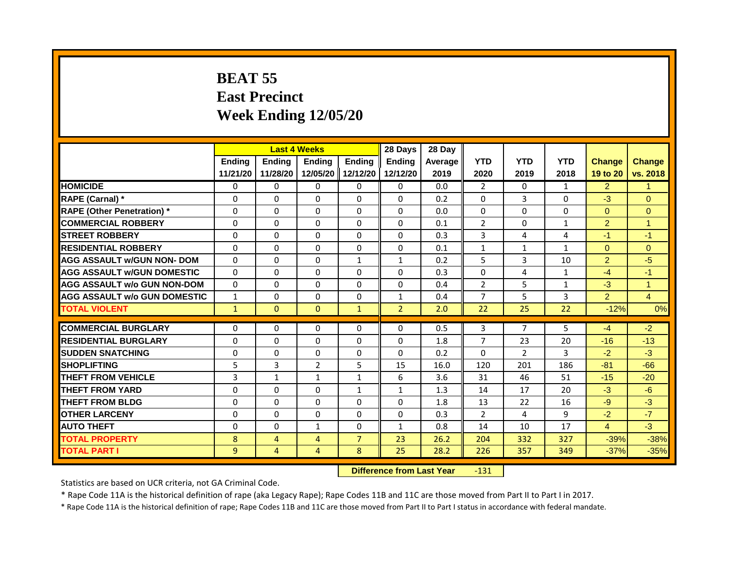## **BEAT 55 East Precinct Week Ending 12/05/20**

|                                     |               |                   | <b>Last 4 Weeks</b>              |                   | 28 Days        | 28 Day     |                |                      |                      |                |                      |
|-------------------------------------|---------------|-------------------|----------------------------------|-------------------|----------------|------------|----------------|----------------------|----------------------|----------------|----------------------|
|                                     | <b>Ending</b> | <b>Ending</b>     | <b>Ending</b>                    | <b>Ending</b>     | Ending         | Average    | <b>YTD</b>     | <b>YTD</b>           | <b>YTD</b>           | <b>Change</b>  | <b>Change</b>        |
|                                     | 11/21/20      | 11/28/20          | 12/05/20                         | 12/12/20          | 12/12/20       | 2019       | 2020           | 2019                 | 2018                 | 19 to 20       | vs. 2018             |
| <b>HOMICIDE</b>                     | $\mathbf{0}$  | $\Omega$          | $\Omega$                         | $\Omega$          | $\Omega$       | 0.0        | $\overline{2}$ | $\Omega$             | $\mathbf{1}$         | $\overline{2}$ | $\blacktriangleleft$ |
| RAPE (Carnal) *                     | $\Omega$      | $\Omega$          | $\mathbf{0}$                     | $\Omega$          | $\Omega$       | 0.2        | $\Omega$       | 3                    | $\Omega$             | $-3$           | $\Omega$             |
| <b>RAPE (Other Penetration) *</b>   | $\Omega$      | $\Omega$          | $\mathbf{0}$                     | $\Omega$          | $\Omega$       | 0.0        | $\Omega$       | $\Omega$             | $\Omega$             | $\Omega$       | $\overline{0}$       |
| <b>COMMERCIAL ROBBERY</b>           | $\Omega$      | $\Omega$          | $\Omega$                         | $\Omega$          | $\Omega$       | 0.1        | $\overline{2}$ | $\mathbf{0}$         | $\mathbf{1}$         | $\overline{2}$ | $\blacktriangleleft$ |
| <b>ISTREET ROBBERY</b>              | $\mathbf{0}$  | $\Omega$          | $\mathbf{0}$                     | $\Omega$          | $\Omega$       | 0.3        | 3              | 4                    | 4                    | -1             | $-1$                 |
| <b>RESIDENTIAL ROBBERY</b>          | $\Omega$      | $\Omega$          | $\Omega$                         | $\Omega$          | $\Omega$       | 0.1        | $\mathbf{1}$   | 1                    | 1                    | $\Omega$       | $\Omega$             |
| <b>AGG ASSAULT w/GUN NON- DOM</b>   | $\Omega$      | $\Omega$          | $\Omega$                         | $\mathbf{1}$      | $\mathbf{1}$   | 0.2        | 5              | 3                    | 10                   | $\overline{2}$ | $-5$                 |
| <b>AGG ASSAULT W/GUN DOMESTIC</b>   | $\Omega$      | $\Omega$          | $\Omega$                         | $\Omega$          | $\Omega$       | 0.3        | $\Omega$       | 4                    | $\mathbf{1}$         | $-4$           | $-1$                 |
| <b>AGG ASSAULT w/o GUN NON-DOM</b>  | $\Omega$      | $\Omega$          | $\Omega$                         | $\Omega$          | $\Omega$       | 0.4        | $\overline{2}$ | 5                    | $\mathbf{1}$         | $-3$           | $\overline{1}$       |
| <b>AGG ASSAULT w/o GUN DOMESTIC</b> | $\mathbf{1}$  | $\Omega$          | $\mathbf{0}$                     | $\Omega$          | $\mathbf{1}$   | 0.4        | $\overline{7}$ | 5                    | 3                    | 2 <sup>1</sup> | $\overline{4}$       |
| <b>TOTAL VIOLENT</b>                | $\mathbf{1}$  | $\mathbf{0}$      | $\mathbf{0}$                     | $\mathbf{1}$      | 2 <sup>1</sup> | 2.0        | 22             | 25                   | 22                   | $-12%$         | 0%                   |
| <b>COMMERCIAL BURGLARY</b>          | $\Omega$      | $\Omega$          | $\mathbf{0}$                     | $\Omega$          | $\Omega$       | 0.5        | 3              | $\overline{7}$       | 5                    | $-4$           | $-2$                 |
| <b>RESIDENTIAL BURGLARY</b>         | $\Omega$      | $\Omega$          | $\Omega$                         | $\Omega$          | $\Omega$       |            | $\overline{7}$ |                      |                      | $-16$          | $-13$                |
| <b>SUDDEN SNATCHING</b>             | $\Omega$      | $\Omega$          | $\Omega$                         | $\Omega$          | $\Omega$       | 1.8<br>0.2 | $\Omega$       | 23<br>$\overline{2}$ | 20<br>$\overline{3}$ | $-2$           | $-3$                 |
| <b>SHOPLIFTING</b>                  |               |                   |                                  |                   |                |            |                |                      |                      |                |                      |
| <b>THEFT FROM VEHICLE</b>           | 5<br>3        | 3<br>$\mathbf{1}$ | $\overline{2}$<br>$\mathbf{1}$   | 5<br>$\mathbf{1}$ | 15<br>6        | 16.0       | 120<br>31      | 201<br>46            | 186<br>51            | $-81$<br>$-15$ | $-66$<br>$-20$       |
|                                     | $\Omega$      | $\Omega$          | $\Omega$                         |                   |                | 3.6        |                |                      |                      |                |                      |
| <b>THEFT FROM YARD</b>              |               |                   |                                  | $\mathbf{1}$      | $\mathbf{1}$   | 1.3        | 14             | 17                   | 20                   | $-3$           | $-6$                 |
| <b>THEFT FROM BLDG</b>              | $\Omega$      | $\Omega$          | $\Omega$                         | $\Omega$          | $\Omega$       | 1.8        | 13             | 22                   | 16                   | $-9$           | $-3$                 |
| <b>OTHER LARCENY</b>                | $\mathbf{0}$  | $\Omega$          | $\mathbf{0}$                     | $\Omega$          | $\Omega$       | 0.3        | $\overline{2}$ | 4                    | 9                    | $-2$           | $-7$                 |
| <b>AUTO THEFT</b>                   | $\Omega$      | $\Omega$          | $\mathbf{1}$                     | $\Omega$          | $\mathbf{1}$   | 0.8        | 14             | 10                   | 17                   | $\overline{4}$ | $-3$                 |
| <b>TOTAL PROPERTY</b>               | 8             | $\overline{4}$    | $\overline{4}$                   | $\overline{7}$    | 23             | 26.2       | 204            | 332                  | 327                  | $-39%$         | $-38%$               |
| <b>TOTAL PART I</b>                 | 9             | $\overline{4}$    | $\overline{4}$                   | 8                 | 25             | 28.2       | 226            | 357                  | 349                  | $-37%$         | $-35%$               |
|                                     |               |                   | <b>Difference from Last Year</b> |                   | $-131$         |            |                |                      |                      |                |                      |

Statistics are based on UCR criteria, not GA Criminal Code.

\* Rape Code 11A is the historical definition of rape (aka Legacy Rape); Rape Codes 11B and 11C are those moved from Part II to Part I in 2017.